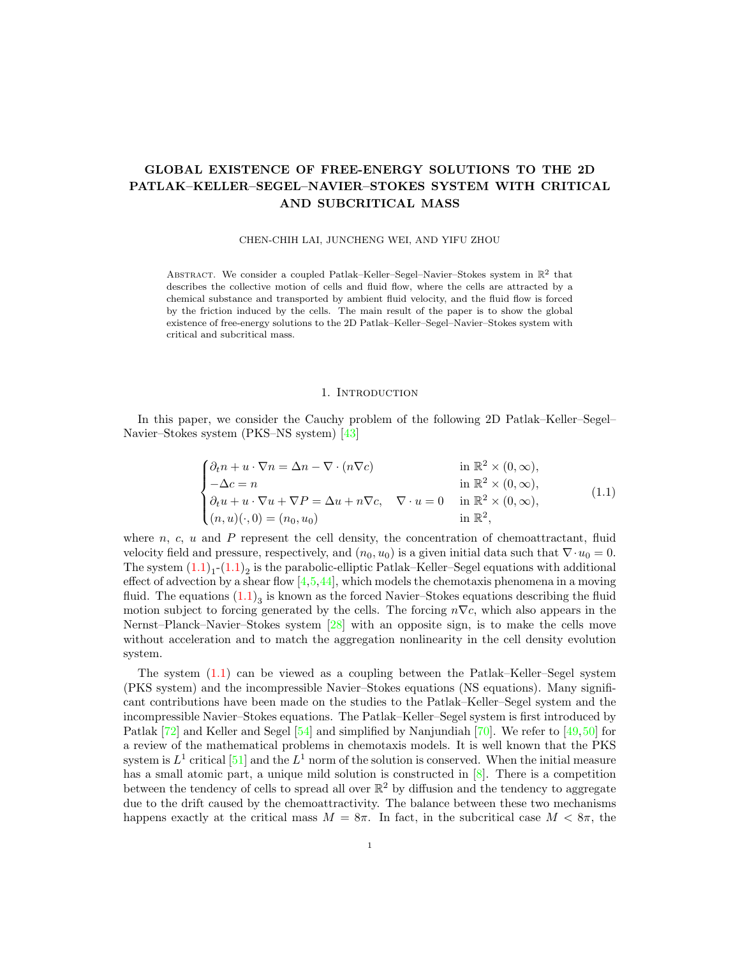# GLOBAL EXISTENCE OF FREE-ENERGY SOLUTIONS TO THE 2D PATLAK–KELLER–SEGEL–NAVIER–STOKES SYSTEM WITH CRITICAL AND SUBCRITICAL MASS

# CHEN-CHIH LAI, JUNCHENG WEI, AND YIFU ZHOU

ABSTRACT. We consider a coupled Patlak–Keller–Segel–Navier–Stokes system in  $\mathbb{R}^2$  that describes the collective motion of cells and fluid flow, where the cells are attracted by a chemical substance and transported by ambient fluid velocity, and the fluid flow is forced by the friction induced by the cells. The main result of the paper is to show the global existence of free-energy solutions to the 2D Patlak–Keller–Segel–Navier–Stokes system with critical and subcritical mass.

# 1. INTRODUCTION

In this paper, we consider the Cauchy problem of the following 2D Patlak–Keller–Segel– Navier–Stokes system (PKS–NS system) [\[43\]](#page-30-0)

$$
\begin{cases}\n\partial_t n + u \cdot \nabla n = \Delta n - \nabla \cdot (n \nabla c) & \text{in } \mathbb{R}^2 \times (0, \infty), \\
-\Delta c = n & \text{in } \mathbb{R}^2 \times (0, \infty), \\
\partial_t u + u \cdot \nabla u + \nabla P = \Delta u + n \nabla c, \quad \nabla \cdot u = 0 & \text{in } \mathbb{R}^2 \times (0, \infty), \\
(n, u)(\cdot, 0) = (n_0, u_0) & \text{in } \mathbb{R}^2,\n\end{cases}
$$
\n(1.1)

<span id="page-0-0"></span>where  $n, c, u$  and  $P$  represent the cell density, the concentration of chemoattractant, fluid velocity field and pressure, respectively, and  $(n_0, u_0)$  is a given initial data such that  $\nabla \cdot u_0 = 0$ . The system  $(1.1)<sub>1</sub>$  $(1.1)<sub>1</sub>$ - $(1.1)<sub>2</sub>$  is the parabolic-elliptic Patlak–Keller–Segel equations with additional effect of advection by a shear flow  $[4,5,44]$  $[4,5,44]$  $[4,5,44]$ , which models the chemotaxis phenomena in a moving fluid. The equations  $(1.1)_3$  $(1.1)_3$  is known as the forced Navier–Stokes equations describing the fluid motion subject to forcing generated by the cells. The forcing  $n\nabla c$ , which also appears in the Nernst–Planck–Navier–Stokes system [\[28\]](#page-30-1) with an opposite sign, is to make the cells move without acceleration and to match the aggregation nonlinearity in the cell density evolution system.

The system [\(1.1\)](#page-0-0) can be viewed as a coupling between the Patlak–Keller–Segel system (PKS system) and the incompressible Navier–Stokes equations (NS equations). Many significant contributions have been made on the studies to the Patlak–Keller–Segel system and the incompressible Navier–Stokes equations. The Patlak–Keller–Segel system is first introduced by Patlak [\[72\]](#page-31-1) and Keller and Segel [\[54\]](#page-31-2) and simplified by Nanjundiah [\[70\]](#page-31-3). We refer to [\[49,](#page-31-4)[50\]](#page-31-5) for a review of the mathematical problems in chemotaxis models. It is well known that the PKS system is  $L^1$  critical [\[51\]](#page-31-6) and the  $L^1$  norm of the solution is conserved. When the initial measure has a small atomic part, a unique mild solution is constructed in  $[8]$ . There is a competition between the tendency of cells to spread all over  $\mathbb{R}^2$  by diffusion and the tendency to aggregate due to the drift caused by the chemoattractivity. The balance between these two mechanisms happens exactly at the critical mass  $M = 8\pi$ . In fact, in the subcritical case  $M < 8\pi$ , the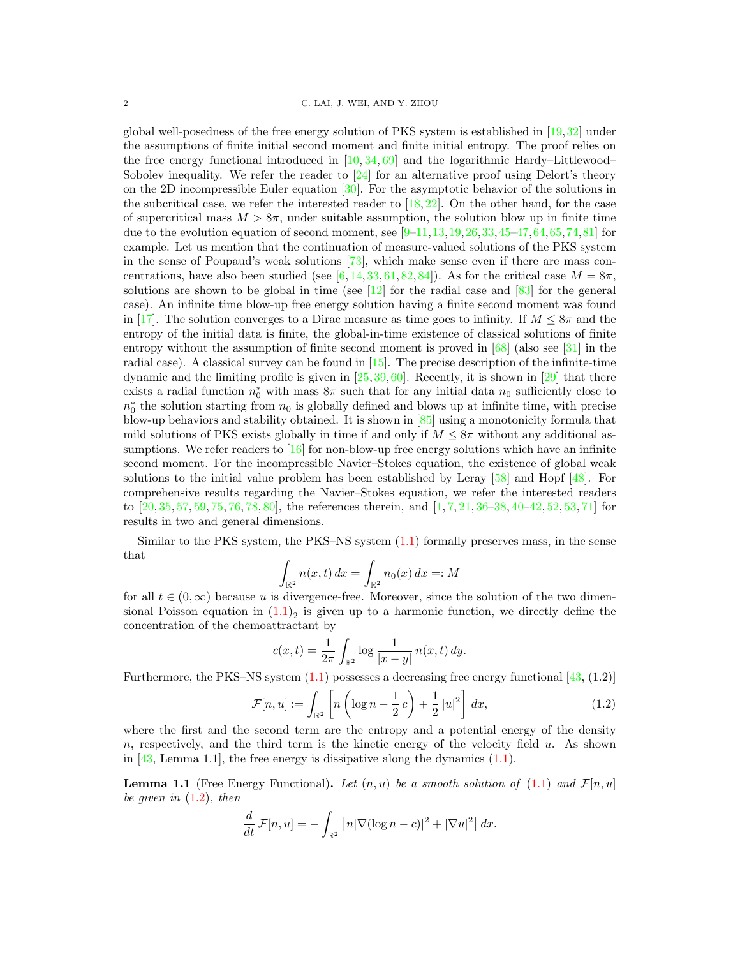global well-posedness of the free energy solution of PKS system is established in [\[19,](#page-30-2)[32\]](#page-30-3) under the assumptions of finite initial second moment and finite initial entropy. The proof relies on the free energy functional introduced in  $[10, 34, 69]$  $[10, 34, 69]$  $[10, 34, 69]$  $[10, 34, 69]$  $[10, 34, 69]$  and the logarithmic Hardy–Littlewood– Sobolev inequality. We refer the reader to  $\left[24\right]$  for an alternative proof using Delort's theory on the 2D incompressible Euler equation [\[30\]](#page-30-6). For the asymptotic behavior of the solutions in the subcritical case, we refer the interested reader to  $[18, 22]$  $[18, 22]$  $[18, 22]$ . On the other hand, for the case of supercritical mass  $M > 8\pi$ , under suitable assumption, the solution blow up in finite time due to the evolution equation of second moment, see  $[9-11,13,19,26,33,45-47,64,65,74,81]$  $[9-11,13,19,26,33,45-47,64,65,74,81]$  $[9-11,13,19,26,33,45-47,64,65,74,81]$  $[9-11,13,19,26,33,45-47,64,65,74,81]$  $[9-11,13,19,26,33,45-47,64,65,74,81]$  $[9-11,13,19,26,33,45-47,64,65,74,81]$  $[9-11,13,19,26,33,45-47,64,65,74,81]$  $[9-11,13,19,26,33,45-47,64,65,74,81]$  $[9-11,13,19,26,33,45-47,64,65,74,81]$  $[9-11,13,19,26,33,45-47,64,65,74,81]$  $[9-11,13,19,26,33,45-47,64,65,74,81]$  $[9-11,13,19,26,33,45-47,64,65,74,81]$  for example. Let us mention that the continuation of measure-valued solutions of the PKS system in the sense of Poupaud's weak solutions  $[73]$ , which make sense even if there are mass con-centrations, have also been studied (see [\[6,](#page-29-7) [14,](#page-29-8) [33,](#page-30-10) [61,](#page-31-12) [82,](#page-32-3) [84\]](#page-32-4)). As for the critical case  $M = 8\pi$ , solutions are shown to be global in time (see  $[12]$  for the radial case and  $[83]$  for the general case). An infinite time blow-up free energy solution having a finite second moment was found in [\[17\]](#page-30-11). The solution converges to a Dirac measure as time goes to infinity. If  $M \leq 8\pi$  and the entropy of the initial data is finite, the global-in-time existence of classical solutions of finite entropy without the assumption of finite second moment is proved in  $[68]$  (also see  $[31]$  in the radial case). A classical survey can be found in [\[15\]](#page-29-10). The precise description of the infinite-time dynamic and the limiting profile is given in  $[25,39,60]$  $[25,39,60]$  $[25,39,60]$ . Recently, it is shown in  $[29]$  that there exists a radial function  $n_0^*$  with mass  $8\pi$  such that for any initial data  $n_0$  sufficiently close to  $n_0^*$  the solution starting from  $n_0$  is globally defined and blows up at infinite time, with precise blow-up behaviors and stability obtained. It is shown in  $[85]$  using a monotonicity formula that mild solutions of PKS exists globally in time if and only if  $M \leq 8\pi$  without any additional assumptions. We refer readers to  $[16]$  for non-blow-up free energy solutions which have an infinite second moment. For the incompressible Navier–Stokes equation, the existence of global weak solutions to the initial value problem has been established by Leray  $[58]$  and Hopf  $[48]$ . For comprehensive results regarding the Navier–Stokes equation, we refer the interested readers to  $[20, 35, 57, 59, 75, 76, 78, 80]$  $[20, 35, 57, 59, 75, 76, 78, 80]$  $[20, 35, 57, 59, 75, 76, 78, 80]$  $[20, 35, 57, 59, 75, 76, 78, 80]$  $[20, 35, 57, 59, 75, 76, 78, 80]$  $[20, 35, 57, 59, 75, 76, 78, 80]$  $[20, 35, 57, 59, 75, 76, 78, 80]$  $[20, 35, 57, 59, 75, 76, 78, 80]$  $[20, 35, 57, 59, 75, 76, 78, 80]$  $[20, 35, 57, 59, 75, 76, 78, 80]$  $[20, 35, 57, 59, 75, 76, 78, 80]$  $[20, 35, 57, 59, 75, 76, 78, 80]$  $[20, 35, 57, 59, 75, 76, 78, 80]$  $[20, 35, 57, 59, 75, 76, 78, 80]$  $[20, 35, 57, 59, 75, 76, 78, 80]$ , the references therein, and  $[1, 7, 21, 36-38, 40-42, 52, 53, 71]$  $[1, 7, 21, 36-38, 40-42, 52, 53, 71]$  $[1, 7, 21, 36-38, 40-42, 52, 53, 71]$  $[1, 7, 21, 36-38, 40-42, 52, 53, 71]$  $[1, 7, 21, 36-38, 40-42, 52, 53, 71]$  $[1, 7, 21, 36-38, 40-42, 52, 53, 71]$  $[1, 7, 21, 36-38, 40-42, 52, 53, 71]$  $[1, 7, 21, 36-38, 40-42, 52, 53, 71]$  $[1, 7, 21, 36-38, 40-42, 52, 53, 71]$  $[1, 7, 21, 36-38, 40-42, 52, 53, 71]$  $[1, 7, 21, 36-38, 40-42, 52, 53, 71]$  $[1, 7, 21, 36-38, 40-42, 52, 53, 71]$  $[1, 7, 21, 36-38, 40-42, 52, 53, 71]$  $[1, 7, 21, 36-38, 40-42, 52, 53, 71]$  $[1, 7, 21, 36-38, 40-42, 52, 53, 71]$  for results in two and general dimensions.

Similar to the PKS system, the PKS–NS system  $(1.1)$  formally preserves mass, in the sense that

$$
\int_{\mathbb{R}^2} n(x,t) dx = \int_{\mathbb{R}^2} n_0(x) dx =: M
$$

for all  $t \in (0, \infty)$  because u is divergence-free. Moreover, since the solution of the two dimensional Poisson equation in  $(1.1)<sub>2</sub>$  $(1.1)<sub>2</sub>$  is given up to a harmonic function, we directly define the concentration of the chemoattractant by

$$
c(x,t) = \frac{1}{2\pi} \int_{\mathbb{R}^2} \log \frac{1}{|x-y|} n(x,t) \, dy.
$$

<span id="page-1-0"></span>Furthermore, the PKS–NS system  $(1.1)$  possesses a decreasing free energy functional  $[43, (1.2)]$  $[43, (1.2)]$ 

$$
\mathcal{F}[n, u] := \int_{\mathbb{R}^2} \left[ n \left( \log n - \frac{1}{2} c \right) + \frac{1}{2} |u|^2 \right] dx, \tag{1.2}
$$

where the first and the second term are the entropy and a potential energy of the density  $n$ , respectively, and the third term is the kinetic energy of the velocity field  $u$ . As shown in  $[43, \text{Lemma } 1.1]$  $[43, \text{Lemma } 1.1]$ , the free energy is dissipative along the dynamics  $(1.1)$ .

<span id="page-1-1"></span>**Lemma 1.1** (Free Energy Functional). Let  $(n, u)$  be a smooth solution of [\(1.1\)](#page-0-0) and  $\mathcal{F}[n, u]$ be given in  $(1.2)$ , then

$$
\frac{d}{dt}\mathcal{F}[n,u] = -\int_{\mathbb{R}^2} \left[ n|\nabla(\log n - c)|^2 + |\nabla u|^2 \right] dx.
$$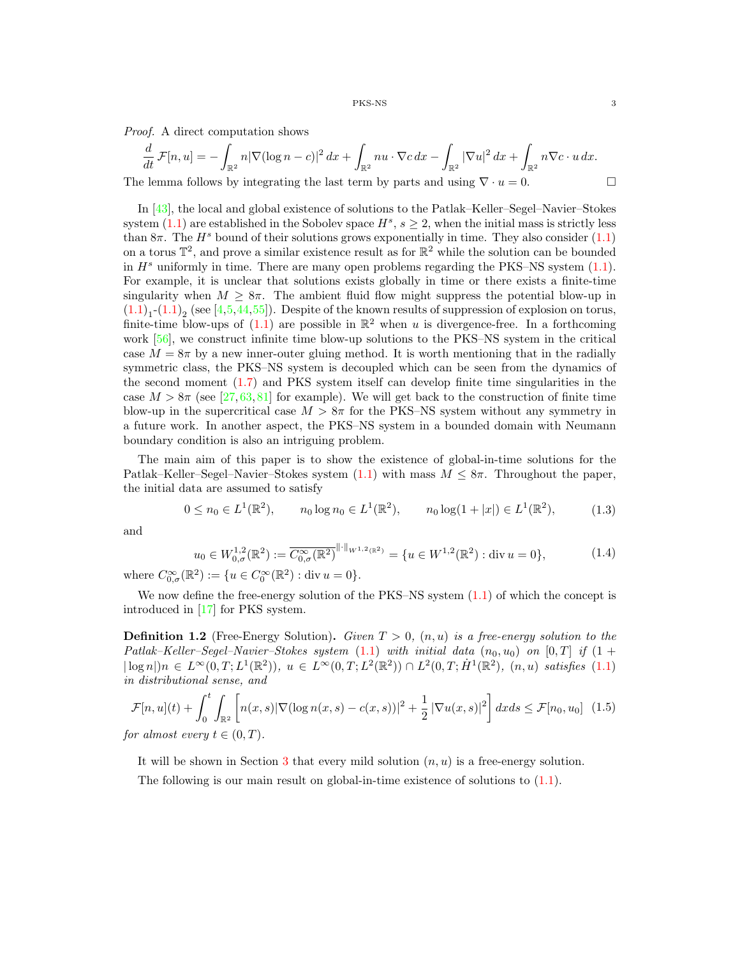Proof. A direct computation shows

$$
\frac{d}{dt}\mathcal{F}[n,u] = -\int_{\mathbb{R}^2} n|\nabla(\log n - c)|^2 dx + \int_{\mathbb{R}^2} nu \cdot \nabla c dx - \int_{\mathbb{R}^2} |\nabla u|^2 dx + \int_{\mathbb{R}^2} n\nabla c \cdot u dx.
$$
  
The lemma follows by integrating the last term by parts and using  $\nabla \cdot u = 0$ .

In [\[43\]](#page-30-0), the local and global existence of solutions to the Patlak–Keller–Segel–Navier–Stokes system  $(1.1)$  are established in the Sobolev space  $H^s$ ,  $s \geq 2$ , when the initial mass is strictly less than  $8\pi$ . The  $H^s$  bound of their solutions grows exponentially in time. They also consider [\(1.1\)](#page-0-0) on a torus  $\mathbb{T}^2$ , and prove a similar existence result as for  $\mathbb{R}^2$  while the solution can be bounded in  $H<sup>s</sup>$  uniformly in time. There are many open problems regarding the PKS–NS system [\(1.1\)](#page-0-0). For example, it is unclear that solutions exists globally in time or there exists a finite-time singularity when  $M \geq 8\pi$ . The ambient fluid flow might suppress the potential blow-up in  $(1.1)<sub>1</sub>$  $(1.1)<sub>1</sub>$ - $(1.1)<sub>2</sub>$  (see [\[4,](#page-29-0)[5,](#page-29-1)[44,](#page-31-0)[55\]](#page-31-22)). Despite of the known results of suppression of explosion on torus, finite-time blow-ups of  $(1.1)$  are possible in  $\mathbb{R}^2$  when u is divergence-free. In a forthcoming work [\[56\]](#page-31-23), we construct infinite time blow-up solutions to the PKS–NS system in the critical case  $M = 8\pi$  by a new inner-outer gluing method. It is worth mentioning that in the radially symmetric class, the PKS–NS system is decoupled which can be seen from the dynamics of the second moment [\(1.7\)](#page-3-0) and PKS system itself can develop finite time singularities in the case  $M > 8\pi$  (see [\[27,](#page-30-23) [63,](#page-31-24) [81\]](#page-32-1) for example). We will get back to the construction of finite time blow-up in the supercritical case  $M > 8\pi$  for the PKS–NS system without any symmetry in a future work. In another aspect, the PKS–NS system in a bounded domain with Neumann boundary condition is also an intriguing problem.

The main aim of this paper is to show the existence of global-in-time solutions for the Patlak–Keller–Segel–Navier–Stokes system  $(1.1)$  with mass  $M \leq 8\pi$ . Throughout the paper, the initial data are assumed to satisfy

$$
0 \le n_0 \in L^1(\mathbb{R}^2), \qquad n_0 \log n_0 \in L^1(\mathbb{R}^2), \qquad n_0 \log(1+|x|) \in L^1(\mathbb{R}^2), \tag{1.3}
$$

<span id="page-2-1"></span><span id="page-2-0"></span>and

$$
u_0 \in W^{1,2}_{0,\sigma}(\mathbb{R}^2) := \overline{C^{\infty}_{0,\sigma}(\mathbb{R}^2)}^{\| \cdot \|_{W^{1,2}(\mathbb{R}^2)}} = \{ u \in W^{1,2}(\mathbb{R}^2) : \text{div } u = 0 \},
$$
\n(1.4)

where  $C_{0,\sigma}^{\infty}(\mathbb{R}^2) := \{u \in C_0^{\infty}(\mathbb{R}^2) : \text{div } u = 0\}.$ 

We now define the free-energy solution of the PKS–NS system  $(1.1)$  of which the concept is introduced in [\[17\]](#page-30-11) for PKS system.

**Definition 1.2** (Free-Energy Solution). Given  $T > 0$ ,  $(n, u)$  is a free-energy solution to the Patlak–Keller–Segel–Navier–Stokes system  $(1.1)$  with initial data  $(n_0, u_0)$  on  $[0, T]$  if  $(1 +$  $|\log n|$  $n \in L^{\infty}(0,T; L^{1}(\mathbb{R}^{2}))$ ,  $u \in L^{\infty}(0,T; L^{2}(\mathbb{R}^{2})) \cap L^{2}(0,T; \dot{H}^{1}(\mathbb{R}^{2}))$ ,  $(n, u)$  satisfies [\(1.1\)](#page-0-0) in distributional sense, and

$$
\mathcal{F}[n, u](t) + \int_0^t \int_{\mathbb{R}^2} \left[ n(x, s) |\nabla(\log n(x, s) - c(x, s))|^2 + \frac{1}{2} |\nabla u(x, s)|^2 \right] dx ds \le \mathcal{F}[n_0, u_0]
$$
(1.5)  
for almost every  $t \in (0, T)$ 

for almost every  $t \in (0, T)$ .

It will be shown in Section [3](#page-7-0) that every mild solution  $(n, u)$  is a free-energy solution.

The following is our main result on global-in-time existence of solutions to  $(1.1)$ .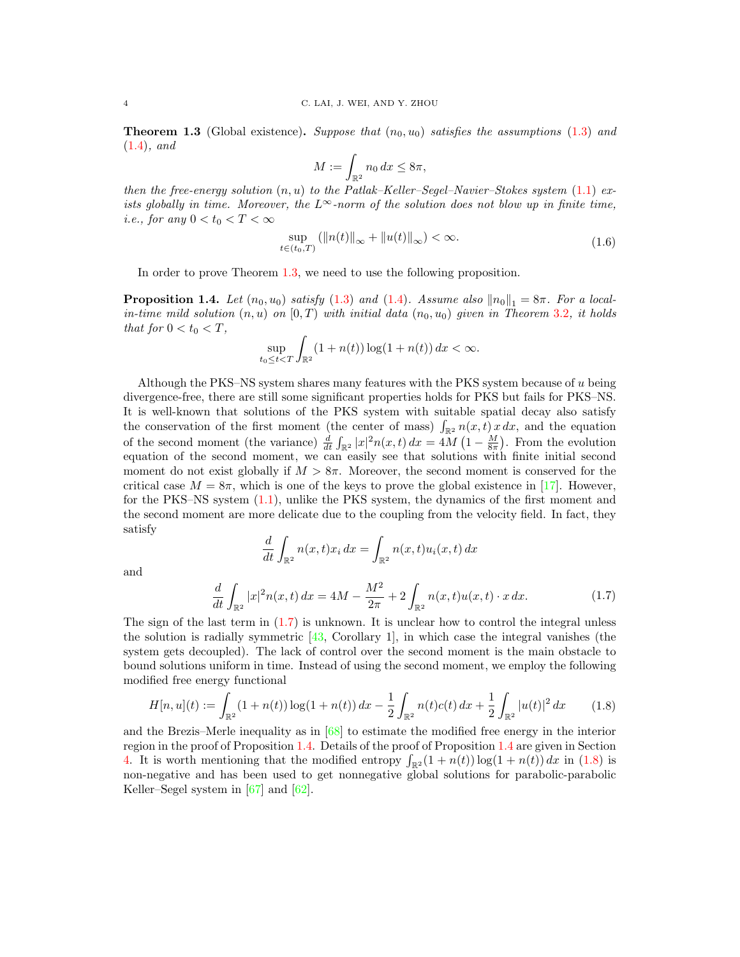<span id="page-3-1"></span>**Theorem 1.3** (Global existence). Suppose that  $(n_0, u_0)$  satisfies the assumptions [\(1.3\)](#page-2-0) and [\(1.4\)](#page-2-1), and

$$
M := \int_{\mathbb{R}^2} n_0 \, dx \le 8\pi,
$$

then the free-energy solution  $(n, u)$  to the Patlak–Keller–Segel–Navier–Stokes system  $(1.1)$  exists globally in time. Moreover, the  $L^{\infty}$ -norm of the solution does not blow up in finite time, i.e., for any  $0 < t_0 < T < \infty$ 

$$
\sup_{t \in (t_0, T)} (\|n(t)\|_{\infty} + \|u(t)\|_{\infty}) < \infty.
$$
 (1.6)

<span id="page-3-4"></span>In order to prove Theorem 1.[3,](#page-3-1) we need to use the following proposition.

<span id="page-3-2"></span>**Proposition 1.4.** Let  $(n_0, u_0)$  satisfy  $(1.3)$  and  $(1.4)$ . Assume also  $||n_0||_1 = 8\pi$ . For a localin-time mild solution  $(n, u)$  on  $[0, T)$  with initial data  $(n_0, u_0)$  given in Theorem [3](#page-8-0).2, it holds that for  $0 < t_0 < T$ ,

$$
\sup_{t_0\leq t
$$

Although the PKS–NS system shares many features with the PKS system because of u being divergence-free, there are still some significant properties holds for PKS but fails for PKS–NS. It is well-known that solutions of the PKS system with suitable spatial decay also satisfy the conservation of the first moment (the center of mass)  $\int_{\mathbb{R}^2} n(x,t) x dx$ , and the equation of the second moment (the variance)  $\frac{d}{dt} \int_{\mathbb{R}^2} |x|^2 n(x,t) dx = 4M\left(1 - \frac{M}{8\pi}\right)$ . From the evolution equation of the second moment, we can easily see that solutions with finite initial second moment do not exist globally if  $M > 8\pi$ . Moreover, the second moment is conserved for the critical case  $M = 8\pi$ , which is one of the keys to prove the global existence in [\[17\]](#page-30-11). However, for the PKS–NS system [\(1.1\)](#page-0-0), unlike the PKS system, the dynamics of the first moment and the second moment are more delicate due to the coupling from the velocity field. In fact, they satisfy

$$
\frac{d}{dt} \int_{\mathbb{R}^2} n(x,t)x_i dx = \int_{\mathbb{R}^2} n(x,t)u_i(x,t) dx
$$

<span id="page-3-0"></span>and

$$
\frac{d}{dt} \int_{\mathbb{R}^2} |x|^2 n(x, t) \, dx = 4M - \frac{M^2}{2\pi} + 2 \int_{\mathbb{R}^2} n(x, t) u(x, t) \cdot x \, dx. \tag{1.7}
$$

The sign of the last term in  $(1.7)$  is unknown. It is unclear how to control the integral unless the solution is radially symmetric  $[43,$  Corollary 1, in which case the integral vanishes (the system gets decoupled). The lack of control over the second moment is the main obstacle to bound solutions uniform in time. Instead of using the second moment, we employ the following modified free energy functional

<span id="page-3-3"></span>
$$
H[n, u](t) := \int_{\mathbb{R}^2} (1 + n(t)) \log(1 + n(t)) \, dx - \frac{1}{2} \int_{\mathbb{R}^2} n(t) c(t) \, dx + \frac{1}{2} \int_{\mathbb{R}^2} |u(t)|^2 \, dx \tag{1.8}
$$

and the Brezis–Merle inequality as in  $[68]$  to estimate the modified free energy in the interior region in the proof of Proposition 1.[4.](#page-3-2) Details of the proof of Proposition [1](#page-3-2).4 are given in Section [4.](#page-12-0) It is worth mentioning that the modified entropy  $\int_{\mathbb{R}^2} (1 + n(t)) \log(1 + n(t)) dx$  in [\(1.8\)](#page-3-3) is non-negative and has been used to get nonnegative global solutions for parabolic-parabolic Keller–Segel system in  $[67]$  and  $[62]$ .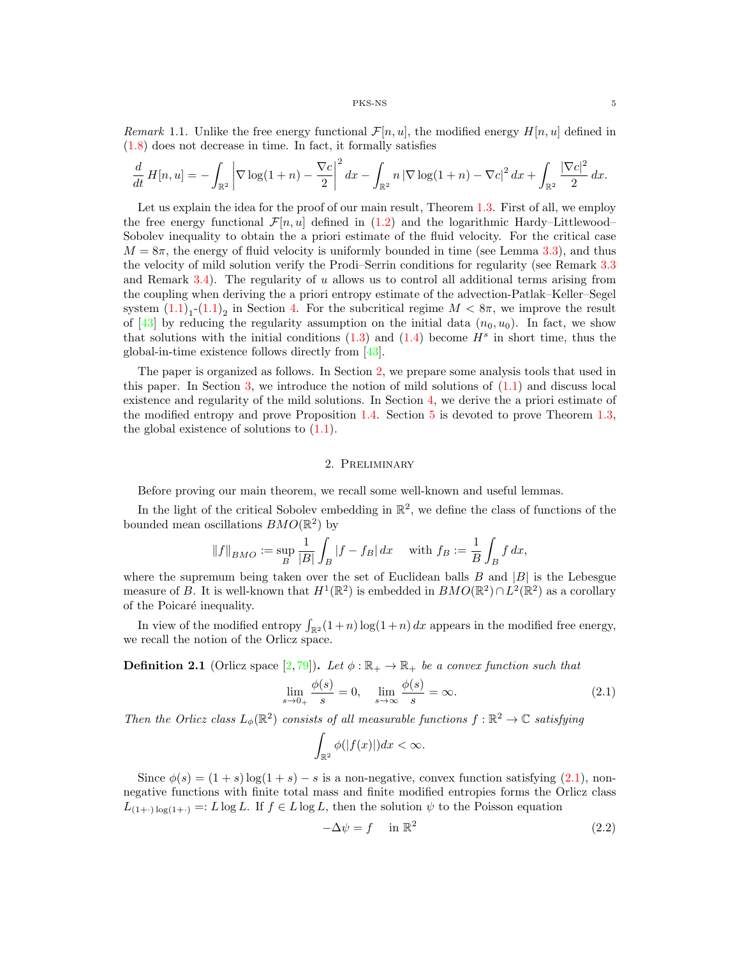Remark 1.1. Unlike the free energy functional  $\mathcal{F}[n, u]$ , the modified energy  $H[n, u]$  defined in [\(1.8\)](#page-3-3) does not decrease in time. In fact, it formally satisfies

$$
\frac{d}{dt} H[n, u] = -\int_{\mathbb{R}^2} \left| \nabla \log(1 + n) - \frac{\nabla c}{2} \right|^2 dx - \int_{\mathbb{R}^2} n \left| \nabla \log(1 + n) - \nabla c \right|^2 dx + \int_{\mathbb{R}^2} \frac{\left| \nabla c \right|^2}{2} dx.
$$

Let us explain the idea for the proof of our main result, Theorem 1.[3.](#page-3-1) First of all, we employ the free energy functional  $\mathcal{F}[n, u]$  defined in [\(1.2\)](#page-1-0) and the logarithmic Hardy–Littlewood– Sobolev inequality to obtain the a priori estimate of the fluid velocity. For the critical case  $M = 8\pi$ , the energy of fluid velocity is uniformly bounded in time (see Lemma 3.[3\)](#page-11-0), and thus the velocity of mild solution verify the Prodi–Serrin conditions for regularity (see Remark [3](#page-12-1).3 and Remark 3.[4\)](#page-12-2). The regularity of  $u$  allows us to control all additional terms arising from the coupling when deriving the a priori entropy estimate of the advection-Patlak–Keller–Segel system  $(1.1)<sub>1</sub>$  $(1.1)<sub>1</sub>$ - $(1.1)<sub>2</sub>$  in Section [4.](#page-12-0) For the subcritical regime  $M < 8\pi$ , we improve the result of [\[43\]](#page-30-0) by reducing the regularity assumption on the initial data  $(n_0, u_0)$ . In fact, we show that solutions with the initial conditions  $(1.3)$  and  $(1.4)$  become  $H<sup>s</sup>$  in short time, thus the global-in-time existence follows directly from [\[43\]](#page-30-0).

The paper is organized as follows. In Section [2,](#page-4-0) we prepare some analysis tools that used in this paper. In Section [3,](#page-7-0) we introduce the notion of mild solutions of  $(1.1)$  and discuss local existence and regularity of the mild solutions. In Section [4,](#page-12-0) we derive the a priori estimate of the modified entropy and prove Proposition 1.[4.](#page-3-2) Section [5](#page-25-0) is devoted to prove Theorem 1.[3,](#page-3-1) the global existence of solutions to [\(1.1\)](#page-0-0).

# 2. Preliminary

<span id="page-4-0"></span>Before proving our main theorem, we recall some well-known and useful lemmas.

In the light of the critical Sobolev embedding in  $\mathbb{R}^2$ , we define the class of functions of the bounded mean oscillations  $BMO(\mathbb{R}^2)$  by

$$
||f||_{BMO} := \sup_B \frac{1}{|B|} \int_B |f - f_B| dx
$$
 with  $f_B := \frac{1}{B} \int_B f dx$ ,

where the supremum being taken over the set of Euclidean balls  $B$  and  $|B|$  is the Lebesgue measure of B. It is well-known that  $H^1(\mathbb{R}^2)$  is embedded in  $BMO(\mathbb{R}^2) \cap L^2(\mathbb{R}^2)$  as a corollary of the Poicaré inequality.

In view of the modified entropy  $\int_{\mathbb{R}^2} (1+n) \log(1+n) dx$  appears in the modified free energy, we recall the notion of the Orlicz space.

<span id="page-4-1"></span>**Definition 2.1** (Orlicz space [\[2,](#page-29-14)[79\]](#page-32-11)). Let  $\phi : \mathbb{R}_+ \to \mathbb{R}_+$  be a convex function such that

$$
\lim_{s \to 0_+} \frac{\phi(s)}{s} = 0, \quad \lim_{s \to \infty} \frac{\phi(s)}{s} = \infty.
$$
\n(2.1)

Then the Orlicz class  $L_{\phi}(\mathbb{R}^2)$  consists of all measurable functions  $f : \mathbb{R}^2 \to \mathbb{C}$  satisfying

$$
\int_{\mathbb{R}^2} \phi(|f(x)|) dx < \infty.
$$

<span id="page-4-2"></span>Since  $\phi(s) = (1 + s) \log(1 + s) - s$  is a non-negative, convex function satisfying [\(2.1\)](#page-4-1), nonnegative functions with finite total mass and finite modified entropies forms the Orlicz class  $L_{(1+\cdot)\log(1+\cdot)} =: L \log L$ . If  $f \in L \log L$ , then the solution  $\psi$  to the Poisson equation

$$
-\Delta \psi = f \quad \text{in } \mathbb{R}^2 \tag{2.2}
$$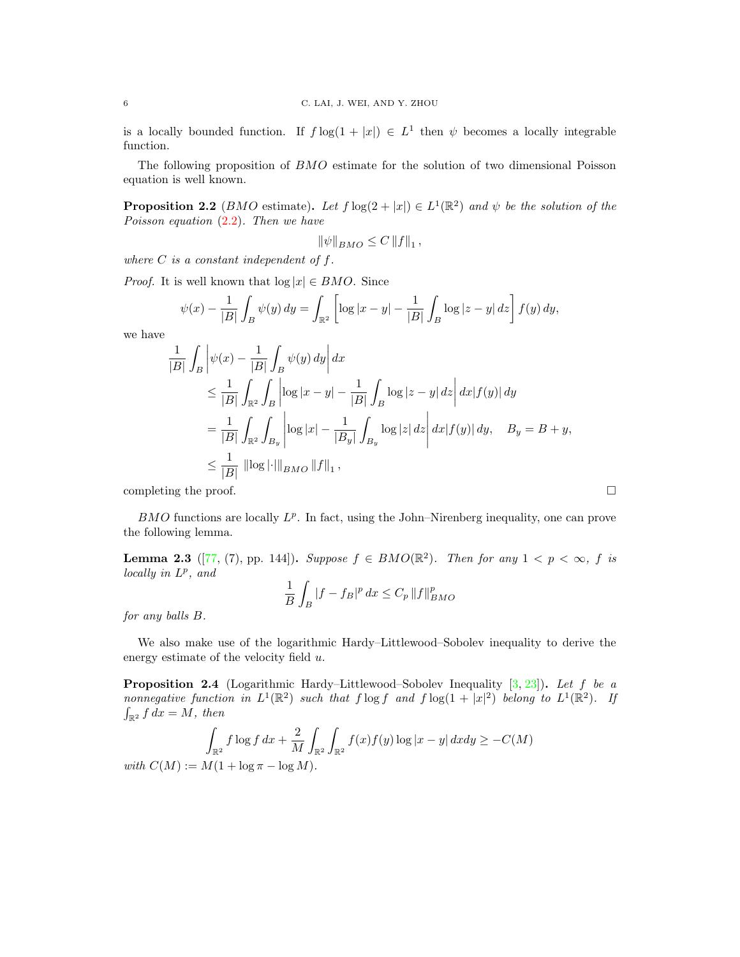is a locally bounded function. If  $f \log(1+|x|) \in L^1$  then  $\psi$  becomes a locally integrable function.

The following proposition of BMO estimate for the solution of two dimensional Poisson equation is well known.

<span id="page-5-1"></span>**Proposition 2.2** (*BMO* estimate). Let  $f \log(2 + |x|) \in L^1(\mathbb{R}^2)$  and  $\psi$  be the solution of the Poisson equation [\(2.2\)](#page-4-2). Then we have

$$
\|\psi\|_{BMO} \leq C\left\|f\right\|_1,
$$

where  $C$  is a constant independent of  $f$ .

*Proof.* It is well known that  $log |x| \in BMO$ . Since

$$
\psi(x) - \frac{1}{|B|} \int_B \psi(y) \, dy = \int_{\mathbb{R}^2} \left[ \log|x - y| - \frac{1}{|B|} \int_B \log|z - y| \, dz \right] f(y) \, dy,
$$

we have

$$
\frac{1}{|B|} \int_B \left| \psi(x) - \frac{1}{|B|} \int_B \psi(y) \, dy \right| dx
$$
\n
$$
\leq \frac{1}{|B|} \int_{\mathbb{R}^2} \int_B \left| \log |x - y| - \frac{1}{|B|} \int_B \log |z - y| \, dz \right| dx |f(y)| \, dy
$$
\n
$$
= \frac{1}{|B|} \int_{\mathbb{R}^2} \int_{B_y} \left| \log |x| - \frac{1}{|B_y|} \int_{B_y} \log |z| \, dz \right| dx |f(y)| \, dy, \quad B_y = B + y,
$$
\n
$$
\leq \frac{1}{|B|} \left| \log |\cdot| \right|_{BMO} \|f\|_1,
$$
\ncompleting the proof.

 $BMO$  functions are locally  $L^p$ . In fact, using the John–Nirenberg inequality, one can prove the following lemma.

<span id="page-5-2"></span>**Lemma 2.3** ([\[77,](#page-32-12) (7), pp. 144]). Suppose  $f \in BMO(\mathbb{R}^2)$ . Then for any  $1 < p < \infty$ , f is  $locally$  in  $L^p$ , and

$$
\frac{1}{B} \int_B |f - f_B|^p dx \le C_p \|f\|_{BMO}^p
$$

for any balls B.

We also make use of the logarithmic Hardy–Littlewood–Sobolev inequality to derive the energy estimate of the velocity field u.

<span id="page-5-0"></span>**Proposition 2.4** (Logarithmic Hardy–Littlewood–Sobolev Inequality  $[3, 23]$  $[3, 23]$  $[3, 23]$ ). Let f be a nonnegative function in  $L^1(\mathbb{R}^2)$  such that  $f \log f$  and  $f \log(1 + |x|^2)$  belong to  $L^1(\mathbb{R}^2)$ . If  $\int_{\mathbb{R}^2} f \, dx = M$ , then

$$
\int_{\mathbb{R}^2} f \log f \, dx + \frac{2}{M} \int_{\mathbb{R}^2} \int_{\mathbb{R}^2} f(x) f(y) \log |x - y| \, dxdy \ge -C(M)
$$
  

$$
M(1 + \log \pi - \log M)
$$

with  $C(M) := M(1 + \log \pi - \log M).$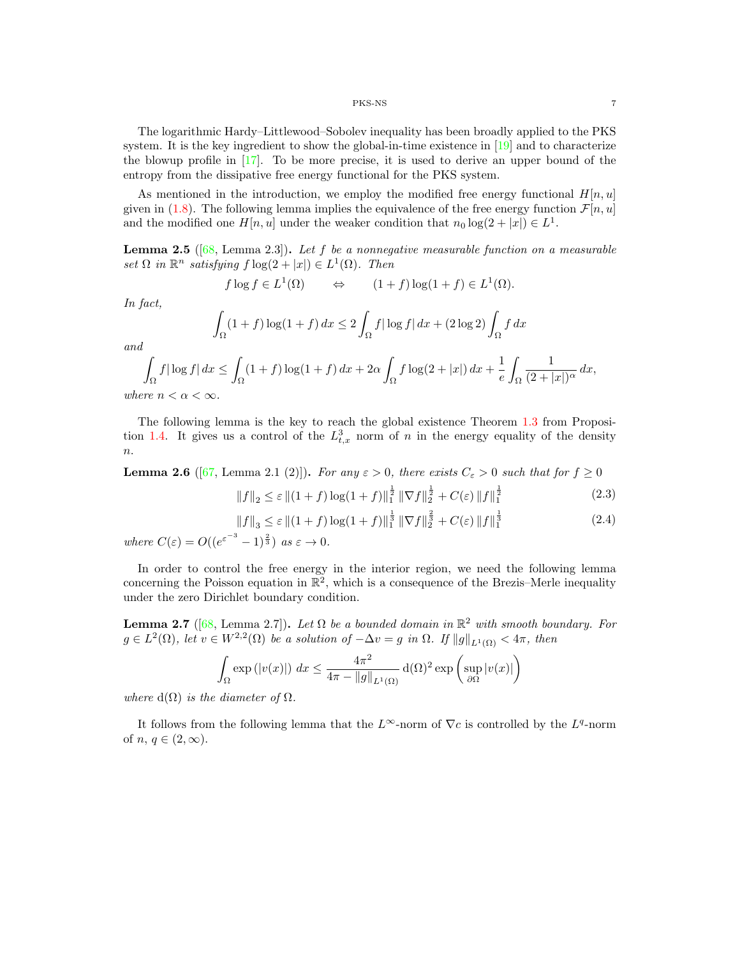The logarithmic Hardy–Littlewood–Sobolev inequality has been broadly applied to the PKS system. It is the key ingredient to show the global-in-time existence in [\[19\]](#page-30-2) and to characterize the blowup profile in [\[17\]](#page-30-11). To be more precise, it is used to derive an upper bound of the entropy from the dissipative free energy functional for the PKS system.

As mentioned in the introduction, we employ the modified free energy functional  $H[n, u]$ given in [\(1.8\)](#page-3-3). The following lemma implies the equivalence of the free energy function  $\mathcal{F}[n, u]$ and the modified one  $H[n, u]$  under the weaker condition that  $n_0 \log(2 + |x|) \in L^1$ .

**Lemma 2.5** ([\[68,](#page-31-13) Lemma 2.3]). Let f be a nonnegative measurable function on a measurable set  $\Omega$  in  $\mathbb{R}^n$  satisfying  $f \log(2 + |x|) \in L^1(\Omega)$ . Then

$$
f \log f \in L^1(\Omega)
$$
  $\Leftrightarrow$   $(1 + f) \log(1 + f) \in L^1(\Omega)$ .

In fact,

$$
\int_{\Omega} (1+f) \log(1+f) dx \le 2 \int_{\Omega} f |\log f| dx + (2 \log 2) \int_{\Omega} f dx
$$

and

$$
\int_{\Omega} f|\log f| dx \le \int_{\Omega} (1+f)\log(1+f) dx + 2\alpha \int_{\Omega} f\log(2+|x|) dx + \frac{1}{e} \int_{\Omega} \frac{1}{(2+|x|)^{\alpha}} dx,
$$
  
where  $n < \alpha < \infty$ .

The following lemma is the key to reach the global existence Theorem [1](#page-3-1).3 from Proposi-tion 1.[4.](#page-3-2) It gives us a control of the  $L_{t,x}^3$  norm of n in the energy equality of the density  $\overline{n}$ .

**Lemma 2.6** ([\[67,](#page-31-25) Lemma 2.1 (2)]). For any  $\varepsilon > 0$ , there exists  $C_{\varepsilon} > 0$  such that for  $f \ge 0$ 

$$
||f||_2 \le \varepsilon ||(1+f)\log(1+f)||_1^{\frac{1}{2}} ||\nabla f||_2^{\frac{1}{2}} + C(\varepsilon) ||f||_1^{\frac{1}{2}} \tag{2.3}
$$

$$
||f||_3 \leq \varepsilon ||(1+f)\log(1+f)||_1^{\frac{1}{3}} ||\nabla f||_2^{\frac{2}{3}} + C(\varepsilon) ||f||_1^{\frac{1}{3}} \tag{2.4}
$$

<span id="page-6-1"></span>where  $C(\varepsilon) = O((e^{\varepsilon^{-3}} - 1)^{\frac{2}{3}})$  as  $\varepsilon \to 0$ .

In order to control the free energy in the interior region, we need the following lemma concerning the Poisson equation in  $\mathbb{R}^2$ , which is a consequence of the Brezis–Merle inequality under the zero Dirichlet boundary condition.

<span id="page-6-0"></span>**Lemma 2.7** ([\[68,](#page-31-13) Lemma 2.7]). Let  $\Omega$  be a bounded domain in  $\mathbb{R}^2$  with smooth boundary. For  $g \in L^2(\Omega)$ , let  $v \in W^{2,2}(\Omega)$  be a solution of  $-\Delta v = g$  in  $\Omega$ . If  $||g||_{L^1(\Omega)} < 4\pi$ , then

$$
\int_{\Omega} \exp\left(|v(x)|\right) dx \le \frac{4\pi^2}{4\pi - \|g\|_{L^1(\Omega)}} d(\Omega)^2 \exp\left(\sup_{\partial\Omega}|v(x)|\right)
$$

where  $d(\Omega)$  is the diameter of  $\Omega$ .

It follows from the following lemma that the  $L^{\infty}$ -norm of  $\nabla c$  is controlled by the  $L^{q}$ -norm of  $n, q \in (2, \infty)$ .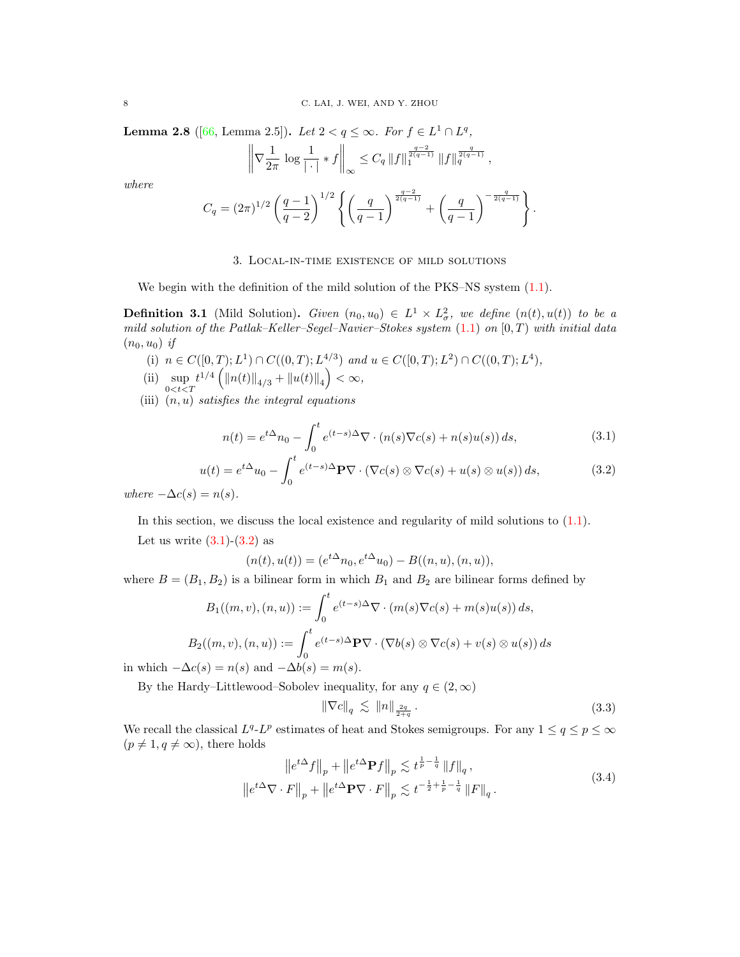<span id="page-7-5"></span>**Lemma 2.8** ([\[66,](#page-31-27) Lemma 2.5]). Let  $2 < q \le \infty$ . For  $f \in L^1 \cap L^q$ ,

$$
\left\|\nabla \frac{1}{2\pi} \log \frac{1}{|\cdot|} * f\right\|_{\infty} \leq C_q \left\|f\right\|_{1}^{\frac{q-2}{2(q-1)}} \|f\|_{q}^{\frac{q}{2(q-1)}},
$$

where

$$
C_q = (2\pi)^{1/2} \left(\frac{q-1}{q-2}\right)^{1/2} \left\{ \left(\frac{q}{q-1}\right)^{\frac{q-2}{2(q-1)}} + \left(\frac{q}{q-1}\right)^{-\frac{q}{2(q-1)}} \right\}.
$$

## 3. Local-in-time existence of mild solutions

<span id="page-7-0"></span>We begin with the definition of the mild solution of the PKS–NS system  $(1.1)$ .

**Definition 3.1** (Mild Solution). Given  $(n_0, u_0) \in L^1 \times L^2_\sigma$ , we define  $(n(t), u(t))$  to be a mild solution of the Patlak–Keller–Segel–Navier–Stokes system  $(1.1)$  on  $[0, T)$  with initial data  $(n_0, u_0)$  if

- (i)  $n \in C([0,T);L^1) \cap C((0,T);L^{4/3})$  and  $u \in C([0,T);L^2) \cap C((0,T);L^4)$ ,
- (ii)  $\sup_{0 < t < T} t^{1/4} \left( \|n(t)\|_{4/3} + \|u(t)\|_{4} \right) < \infty$ ,
- <span id="page-7-1"></span>(iii)  $(n, u)$  satisfies the integral equations

$$
n(t) = e^{t\Delta}n_0 - \int_0^t e^{(t-s)\Delta}\nabla \cdot (n(s)\nabla c(s) + n(s)u(s)) ds,
$$
\n(3.1)

$$
u(t) = e^{t\Delta}u_0 - \int_0^t e^{(t-s)\Delta} \mathbf{P} \nabla \cdot (\nabla c(s) \otimes \nabla c(s) + u(s) \otimes u(s)) ds,
$$
\n(3.2)

<span id="page-7-2"></span>where  $-\Delta c(s) = n(s)$ .

In this section, we discuss the local existence and regularity of mild solutions to [\(1.1\)](#page-0-0). Let us write  $(3.1)-(3.2)$  $(3.1)-(3.2)$  $(3.1)-(3.2)$  as

$$
(n(t), u(t)) = (e^{t\Delta}n_0, e^{t\Delta}u_0) - B((n, u), (n, u)),
$$

where  $B = (B_1, B_2)$  is a bilinear form in which  $B_1$  and  $B_2$  are bilinear forms defined by

$$
B_1((m, v), (n, u)) := \int_0^t e^{(t-s)\Delta} \nabla \cdot (m(s)\nabla c(s) + m(s)u(s)) ds,
$$
  

$$
B_2((m, v), (n, u)) := \int_0^t e^{(t-s)\Delta} \mathbf{P} \nabla \cdot (\nabla b(s) \otimes \nabla c(s) + v(s) \otimes u(s)) ds
$$

in which  $-\Delta c(s) = n(s)$  and  $-\Delta b(s) = m(s)$ .

<span id="page-7-4"></span>By the Hardy–Littlewood–Sobolev inequality, for any  $q \in (2,\infty)$ 

$$
\|\nabla c\|_q \lesssim \|n\|_{\frac{2q}{2+q}}.
$$
\n(3.3)

<span id="page-7-3"></span>We recall the classical  $L^q L^p$  estimates of heat and Stokes semigroups. For any  $1 \le q \le p \le \infty$  $(p \neq 1, q \neq \infty)$ , there holds

$$
\|e^{t\Delta}f\|_{p} + \|e^{t\Delta}\mathbf{P}f\|_{p} \lesssim t^{\frac{1}{p} - \frac{1}{q}} \|f\|_{q},
$$
  

$$
\|e^{t\Delta}\nabla \cdot F\|_{p} + \|e^{t\Delta}\mathbf{P}\nabla \cdot F\|_{p} \lesssim t^{-\frac{1}{2} + \frac{1}{p} - \frac{1}{q}} \|F\|_{q}.
$$
 (3.4)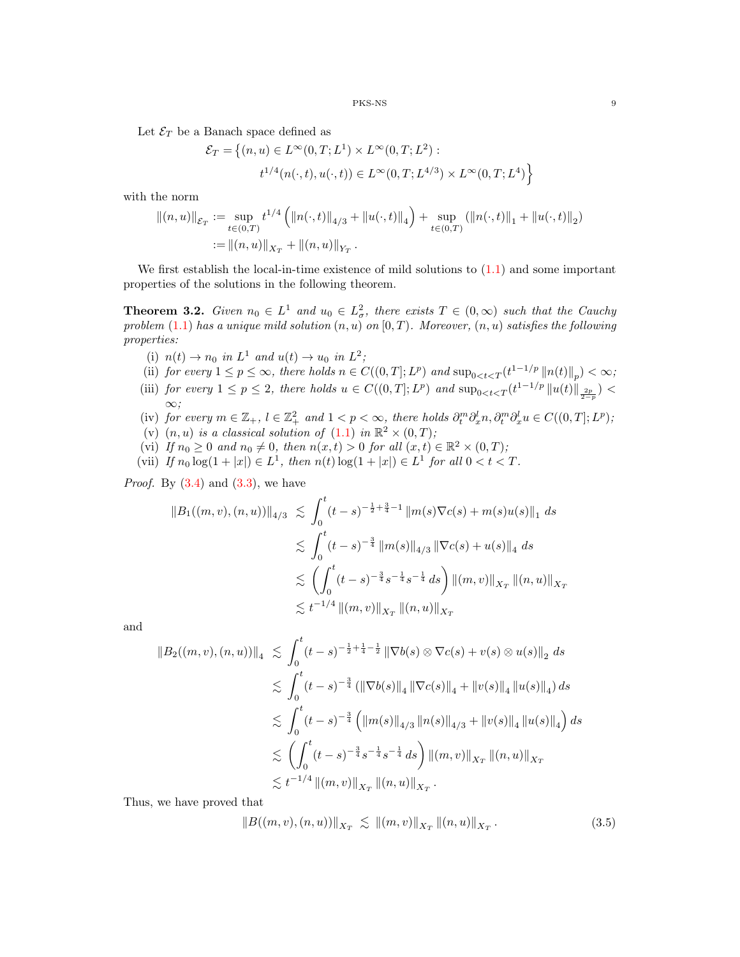Let  $\mathcal{E}_T$  be a Banach space defined as

$$
\mathcal{E}_T = \left\{ (n, u) \in L^{\infty}(0, T; L^1) \times L^{\infty}(0, T; L^2) : \right\}
$$
  

$$
t^{1/4}(n(\cdot, t), u(\cdot, t)) \in L^{\infty}(0, T; L^{4/3}) \times L^{\infty}(0, T; L^4) \right\}
$$

with the norm

$$
||(n,u)||_{\mathcal{E}_T} := \sup_{t \in (0,T)} t^{1/4} \left( ||n(\cdot,t)||_{4/3} + ||u(\cdot,t)||_4 \right) + \sup_{t \in (0,T)} (||n(\cdot,t)||_1 + ||u(\cdot,t)||_2)
$$
  
 
$$
:= ||(n,u)||_{X_T} + ||(n,u)||_{Y_T}.
$$

We first establish the local-in-time existence of mild solutions to  $(1.1)$  and some important properties of the solutions in the following theorem.

<span id="page-8-0"></span>**Theorem 3.2.** Given  $n_0 \in L^1$  and  $u_0 \in L^2_\sigma$ , there exists  $T \in (0,\infty)$  such that the Cauchy problem [\(1.1\)](#page-0-0) has a unique mild solution  $(n, u)$  on  $[0, T)$ . Moreover,  $(n, u)$  satisfies the following properties:

- (i)  $n(t) \rightarrow n_0$  in  $L^1$  and  $u(t) \rightarrow u_0$  in  $L^2$ ;
- (ii) for every  $1 \leq p \leq \infty$ , there holds  $n \in C((0,T];L^p)$  and  $\sup_{0 \leq t \leq T} (t^{1-1/p} ||n(t)||_p) < \infty$ ;
- (iii) for every  $1 \leq p \leq 2$ , there holds  $u \in C((0,T];L^p)$  and  $\sup_{0 \leq t \leq T} (t^{1-1/p} ||u(t)||_{\frac{2p}{2-p}})$ ∞;
- (iv) for every  $m \in \mathbb{Z}_+$ ,  $l \in \mathbb{Z}_+^2$  and  $1 < p < \infty$ , there holds  $\partial_t^m \partial_x^l n, \partial_t^m \partial_x^l u \in C((0, T]; L^p)$ ;
- (v)  $(n, u)$  is a classical solution of  $(1.1)$  in  $\mathbb{R}^2 \times (0, T)$ ;
- (vi) If  $n_0 \geq 0$  and  $n_0 \neq 0$ , then  $n(x,t) > 0$  for all  $(x,t) \in \mathbb{R}^2 \times (0,T)$ ;
- (vii) If  $n_0 \log(1+|x|) \in L^1$ , then  $n(t) \log(1+|x|) \in L^1$  for all  $0 < t < T$ .

*Proof.* By  $(3.4)$  and  $(3.3)$ , we have

$$
||B_1((m, v), (n, u))||_{4/3} \leq \int_0^t (t - s)^{-\frac{1}{2} + \frac{3}{4} - 1} ||m(s)\nabla c(s) + m(s)u(s)||_1 ds
$$
  

$$
\leq \int_0^t (t - s)^{-\frac{3}{4}} ||m(s)||_{4/3} ||\nabla c(s) + u(s)||_4 ds
$$
  

$$
\leq \left(\int_0^t (t - s)^{-\frac{3}{4}} s^{-\frac{1}{4}} s^{-\frac{1}{4}} ds\right) ||(m, v)||_{X_T} ||(n, u)||_{X_T}
$$
  

$$
\leq t^{-1/4} ||(m, v)||_{X_T} ||(n, u)||_{X_T}
$$

and

$$
||B_2((m, v), (n, u))||_4 \leq \int_0^t (t - s)^{-\frac{1}{2} + \frac{1}{4} - \frac{1}{2}} \|\nabla b(s) \otimes \nabla c(s) + v(s) \otimes u(s)||_2 ds
$$
  

$$
\leq \int_0^t (t - s)^{-\frac{3}{4}} (\|\nabla b(s)\|_4 \|\nabla c(s)\|_4 + \|v(s)\|_4 \|u(s)\|_4) ds
$$
  

$$
\leq \int_0^t (t - s)^{-\frac{3}{4}} (\|m(s)\|_{4/3} \|n(s)\|_{4/3} + \|v(s)\|_4 \|u(s)\|_4) ds
$$
  

$$
\leq \left(\int_0^t (t - s)^{-\frac{3}{4}} s^{-\frac{1}{4}} s^{-\frac{1}{4}} ds\right) \|(m, v)\|_{X_T} \|(n, u)\|_{X_T}
$$
  

$$
\leq t^{-1/4} \|(m, v)\|_{X_T} \|(n, u)\|_{X_T}.
$$

<span id="page-8-1"></span>Thus, we have proved that

$$
||B((m,v),(n,u))||_{X_T} \lesssim ||(m,v)||_{X_T} ||(n,u)||_{X_T}.
$$
 (3.5)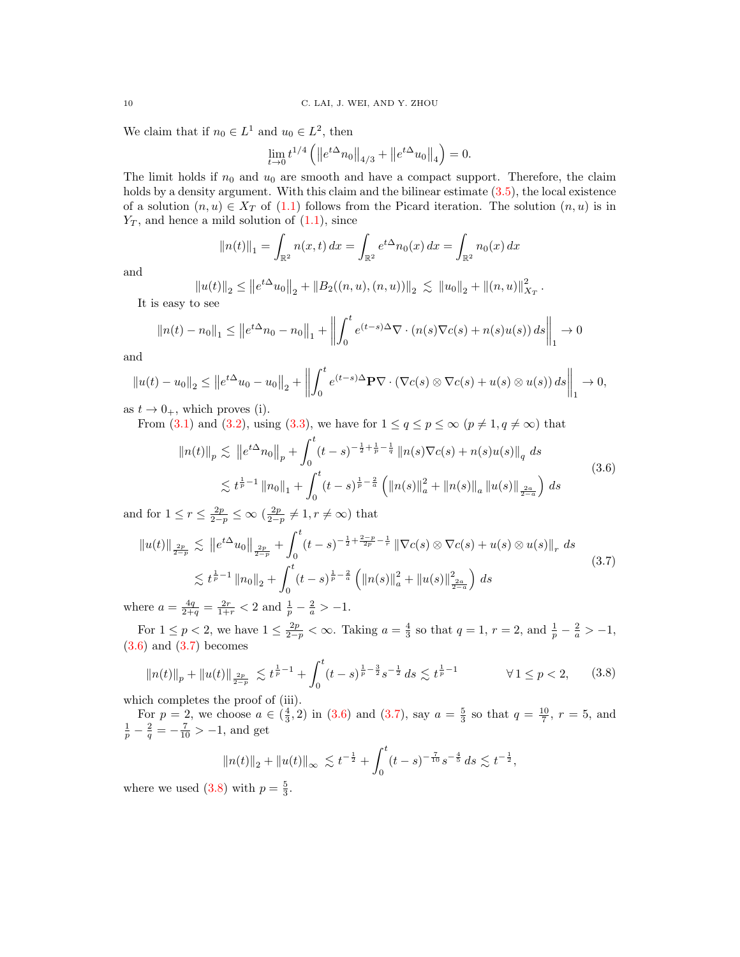We claim that if  $n_0 \in L^1$  and  $u_0 \in L^2$ , then

$$
\lim_{t \to 0} t^{1/4} \left( \left\| e^{t\Delta} n_0 \right\|_{4/3} + \left\| e^{t\Delta} u_0 \right\|_4 \right) = 0.
$$

The limit holds if  $n_0$  and  $u_0$  are smooth and have a compact support. Therefore, the claim holds by a density argument. With this claim and the bilinear estimate  $(3.5)$ , the local existence of a solution  $(n, u) \in X_T$  of [\(1.1\)](#page-0-0) follows from the Picard iteration. The solution  $(n, u)$  is in  $Y_T$ , and hence a mild solution of  $(1.1)$ , since

$$
||n(t)||_1 = \int_{\mathbb{R}^2} n(x, t) dx = \int_{\mathbb{R}^2} e^{t\Delta} n_0(x) dx = \int_{\mathbb{R}^2} n_0(x) dx
$$

and

$$
||u(t)||_2 \le ||e^{t\Delta}u_0||_2 + ||B_2((n,u),(n,u))||_2 \lesssim ||u_0||_2 + ||(n,u)||^2_{X_T}.
$$

It is easy to see

$$
||n(t) - n_0||_1 \le ||e^{t\Delta}n_0 - n_0||_1 + \left||\int_0^t e^{(t-s)\Delta} \nabla \cdot (n(s)\nabla c(s) + n(s)u(s)) ds\right||_1 \to 0
$$

and

$$
||u(t) - u_0||_2 \le ||e^{t\Delta}u_0 - u_0||_2 + \left\|\int_0^t e^{(t-s)\Delta} \mathbf{P} \nabla \cdot (\nabla c(s) \otimes \nabla c(s) + u(s) \otimes u(s)) ds \right\|_1 \to 0,
$$

as  $t \to 0_+$ , which proves (i).

<span id="page-9-0"></span>From [\(3.1\)](#page-7-1) and [\(3.2\)](#page-7-2), using [\(3.3\)](#page-7-4), we have for  $1 \le q \le p \le \infty$   $(p \ne 1, q \ne \infty)$  that

$$
\|n(t)\|_{p} \lesssim \|e^{t\Delta}n_{0}\|_{p} + \int_{0}^{t} (t-s)^{-\frac{1}{2} + \frac{1}{p} - \frac{1}{q}} \|n(s)\nabla c(s) + n(s)u(s)\|_{q} ds
$$
  

$$
\lesssim t^{\frac{1}{p} - 1} \|n_{0}\|_{1} + \int_{0}^{t} (t-s)^{\frac{1}{p} - \frac{2}{a}} \left( \|n(s)\|_{a}^{2} + \|n(s)\|_{a} \|u(s)\|_{\frac{2a}{2-a}} \right) ds
$$
\n(3.6)

and for  $1 \leq r \leq \frac{2p}{2-p} \leq \infty \left(\frac{2p}{2-p} \neq 1, r \neq \infty\right)$  that

<span id="page-9-1"></span>
$$
||u(t)||_{\frac{2p}{2-p}} \lesssim ||e^{t\Delta}u_0||_{\frac{2p}{2-p}} + \int_0^t (t-s)^{-\frac{1}{2} + \frac{2-p}{2p} - \frac{1}{r}} ||\nabla c(s) \otimes \nabla c(s) + u(s) \otimes u(s)||_r ds
$$
  

$$
\lesssim t^{\frac{1}{p}-1} ||n_0||_2 + \int_0^t (t-s)^{\frac{1}{p}-\frac{2}{a}} \left( ||n(s)||_a^2 + ||u(s)||_{\frac{2a}{2-a}}^2 \right) ds
$$
  
or  $a = \frac{4q}{2a} - \frac{2r}{a} \leq 2$  and  $\frac{1}{2a} - \frac{2}{a} \geq -1$  (3.7)

where  $a = \frac{4q}{2+q} = \frac{2r}{1+r} < 2$  and  $\frac{1}{p} - \frac{2}{a} > -1$ .

For  $1 \le p < 2$ , we have  $1 \le \frac{2p}{2-p} < \infty$ . Taking  $a = \frac{4}{3}$  so that  $q = 1$ ,  $r = 2$ , and  $\frac{1}{p} - \frac{2}{a} > -1$ ,  $(3.6)$  and  $(3.7)$  becomes

<span id="page-9-2"></span>
$$
||n(t)||_p + ||u(t)||_{\frac{2p}{2-p}} \lesssim t^{\frac{1}{p}-1} + \int_0^t (t-s)^{\frac{1}{p}-\frac{3}{2}} s^{-\frac{1}{2}} ds \lesssim t^{\frac{1}{p}-1} \qquad \forall 1 \le p < 2, \qquad (3.8)
$$

which completes the proof of (iii).

For  $p = 2$ , we choose  $a \in (\frac{4}{3}, 2)$  in  $(3.6)$  and  $(3.7)$ , say  $a = \frac{5}{3}$  so that  $q = \frac{10}{7}$ ,  $r = 5$ , and  $\frac{1}{p} - \frac{2}{q} = -\frac{7}{10} > -1$ , and get

$$
||n(t)||_2 + ||u(t)||_{\infty} \lesssim t^{-\frac{1}{2}} + \int_0^t (t-s)^{-\frac{7}{10}} s^{-\frac{4}{5}} ds \lesssim t^{-\frac{1}{2}},
$$

where we used [\(3.8\)](#page-9-2) with  $p = \frac{5}{3}$ .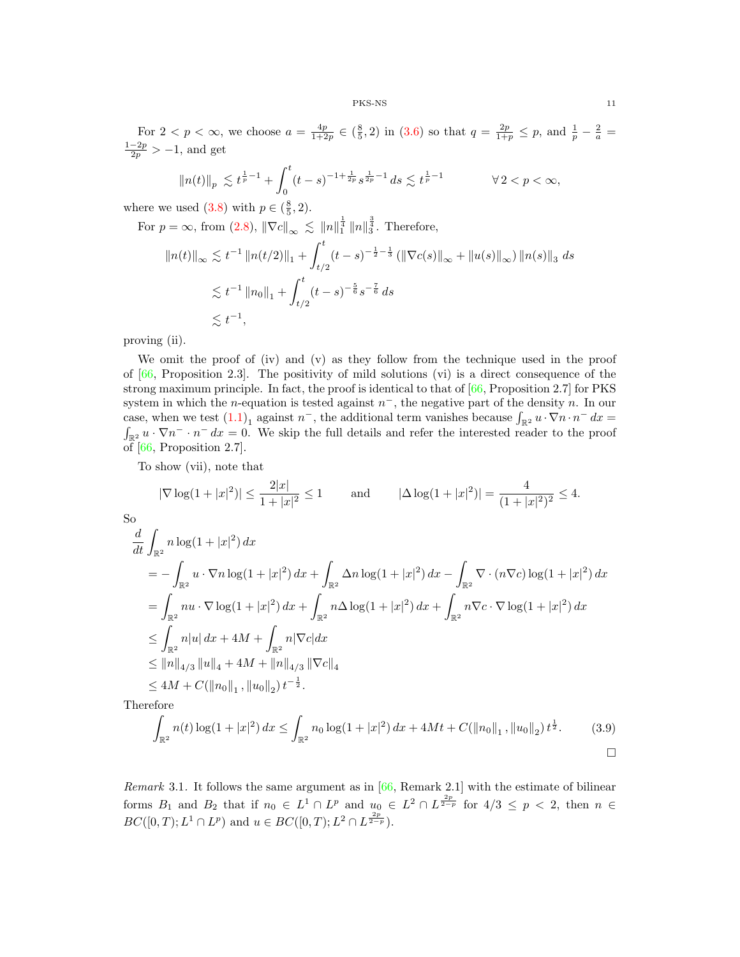For  $2 < p < \infty$ , we choose  $a = \frac{4p}{1+2p} \in (\frac{8}{5}, 2)$  in [\(3.6\)](#page-9-0) so that  $q = \frac{2p}{1+p} \leq p$ , and  $\frac{1}{p} - \frac{2}{a} =$  $\frac{1-2p}{2p}$  > -1, and get

$$
\|n(t)\|_p \ \lesssim \ t^{\frac{1}{p}-1} + \int_0^t (t-s)^{-1+\frac{1}{2p}} s^{\frac{1}{2p}-1} \, ds \lesssim t^{\frac{1}{p}-1} \qquad \qquad \forall \, 2 < p < \infty,
$$

where we used  $(3.8)$  with  $p \in (\frac{8}{5}, 2)$ .

For 
$$
p = \infty
$$
, from (2.8),  $\|\nabla c\|_{\infty} \lesssim \|n\|_1^{\frac{1}{4}} \|n\|_3^{\frac{3}{4}}$ . Therefore,  
\n $\|n(t)\|_{\infty} \lesssim t^{-1} \|n(t/2)\|_1 + \int_{t/2}^t (t-s)^{-\frac{1}{2}-\frac{1}{3}} (\|\nabla c(s)\|_{\infty} + \|u(s)\|_{\infty}) \|n(s)\|_3 ds$   
\n $\lesssim t^{-1} \|n_0\|_1 + \int_{t/2}^t (t-s)^{-\frac{5}{6}} s^{-\frac{7}{6}} ds$   
\n $\lesssim t^{-1}$ ,

proving (ii).

We omit the proof of (iv) and (v) as they follow from the technique used in the proof of  $[66,$  Proposition 2.3]. The positivity of mild solutions (vi) is a direct consequence of the strong maximum principle. In fact, the proof is identical to that of [\[66,](#page-31-27) Proposition 2.7] for PKS system in which the *n*-equation is tested against  $n^-$ , the negative part of the density n. In our case, when we test  $(1.1)_1$  $(1.1)_1$  against  $n^-$ , the additional term vanishes because  $\int_{\mathbb{R}^2} u \cdot \nabla n \cdot n^- dx =$  $\int_{\mathbb{R}^2} u \cdot \nabla n^- \cdot n^- dx = 0$ . We skip the full details and refer the interested reader to the proof of [\[66,](#page-31-27) Proposition 2.7].

To show (vii), note that

$$
|\nabla \log(1+|x|^2)| \le \frac{2|x|}{1+|x|^2} \le 1
$$
 and  $|\Delta \log(1+|x|^2)| = \frac{4}{(1+|x|^2)^2} \le 4.$ 

So

$$
\frac{d}{dt} \int_{\mathbb{R}^2} n \log(1+|x|^2) dx
$$
\n
$$
= -\int_{\mathbb{R}^2} u \cdot \nabla n \log(1+|x|^2) dx + \int_{\mathbb{R}^2} \Delta n \log(1+|x|^2) dx - \int_{\mathbb{R}^2} \nabla \cdot (n \nabla c) \log(1+|x|^2) dx
$$
\n
$$
= \int_{\mathbb{R}^2} n u \cdot \nabla \log(1+|x|^2) dx + \int_{\mathbb{R}^2} n \Delta \log(1+|x|^2) dx + \int_{\mathbb{R}^2} n \nabla c \cdot \nabla \log(1+|x|^2) dx
$$
\n
$$
\leq \int_{\mathbb{R}^2} n|u| dx + 4M + \int_{\mathbb{R}^2} n|\nabla c| dx
$$
\n
$$
\leq ||n||_{4/3} ||u||_4 + 4M + ||n||_{4/3} ||\nabla c||_4
$$
\n
$$
\leq 4M + C(||n_0||_1, ||u_0||_2) t^{-\frac{1}{2}}.
$$
\nTherefore

<span id="page-10-0"></span> $\mathbf T$ 

$$
\int_{\mathbb{R}^2} n(t) \log(1+|x|^2) dx \le \int_{\mathbb{R}^2} n_0 \log(1+|x|^2) dx + 4Mt + C(||n_0||_1, ||u_0||_2) t^{\frac{1}{2}}.
$$
 (3.9)

<span id="page-10-1"></span>Remark 3.1. It follows the same argument as in  $[66,$  Remark 2.1 with the estimate of bilinear forms  $B_1$  and  $B_2$  that if  $n_0 \in L^1 \cap L^p$  and  $u_0 \in L^2 \cap L^{\frac{2p}{2-p}}$  for  $4/3 \leq p < 2$ , then  $n \in$  $BC([0,T); L<sup>1</sup> \cap L<sup>p</sup>)$  and  $u \in BC([0,T); L<sup>2</sup> \cap L^{\frac{2p}{2-p}})$ .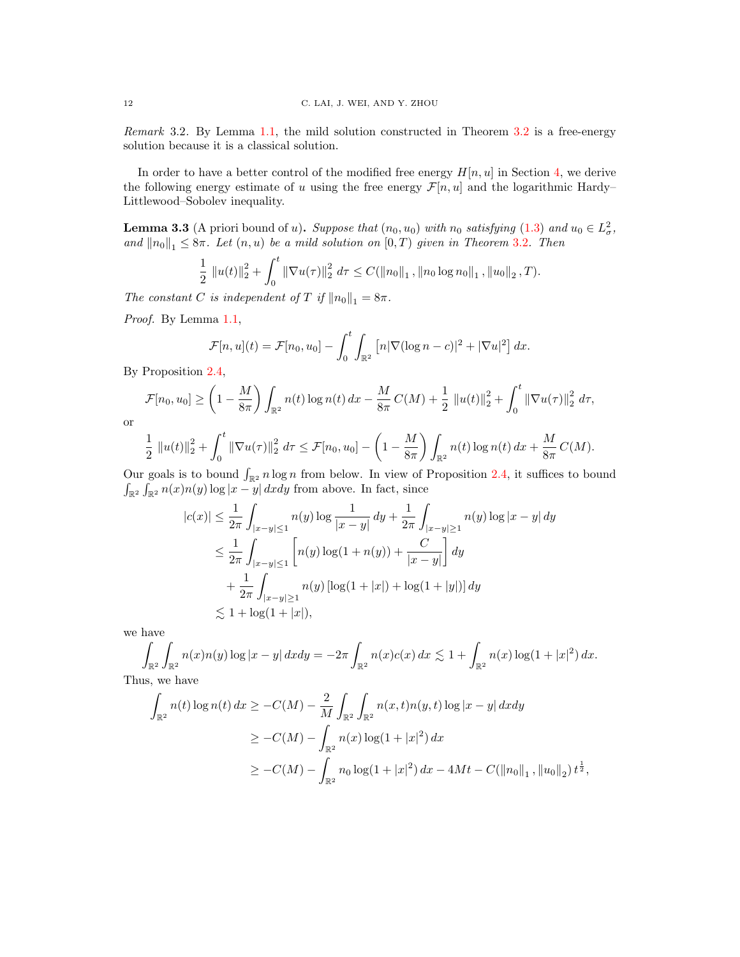Remark 3.2. By Lemma 1.[1,](#page-1-1) the mild solution constructed in Theorem [3](#page-8-0).2 is a free-energy solution because it is a classical solution.

In order to have a better control of the modified free energy  $H[n, u]$  in Section [4,](#page-12-0) we derive the following energy estimate of u using the free energy  $\mathcal{F}[n, u]$  and the logarithmic Hardy– Littlewood–Sobolev inequality.

<span id="page-11-0"></span>**Lemma 3.3** (A priori bound of u). Suppose that  $(n_0, u_0)$  with  $n_0$  satisfying  $(1.3)$  and  $u_0 \in L^2_{\sigma}$ , and  $||n_0||_1 \leq 8\pi$ . Let  $(n, u)$  be a mild solution on  $[0, T)$  given in Theorem [3](#page-8-0).2. Then

$$
\frac{1}{2} ||u(t)||_2^2 + \int_0^t ||\nabla u(\tau)||_2^2 d\tau \leq C(||n_0||_1, ||n_0 \log n_0||_1, ||u_0||_2, T).
$$

The constant C is independent of T if  $||n_0||_1 = 8\pi$ .

Proof. By Lemma 1.[1,](#page-1-1)

$$
\mathcal{F}[n, u](t) = \mathcal{F}[n_0, u_0] - \int_0^t \int_{\mathbb{R}^2} \left[ n|\nabla(\log n - c)|^2 + |\nabla u|^2 \right] dx.
$$

By Proposition 2.[4,](#page-5-0)

$$
\mathcal{F}[n_0, u_0] \ge \left(1 - \frac{M}{8\pi}\right) \int_{\mathbb{R}^2} n(t) \log n(t) \, dx - \frac{M}{8\pi} C(M) + \frac{1}{2} ||u(t)||_2^2 + \int_0^t ||\nabla u(\tau)||_2^2 \, d\tau,
$$

or

$$
\frac{1}{2} ||u(t)||_2^2 + \int_0^t ||\nabla u(\tau)||_2^2 d\tau \leq \mathcal{F}[n_0, u_0] - \left(1 - \frac{M}{8\pi}\right) \int_{\mathbb{R}^2} n(t) \log n(t) dx + \frac{M}{8\pi} C(M).
$$

Our goals is to bound  $\int_{\mathbb{R}^2} n \log n$  from below. In view of Proposition 2.[4,](#page-5-0) it suffices to bound  $\int_{\mathbb{R}^2} \int_{\mathbb{R}^2} n(x) n(y) \log |x - y| \, dxdy$  from above. In fact, since

$$
|c(x)| \le \frac{1}{2\pi} \int_{|x-y| \le 1} n(y) \log \frac{1}{|x-y|} dy + \frac{1}{2\pi} \int_{|x-y| \ge 1} n(y) \log |x-y| dy
$$
  
\n
$$
\le \frac{1}{2\pi} \int_{|x-y| \le 1} \left[ n(y) \log(1+n(y)) + \frac{C}{|x-y|} \right] dy
$$
  
\n
$$
+ \frac{1}{2\pi} \int_{|x-y| \ge 1} n(y) \left[ \log(1+|x|) + \log(1+|y|) \right] dy
$$
  
\n
$$
\lesssim 1 + \log(1+|x|),
$$

we have

$$
\int_{\mathbb{R}^2} \int_{\mathbb{R}^2} n(x) n(y) \log |x - y| \, dxdy = -2\pi \int_{\mathbb{R}^2} n(x)c(x) \, dx \lesssim 1 + \int_{\mathbb{R}^2} n(x) \log(1 + |x|^2) \, dx.
$$
\nThus, we have

Thus, we have

$$
\int_{\mathbb{R}^2} n(t) \log n(t) dx \ge -C(M) - \frac{2}{M} \int_{\mathbb{R}^2} \int_{\mathbb{R}^2} n(x, t) n(y, t) \log |x - y| dx dy
$$
  
\n
$$
\ge -C(M) - \int_{\mathbb{R}^2} n(x) \log(1 + |x|^2) dx
$$
  
\n
$$
\ge -C(M) - \int_{\mathbb{R}^2} n_0 \log(1 + |x|^2) dx - 4Mt - C(\|n_0\|_1, \|u_0\|_2) t^{\frac{1}{2}},
$$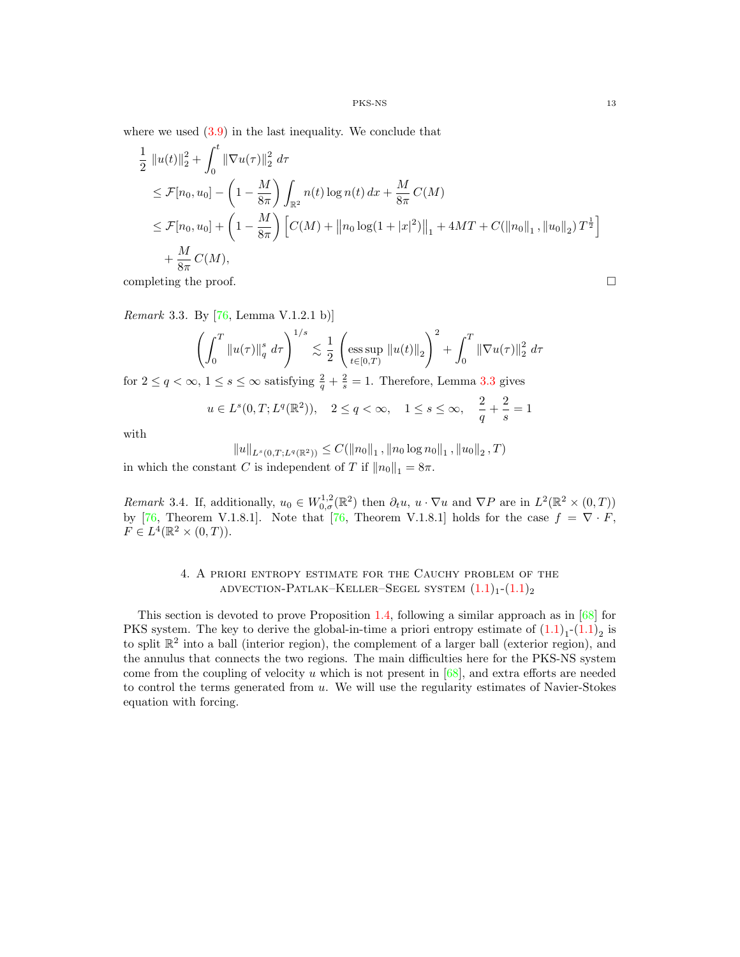where we used  $(3.9)$  in the last inequality. We conclude that

$$
\frac{1}{2} ||u(t)||_2^2 + \int_0^t ||\nabla u(\tau)||_2^2 d\tau
$$
\n
$$
\leq \mathcal{F}[n_0, u_0] - \left(1 - \frac{M}{8\pi}\right) \int_{\mathbb{R}^2} n(t) \log n(t) dx + \frac{M}{8\pi} C(M)
$$
\n
$$
\leq \mathcal{F}[n_0, u_0] + \left(1 - \frac{M}{8\pi}\right) \left[ C(M) + ||n_0 \log(1 + |x|^2) ||_1 + 4MT + C(||n_0||_1, ||u_0||_2) T^{\frac{1}{2}} \right]
$$
\n
$$
+ \frac{M}{8\pi} C(M),
$$

completing the proof.  $\Box$ 

<span id="page-12-1"></span>*Remark* 3.3. By  $[76, \text{Lemma V.1.2.1 b})]$  $[76, \text{Lemma V.1.2.1 b})]$ 

$$
\left(\int_0^T \|u(\tau)\|_q^s \, d\tau\right)^{1/s} \lesssim \frac{1}{2} \left(\underset{t \in [0,T)}{\mathrm{ess \, sup}} \|u(t)\|_2\right)^2 + \int_0^T \|\nabla u(\tau)\|_2^2 \, d\tau
$$

for  $2 \le q < \infty$ ,  $1 \le s \le \infty$  satisfying  $\frac{2}{q} + \frac{2}{s} = 1$ . Therefore, Lemma [3](#page-11-0).3 gives

$$
u \in L^{s}(0,T; L^{q}(\mathbb{R}^{2})), \quad 2 \le q < \infty, \quad 1 \le s \le \infty, \quad \frac{2}{q} + \frac{2}{s} = 1
$$

with

$$
||u||_{L^{s}(0,T;L^{q}(\mathbb{R}^{2}))} \leq C(||n_{0}||_{1},||n_{0}\log n_{0}||_{1},||u_{0}||_{2},T)
$$

in which the constant C is independent of T if  $||n_0||_1 = 8\pi$ .

<span id="page-12-2"></span>Remark 3.4. If, additionally,  $u_0 \in W_{0,\sigma}^{1,2}(\mathbb{R}^2)$  then  $\partial_t u, u \cdot \nabla u$  and  $\nabla P$  are in  $L^2(\mathbb{R}^2 \times (0,T))$ by [\[76,](#page-32-8) Theorem V.1.8.1]. Note that [76, Theorem V.1.8.1] holds for the case  $f = \nabla \cdot F$ ,  $F \in L^4(\mathbb{R}^2 \times (0,T)).$ 

# 4. A priori entropy estimate for the Cauchy problem of the ADVECTION-PATLAK–KELLER–SEGEL SYSTEM  $(1.1)_1$  $(1.1)_1$  $(1.1)_1$ - $(1.1)_2$  $(1.1)_2$

<span id="page-12-0"></span>This section is devoted to prove Proposition 1.[4,](#page-3-2) following a similar approach as in  $[68]$  for PKS system. The key to derive the global-in-time a priori entropy estimate of  $(1.1)<sub>1</sub>$  $(1.1)<sub>1</sub>$ - $(1.1)<sub>2</sub>$  is to split  $\mathbb{R}^2$  into a ball (interior region), the complement of a larger ball (exterior region), and the annulus that connects the two regions. The main difficulties here for the PKS-NS system come from the coupling of velocity u which is not present in  $[68]$ , and extra efforts are needed to control the terms generated from  $u$ . We will use the regularity estimates of Navier-Stokes equation with forcing.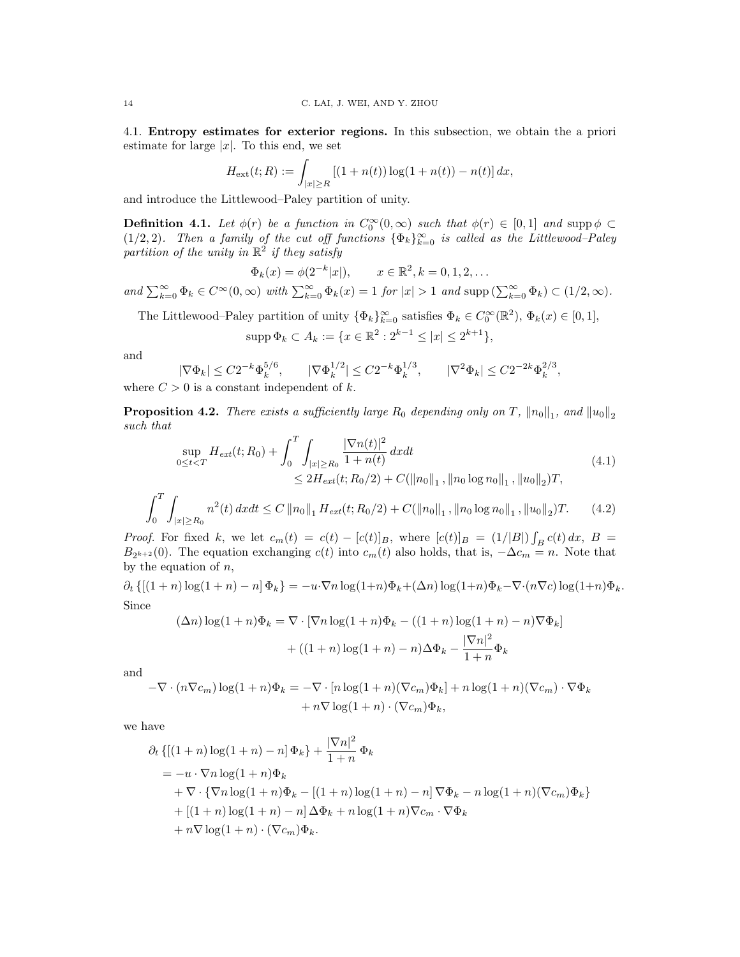4.1. Entropy estimates for exterior regions. In this subsection, we obtain the a priori estimate for large  $|x|$ . To this end, we set

$$
H_{\text{ext}}(t;R) := \int_{|x| \ge R} \left[ (1 + n(t)) \log(1 + n(t)) - n(t) \right] dx,
$$

and introduce the Littlewood–Paley partition of unity.

**Definition 4.1.** Let  $\phi(r)$  be a function in  $C_0^{\infty}(0,\infty)$  such that  $\phi(r) \in [0,1]$  and supp  $\phi \subset$ (1/2, 2). Then a family of the cut off functions  $\{\Phi_k\}_{k=0}^{\infty}$  is called as the Littlewood–Paley partition of the unity in  $\mathbb{R}^2$  if they satisfy

$$
\Phi_k(x) = \phi(2^{-k}|x|), \qquad x \in \mathbb{R}^2, k = 0, 1, 2, \dots
$$

and  $\sum_{k=0}^{\infty} \Phi_k \in C^{\infty}(0,\infty)$  with  $\sum_{k=0}^{\infty} \Phi_k(x) = 1$  for  $|x| > 1$  and supp  $(\sum_{k=0}^{\infty} \Phi_k) \subset (1/2,\infty)$ .

The Littlewood–Paley partition of unity  $\{\Phi_k\}_{k=0}^{\infty}$  satisfies  $\Phi_k \in C_0^{\infty}(\mathbb{R}^2)$ ,  $\Phi_k(x) \in [0,1]$ ,

$$
\mathrm{supp}\,\Phi_k \subset A_k := \{ x \in \mathbb{R}^2 : 2^{k-1} \le |x| \le 2^{k+1} \},
$$

and

$$
|\nabla \Phi_k| \leq C 2^{-k} \Phi_k^{5/6}, \qquad |\nabla \Phi_k^{1/2}| \leq C 2^{-k} \Phi_k^{1/3}, \qquad |\nabla^2 \Phi_k| \leq C 2^{-2k} \Phi_k^{2/3},
$$
 where  $C > 0$  is a constant independent of  $k$ .

<span id="page-13-2"></span>**Proposition 4.2.** There exists a sufficiently large  $R_0$  depending only on T,  $||n_0||_1$ , and  $||u_0||_2$ such that

$$
\sup_{0 \le t < T} H_{ext}(t; R_0) + \int_0^T \int_{|x| \ge R_0} \frac{|\nabla n(t)|^2}{1 + n(t)} dx dt
$$
\n
$$
\le 2H_{ext}(t; R_0/2) + C(\|n_0\|_1, \|n_0 \log n_0\|_1, \|u_0\|_2)T,
$$
\n
$$
(4.1)
$$

<span id="page-13-1"></span><span id="page-13-0"></span>
$$
\int_0^T \int_{|x| \ge R_0} n^2(t) \, dx dt \le C \left\| n_0 \right\|_1 H_{ext}(t; R_0/2) + C(\left\| n_0 \right\|_1, \left\| n_0 \log n_0 \right\|_1, \left\| u_0 \right\|_2) T. \tag{4.2}
$$

*Proof.* For fixed k, we let  $c_m(t) = c(t) - [c(t)]_B$ , where  $[c(t)]_B = (1/|B|) \int_B c(t) dx$ ,  $B =$  $B_{2^{k+2}}(0)$ . The equation exchanging  $c(t)$  into  $c_m(t)$  also holds, that is,  $-\Delta c_m = n$ . Note that by the equation of  $n$ ,

 $\partial_t \left\{ \left[ (1+n) \log(1+n) - n \right] \Phi_k \right\} = -u \cdot \nabla n \log(1+n) \Phi_k + (\Delta n) \log(1+n) \Phi_k - \nabla \cdot (n \nabla c) \log(1+n) \Phi_k.$ Since

$$
(\Delta n) \log(1+n)\Phi_k = \nabla \cdot [\nabla n \log(1+n)\Phi_k - ((1+n)\log(1+n) - n)\nabla \Phi_k]
$$

$$
+ ((1+n)\log(1+n) - n)\Delta \Phi_k - \frac{|\nabla n|^2}{1+n}\Phi_k
$$

and

$$
-\nabla \cdot (n\nabla c_m) \log(1+n)\Phi_k = -\nabla \cdot [n\log(1+n)(\nabla c_m)\Phi_k] + n\log(1+n)(\nabla c_m) \cdot \nabla \Phi_k
$$

$$
+ n\nabla \log(1+n) \cdot (\nabla c_m)\Phi_k,
$$

we have

$$
\partial_t \left\{ \left[ (1+n) \log(1+n) - n \right] \Phi_k \right\} + \frac{|\nabla n|^2}{1+n} \Phi_k
$$
  
\n
$$
= -u \cdot \nabla n \log(1+n) \Phi_k
$$
  
\n
$$
+ \nabla \cdot \left\{ \nabla n \log(1+n) \Phi_k - \left[ (1+n) \log(1+n) - n \right] \nabla \Phi_k - n \log(1+n) (\nabla c_m) \Phi_k \right\}
$$
  
\n
$$
+ \left[ (1+n) \log(1+n) - n \right] \Delta \Phi_k + n \log(1+n) \nabla c_m \cdot \nabla \Phi_k
$$
  
\n
$$
+ n \nabla \log(1+n) \cdot (\nabla c_m) \Phi_k.
$$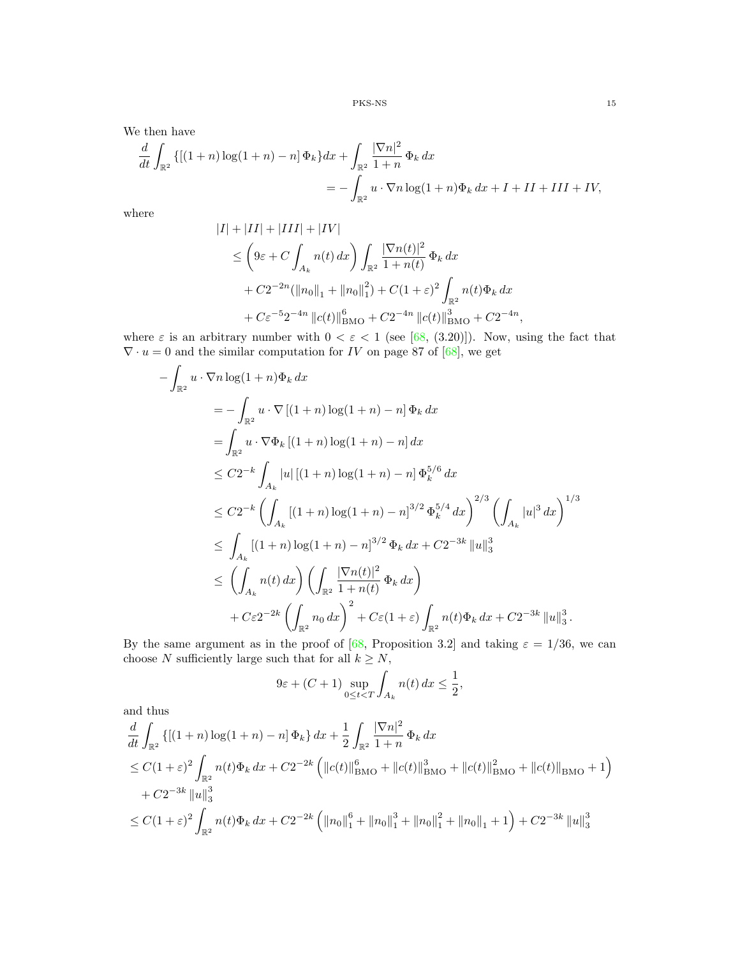We then have

$$
\frac{d}{dt} \int_{\mathbb{R}^2} \{ [(1+n) \log(1+n) - n] \Phi_k \} dx + \int_{\mathbb{R}^2} \frac{|\nabla n|^2}{1+n} \Phi_k dx \n= - \int_{\mathbb{R}^2} u \cdot \nabla n \log(1+n) \Phi_k dx + I + II + III + IV,
$$

where

$$
|I| + |II| + |III| + |IV|
$$
  
\n
$$
\leq \left(9\varepsilon + C \int_{A_k} n(t) dx\right) \int_{\mathbb{R}^2} \frac{|\nabla n(t)|^2}{1 + n(t)} \Phi_k dx
$$
  
\n
$$
+ C2^{-2n} (\|n_0\|_1 + \|n_0\|_1^2) + C(1 + \varepsilon)^2 \int_{\mathbb{R}^2} n(t) \Phi_k dx
$$
  
\n
$$
+ C\varepsilon^{-5} 2^{-4n} \|c(t)\|_{\text{BMO}}^6 + C2^{-4n} \|c(t)\|_{\text{BMO}}^3 + C2^{-4n},
$$

where  $\varepsilon$  is an arbitrary number with  $0 < \varepsilon < 1$  (see [\[68,](#page-31-13) (3.20)]). Now, using the fact that  $\nabla \cdot u = 0$  and the similar computation for IV on page 87 of [\[68\]](#page-31-13), we get

$$
-\int_{\mathbb{R}^2} u \cdot \nabla n \log(1+n) \Phi_k dx
$$
  
\n
$$
= -\int_{\mathbb{R}^2} u \cdot \nabla [(1+n) \log(1+n) - n] \Phi_k dx
$$
  
\n
$$
= \int_{\mathbb{R}^2} u \cdot \nabla \Phi_k [(1+n) \log(1+n) - n] dx
$$
  
\n
$$
\leq C2^{-k} \int_{A_k} |u| [(1+n) \log(1+n) - n] \Phi_k^{5/6} dx
$$
  
\n
$$
\leq C2^{-k} \left( \int_{A_k} [(1+n) \log(1+n) - n]^{3/2} \Phi_k^{5/4} dx \right)^{2/3} \left( \int_{A_k} |u|^3 dx \right)^{1/3}
$$
  
\n
$$
\leq \int_{A_k} [(1+n) \log(1+n) - n]^{3/2} \Phi_k dx + C2^{-3k} ||u||_3^3
$$
  
\n
$$
\leq \left( \int_{A_k} n(t) dx \right) \left( \int_{\mathbb{R}^2} \frac{|\nabla n(t)|^2}{1+n(t)} \Phi_k dx \right)
$$
  
\n
$$
+ C\varepsilon 2^{-2k} \left( \int_{\mathbb{R}^2} n_0 dx \right)^2 + C\varepsilon (1+\varepsilon) \int_{\mathbb{R}^2} n(t) \Phi_k dx + C2^{-3k} ||u||_3^3.
$$

By the same argument as in the proof of [\[68,](#page-31-13) Proposition 3.2] and taking  $\varepsilon = 1/36$ , we can choose  $N$  sufficiently large such that for all  $k\geq N,$ 

$$
9\varepsilon + (C+1) \sup_{0 \le t < T} \int_{A_k} n(t) \, dx \le \frac{1}{2},
$$

and thus

$$
\frac{d}{dt} \int_{\mathbb{R}^2} \left\{ \left[ (1+n) \log(1+n) - n \right] \Phi_k \right\} dx + \frac{1}{2} \int_{\mathbb{R}^2} \frac{|\nabla n|^2}{1+n} \Phi_k dx
$$
\n
$$
\leq C(1+\varepsilon)^2 \int_{\mathbb{R}^2} n(t) \Phi_k dx + C2^{-2k} \left( \|c(t)\|_{\text{BMO}}^6 + \|c(t)\|_{\text{BMO}}^3 + \|c(t)\|_{\text{BMO}}^2 + \|c(t)\|_{\text{BMO}}^2 + 1 \right)
$$
\n
$$
+ C2^{-3k} \|u\|_3^3
$$
\n
$$
\leq C(1+\varepsilon)^2 \int_{\mathbb{R}^2} n(t) \Phi_k dx + C2^{-2k} \left( \|n_0\|_1^6 + \|n_0\|_1^3 + \|n_0\|_1^2 + \|n_0\|_1 + 1 \right) + C2^{-3k} \|u\|_3^3
$$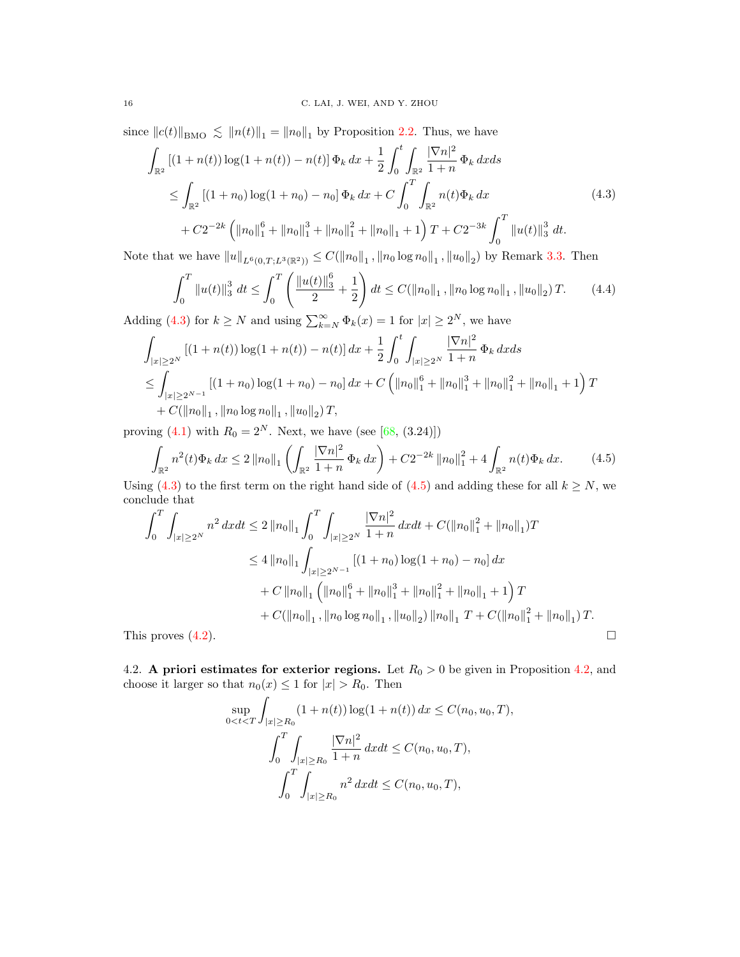since  $||c(t)||_{\text{BMO}} \lesssim ||n(t)||_1 = ||n_0||_1$  by Proposition [2.](#page-5-1)2. Thus, we have

<span id="page-15-0"></span>
$$
\int_{\mathbb{R}^2} \left[ (1+n(t)) \log(1+n(t)) - n(t) \right] \Phi_k \, dx + \frac{1}{2} \int_0^t \int_{\mathbb{R}^2} \frac{|\nabla n|^2}{1+n} \Phi_k \, dx ds
$$
\n
$$
\leq \int_{\mathbb{R}^2} \left[ (1+n_0) \log(1+n_0) - n_0 \right] \Phi_k \, dx + C \int_0^T \int_{\mathbb{R}^2} n(t) \Phi_k \, dx
$$
\n
$$
+ C 2^{-2k} \left( \|n_0\|_1^6 + \|n_0\|_1^3 + \|n_0\|_1^2 + \|n_0\|_1 + 1 \right) T + C 2^{-3k} \int_0^T \|u(t)\|_3^3 \, dt.
$$
\n(4.3)

<span id="page-15-2"></span>Note that we have  $||u||_{L^6(0,T;L^3(\mathbb{R}^2))} \leq C(||n_0||_1, ||n_0 \log n_0||_1, ||u_0||_2)$  by Remark [3.](#page-12-1)3. Then

$$
\int_0^T \|u(t)\|_3^3 dt \le \int_0^T \left(\frac{\|u(t)\|_3^6}{2} + \frac{1}{2}\right) dt \le C(\|n_0\|_1, \|n_0\log n_0\|_1, \|u_0\|_2)T. \tag{4.4}
$$

Adding [\(4.3\)](#page-15-0) for  $k \geq N$  and using  $\sum_{k=N}^{\infty} \Phi_k(x) = 1$  for  $|x| \geq 2^N$ , we have

$$
\int_{|x|\geq 2^N} \left[ (1+n(t)) \log(1+n(t)) - n(t) \right] dx + \frac{1}{2} \int_0^t \int_{|x|\geq 2^N} \frac{|\nabla n|^2}{1+n} \Phi_k dx ds
$$
  
\n
$$
\leq \int_{|x|\geq 2^{N-1}} \left[ (1+n_0) \log(1+n_0) - n_0 \right] dx + C \left( \|n_0\|_1^6 + \|n_0\|_1^3 + \|n_0\|_1^2 + \|n_0\|_1 + 1 \right) T
$$
  
\n
$$
+ C(\|n_0\|_1, \|n_0 \log n_0\|_1, \|u_0\|_2) T,
$$

<span id="page-15-1"></span>proving [\(4.1\)](#page-13-0) with  $R_0 = 2^N$ . Next, we have (see [\[68,](#page-31-13) (3.24)])

$$
\int_{\mathbb{R}^2} n^2(t)\Phi_k \, dx \le 2 \left\| n_0 \right\|_1 \left( \int_{\mathbb{R}^2} \frac{|\nabla n|^2}{1+n} \, \Phi_k \, dx \right) + C2^{-2k} \left\| n_0 \right\|_1^2 + 4 \int_{\mathbb{R}^2} n(t)\Phi_k \, dx. \tag{4.5}
$$
\n
$$
\int_{\mathbb{R}^2} (4.3) \text{ to the first term on the right hand side of } (4.5) \text{ and adding these for all } k \ge N, \text{ we have}
$$

Using [\(4.3\)](#page-15-0) to the first term on the right hand side of [\(4.5\)](#page-15-1) and adding these for all  $k \geq N$ , we conclude that

$$
\int_{0}^{T} \int_{|x| \ge 2^{N}} n^{2} dx dt \le 2 \|n_{0}\|_{1} \int_{0}^{T} \int_{|x| \ge 2^{N}} \frac{|\nabla n|^{2}}{1+n} dx dt + C(\|n_{0}\|_{1}^{2} + \|n_{0}\|_{1}) T
$$
  
\n
$$
\le 4 \|n_{0}\|_{1} \int_{|x| \ge 2^{N-1}} [(1+n_{0}) \log(1+n_{0}) - n_{0}] dx
$$
  
\n
$$
+ C \|n_{0}\|_{1} (\|n_{0}\|_{1}^{6} + \|n_{0}\|_{1}^{3} + \|n_{0}\|_{1}^{2} + \|n_{0}\|_{1} + 1) T
$$
  
\n
$$
+ C(\|n_{0}\|_{1}, \|n_{0} \log n_{0}\|_{1}, \|u_{0}\|_{2}) \|n_{0}\|_{1} T + C(\|n_{0}\|_{1}^{2} + \|n_{0}\|_{1}) T.
$$
  
This proves (4.2).

<span id="page-15-3"></span>4.2. A priori estimates for exterior regions. Let  $R_0 > 0$  be given in Proposition 4.[2,](#page-13-2) and choose it larger so that  $n_0(x) \leq 1$  for  $|x| > R_0$ . Then

$$
\sup_{0 < t < T} \int_{|x| \ge R_0} (1 + n(t)) \log(1 + n(t)) \, dx \le C(n_0, u_0, T),
$$
\n
$$
\int_0^T \int_{|x| \ge R_0} \frac{|\nabla n|^2}{1 + n} \, dx dt \le C(n_0, u_0, T),
$$
\n
$$
\int_0^T \int_{|x| \ge R_0} n^2 \, dx dt \le C(n_0, u_0, T),
$$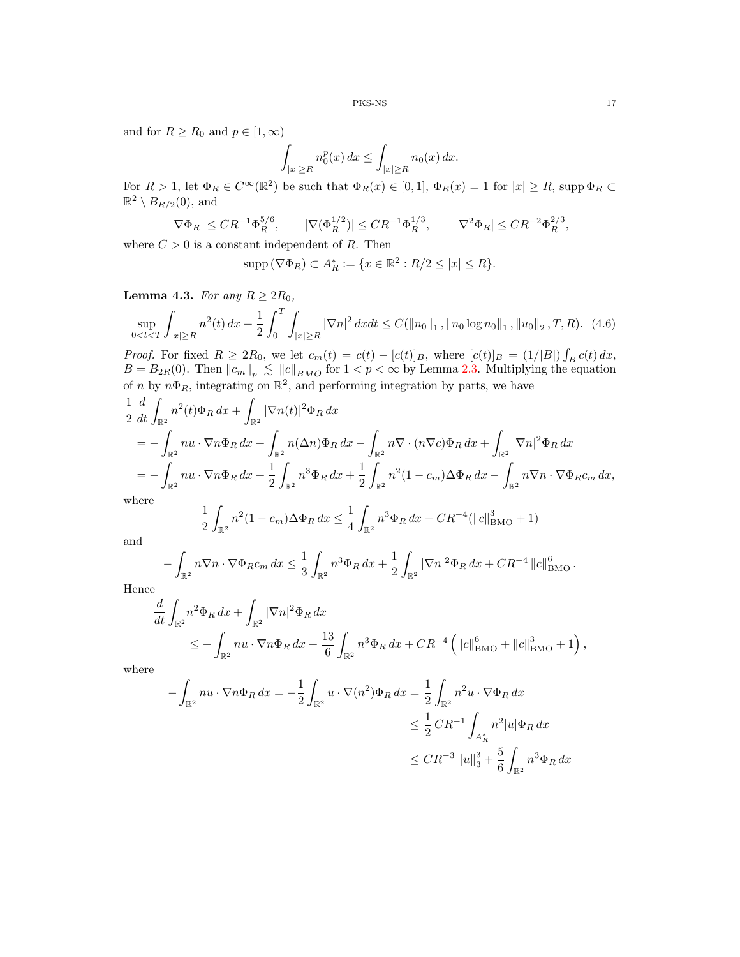and for  $R \ge R_0$  and  $p \in [1, \infty)$ 

$$
\int_{|x|\geq R} n_0^p(x) dx \leq \int_{|x|\geq R} n_0(x) dx.
$$

For  $R > 1$ , let  $\Phi_R \in C^{\infty}(\mathbb{R}^2)$  be such that  $\Phi_R(x) \in [0,1]$ ,  $\Phi_R(x) = 1$  for  $|x| \ge R$ , supp  $\Phi_R \subset$  $\mathbb{R}^2 \setminus \overline{B_{R/2}(0)}$ , and

$$
|\nabla \Phi_R| \leq C R^{-1} \Phi_R^{5/6}
$$
,  $|\nabla (\Phi_R^{1/2})| \leq C R^{-1} \Phi_R^{1/3}$ ,  $|\nabla^2 \Phi_R| \leq C R^{-2} \Phi_R^{2/3}$ ,

where  $C > 0$  is a constant independent of R. Then

$$
supp\left(\nabla\Phi_{R}\right)\subset A_{R}^{*}:=\{x\in\mathbb{R}^{2}:R/2\leq|x|\leq R\}.
$$

<span id="page-16-1"></span>**Lemma 4.3.** For any  $R \geq 2R_0$ ,

<span id="page-16-0"></span>
$$
\sup_{0 < t < T} \int_{|x| \ge R} n^2(t) \, dx + \frac{1}{2} \int_0^T \int_{|x| \ge R} |\nabla n|^2 \, dx dt \le C(\|n_0\|_1, \|n_0 \log n_0\|_1, \|u_0\|_2, T, R). \tag{4.6}
$$

*Proof.* For fixed  $R \ge 2R_0$ , we let  $c_m(t) = c(t) - [c(t)]_B$ , where  $[c(t)]_B = (1/|B|) \int_B c(t) dx$ ,  $B = B_{2R}(0)$ . Then  $||c_m||_p \le ||c||_{BMO}$  for  $1 < p < \infty$  by Lemma 2.[3.](#page-5-2) Multiplying the equation of n by  $n\Phi_R$ , integrating on  $\mathbb{R}^2$ , and performing integration by parts, we have

$$
\frac{1}{2} \frac{d}{dt} \int_{\mathbb{R}^2} n^2(t) \Phi_R \, dx + \int_{\mathbb{R}^2} |\nabla n(t)|^2 \Phi_R \, dx \n= - \int_{\mathbb{R}^2} n u \cdot \nabla n \Phi_R \, dx + \int_{\mathbb{R}^2} n (\Delta n) \Phi_R \, dx - \int_{\mathbb{R}^2} n \nabla \cdot (n \nabla c) \Phi_R \, dx + \int_{\mathbb{R}^2} |\nabla n|^2 \Phi_R \, dx \n= - \int_{\mathbb{R}^2} n u \cdot \nabla n \Phi_R \, dx + \frac{1}{2} \int_{\mathbb{R}^2} n^3 \Phi_R \, dx + \frac{1}{2} \int_{\mathbb{R}^2} n^2 (1 - c_m) \Delta \Phi_R \, dx - \int_{\mathbb{R}^2} n \nabla n \cdot \nabla \Phi_R c_m \, dx, \n\text{where}
$$

$$
\frac{1}{2} \int_{\mathbb{R}^2} n^2 (1 - c_m) \Delta \Phi_R \, dx \le \frac{1}{4} \int_{\mathbb{R}^2} n^3 \Phi_R \, dx + C R^{-4} (||c||_{\text{BMO}}^3 + 1)
$$

and

$$
-\int_{\mathbb{R}^2} n \nabla n \cdot \nabla \Phi_R c_m \, dx \le \frac{1}{3} \int_{\mathbb{R}^2} n^3 \Phi_R \, dx + \frac{1}{2} \int_{\mathbb{R}^2} |\nabla n|^2 \Phi_R \, dx + CR^{-4} ||c||_{\text{BMO}}^6.
$$

Hence

$$
\frac{d}{dt} \int_{\mathbb{R}^2} n^2 \Phi_R \, dx + \int_{\mathbb{R}^2} |\nabla n|^2 \Phi_R \, dx \n\leq - \int_{\mathbb{R}^2} n u \cdot \nabla n \Phi_R \, dx + \frac{13}{6} \int_{\mathbb{R}^2} n^3 \Phi_R \, dx + C R^{-4} \left( ||c||_{\text{BMO}}^6 + ||c||_{\text{BMO}}^3 + 1 \right),
$$

where

$$
-\int_{\mathbb{R}^2} nu \cdot \nabla n \Phi_R dx = -\frac{1}{2} \int_{\mathbb{R}^2} u \cdot \nabla (n^2) \Phi_R dx = \frac{1}{2} \int_{\mathbb{R}^2} n^2 u \cdot \nabla \Phi_R dx
$$
  

$$
\leq \frac{1}{2} C R^{-1} \int_{A_R^*} n^2 |u| \Phi_R dx
$$
  

$$
\leq C R^{-3} ||u||_3^3 + \frac{5}{6} \int_{\mathbb{R}^2} n^3 \Phi_R dx
$$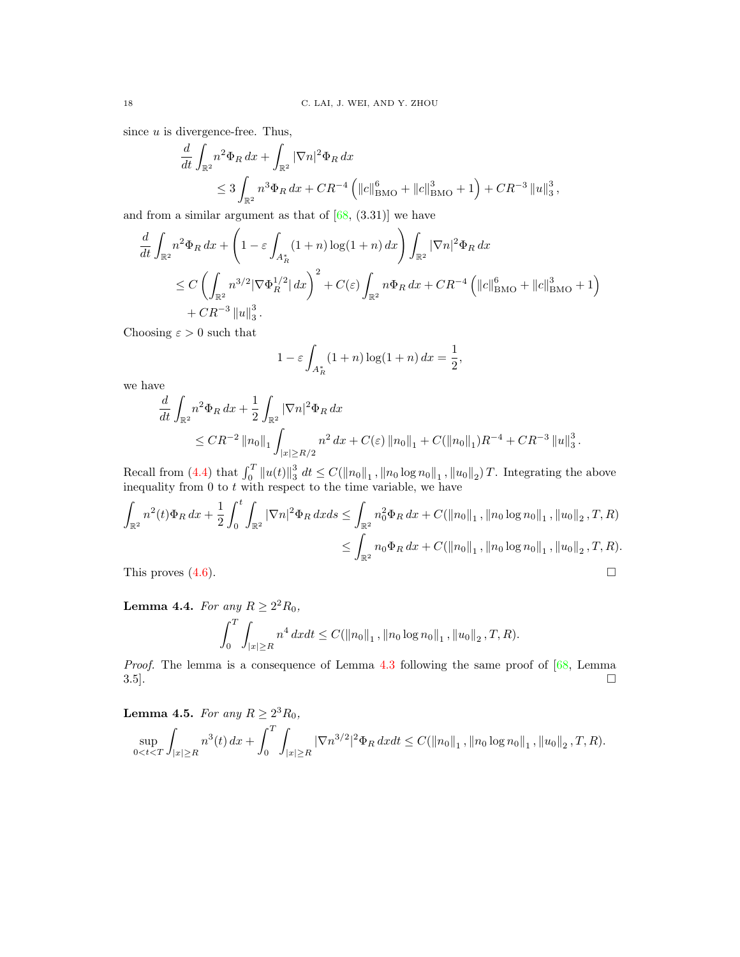since  $u$  is divergence-free. Thus,

$$
\frac{d}{dt} \int_{\mathbb{R}^2} n^2 \Phi_R \, dx + \int_{\mathbb{R}^2} |\nabla n|^2 \Phi_R \, dx
$$
\n
$$
\leq 3 \int_{\mathbb{R}^2} n^3 \Phi_R \, dx + C R^{-4} \left( ||c||_{\text{BMO}}^6 + ||c||_{\text{BMO}}^3 + 1 \right) + C R^{-3} ||u||_3^3,
$$

and from a similar argument as that of  $[68, (3.31)]$  $[68, (3.31)]$  we have

$$
\frac{d}{dt} \int_{\mathbb{R}^2} n^2 \Phi_R \, dx + \left( 1 - \varepsilon \int_{A_R^*} (1+n) \log(1+n) \, dx \right) \int_{\mathbb{R}^2} |\nabla n|^2 \Phi_R \, dx
$$
\n
$$
\leq C \left( \int_{\mathbb{R}^2} n^{3/2} |\nabla \Phi_R^{1/2}| \, dx \right)^2 + C(\varepsilon) \int_{\mathbb{R}^2} n \Phi_R \, dx + C R^{-4} \left( ||c||_{\text{BMO}}^6 + ||c||_{\text{BMO}}^3 + 1 \right) + C R^{-3} ||u||_3^3.
$$

Choosing  $\varepsilon > 0$  such that

$$
1 - \varepsilon \int_{A_R^*} (1+n) \log(1+n) \, dx = \frac{1}{2},
$$

we have

$$
\frac{d}{dt} \int_{\mathbb{R}^2} n^2 \Phi_R \, dx + \frac{1}{2} \int_{\mathbb{R}^2} |\nabla n|^2 \Phi_R \, dx
$$
\n
$$
\leq C R^{-2} \left\| n_0 \right\|_1 \int_{|x| \geq R/2} n^2 \, dx + C(\varepsilon) \left\| n_0 \right\|_1 + C \left( \left\| n_0 \right\|_1 \right) R^{-4} + C R^{-3} \left\| u \right\|_3^3.
$$

Recall from [\(4.4\)](#page-15-2) that  $\int_0^T \|u(t)\|_3^3 dt \leq C(\|n_0\|_1, \|n_0\log n_0\|_1, \|u_0\|_2)T$ . Integrating the above inequality from  $0$  to  $t$  with respect to the time variable, we have

$$
\int_{\mathbb{R}^2} n^2(t)\Phi_R \, dx + \frac{1}{2} \int_0^t \int_{\mathbb{R}^2} |\nabla n|^2 \Phi_R \, dx ds \le \int_{\mathbb{R}^2} n_0^2 \Phi_R \, dx + C(||n_0||_1, ||n_0 \log n_0||_1, ||u_0||_2, T, R)
$$
\n
$$
\le \int_{\mathbb{R}^2} n_0 \Phi_R \, dx + C(||n_0||_1, ||n_0 \log n_0||_1, ||u_0||_2, T, R).
$$
\nThis proves (4.6).

<span id="page-17-0"></span>**Lemma 4.4.** For any  $R \ge 2^2 R_0$ ,

$$
\int_0^T \int_{|x| \ge R} n^4 dx dt \le C(||n_0||_1, ||n_0 \log n_0||_1, ||u_0||_2, T, R).
$$

Proof. The lemma is a consequence of Lemma [4](#page-16-1).3 following the same proof of  $[68, \text{ Lemma} 12]$  $[68, \text{ Lemma} 12]$  $3.5$ ].

<span id="page-17-1"></span>**Lemma 4.5.** For any  $R \geq 2^3 R_0$ ,

$$
\sup_{0
$$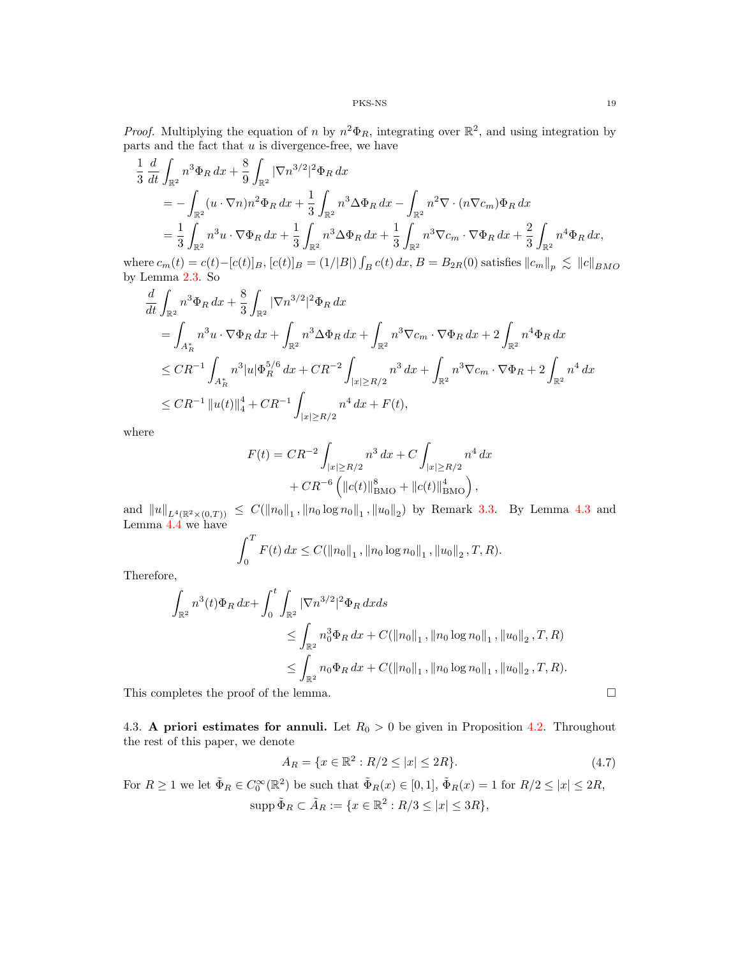*Proof.* Multiplying the equation of n by  $n^2 \Phi_R$ , integrating over  $\mathbb{R}^2$ , and using integration by parts and the fact that  $u$  is divergence-free, we have

$$
\frac{1}{3} \frac{d}{dt} \int_{\mathbb{R}^2} n^3 \Phi_R dx + \frac{8}{9} \int_{\mathbb{R}^2} |\nabla n^{3/2}|^2 \Phi_R dx \n= - \int_{\mathbb{R}^2} (u \cdot \nabla n) n^2 \Phi_R dx + \frac{1}{3} \int_{\mathbb{R}^2} n^3 \Delta \Phi_R dx - \int_{\mathbb{R}^2} n^2 \nabla \cdot (n \nabla c_m) \Phi_R dx \n= \frac{1}{3} \int_{\mathbb{R}^2} n^3 u \cdot \nabla \Phi_R dx + \frac{1}{3} \int_{\mathbb{R}^2} n^3 \Delta \Phi_R dx + \frac{1}{3} \int_{\mathbb{R}^2} n^3 \nabla c_m \cdot \nabla \Phi_R dx + \frac{2}{3} \int_{\mathbb{R}^2} n^4 \Phi_R dx,
$$

where  $c_m(t) = c(t) - [c(t)]_B$ ,  $[c(t)]_B = (1/|B|) \int_B c(t) dx$ ,  $B = B_{2R}(0)$  satisfies  $||c_m||_p \le ||c||_{BMO}$ by Lemma 2.[3.](#page-5-2) So

$$
\frac{d}{dt} \int_{\mathbb{R}^2} n^3 \Phi_R \, dx + \frac{8}{3} \int_{\mathbb{R}^2} |\nabla n^{3/2}|^2 \Phi_R \, dx \n= \int_{A_R^*} n^3 u \cdot \nabla \Phi_R \, dx + \int_{\mathbb{R}^2} n^3 \Delta \Phi_R \, dx + \int_{\mathbb{R}^2} n^3 \nabla c_m \cdot \nabla \Phi_R \, dx + 2 \int_{\mathbb{R}^2} n^4 \Phi_R \, dx \n\leq CR^{-1} \int_{A_R^*} n^3 |u| \Phi_R^{5/6} \, dx + CR^{-2} \int_{|x| \geq R/2} n^3 \, dx + \int_{\mathbb{R}^2} n^3 \nabla c_m \cdot \nabla \Phi_R + 2 \int_{\mathbb{R}^2} n^4 \, dx \n\leq CR^{-1} ||u(t)||_4^4 + CR^{-1} \int_{|x| \geq R/2} n^4 \, dx + F(t),
$$

where

$$
F(t) = CR^{-2} \int_{|x| \ge R/2} n^3 dx + C \int_{|x| \ge R/2} n^4 dx
$$
  
+ 
$$
CR^{-6} \left( ||c(t)||^8_{BMO} + ||c(t)||^4_{BMO} \right),
$$

and  $||u||_{L^{4}(\mathbb{R}^{2}\times(0,T))} \leq C(||n_{0}||_{1}, ||n_{0}\log n_{0}||_{1}, ||u_{0}||_{2})$  $||u||_{L^{4}(\mathbb{R}^{2}\times(0,T))} \leq C(||n_{0}||_{1}, ||n_{0}\log n_{0}||_{1}, ||u_{0}||_{2})$  $||u||_{L^{4}(\mathbb{R}^{2}\times(0,T))} \leq C(||n_{0}||_{1}, ||n_{0}\log n_{0}||_{1}, ||u_{0}||_{2})$  by Remark [3.](#page-12-1)3. By Lemma 4.3 and Lemma [4](#page-17-0).4 we have

$$
\int_0^T F(t) \, dx \leq C(||n_0||_1, ||n_0 \log n_0||_1, ||u_0||_2, T, R).
$$

Therefore,

$$
\int_{\mathbb{R}^2} n^3(t)\Phi_R \, dx + \int_0^t \int_{\mathbb{R}^2} |\nabla n^{3/2}|^2 \Phi_R \, dx ds
$$
\n
$$
\leq \int_{\mathbb{R}^2} n_0^3 \Phi_R \, dx + C(||n_0||_1, ||n_0 \log n_0||_1, ||u_0||_2, T, R)
$$
\n
$$
\leq \int_{\mathbb{R}^2} n_0 \Phi_R \, dx + C(||n_0||_1, ||n_0 \log n_0||_1, ||u_0||_2, T, R).
$$

This completes the proof of the lemma.  $\Box$ 

4.3. A priori estimates for annuli. Let  $R_0 > 0$  be given in Proposition 4.[2.](#page-13-2) Throughout the rest of this paper, we denote

$$
A_R = \{ x \in \mathbb{R}^2 : R/2 \le |x| \le 2R \}. \tag{4.7}
$$

<span id="page-18-0"></span>For  $R \geq 1$  we let  $\tilde{\Phi}_R \in C_0^{\infty}(\mathbb{R}^2)$  be such that  $\tilde{\Phi}_R(x) \in [0,1], \tilde{\Phi}_R(x) = 1$  for  $R/2 \leq |x| \leq 2R$ ,  $\text{supp }\tilde{\Phi}_R \subset \tilde{A}_R := \{x \in \mathbb{R}^2 : R/3 \leq |x| \leq 3R\},\$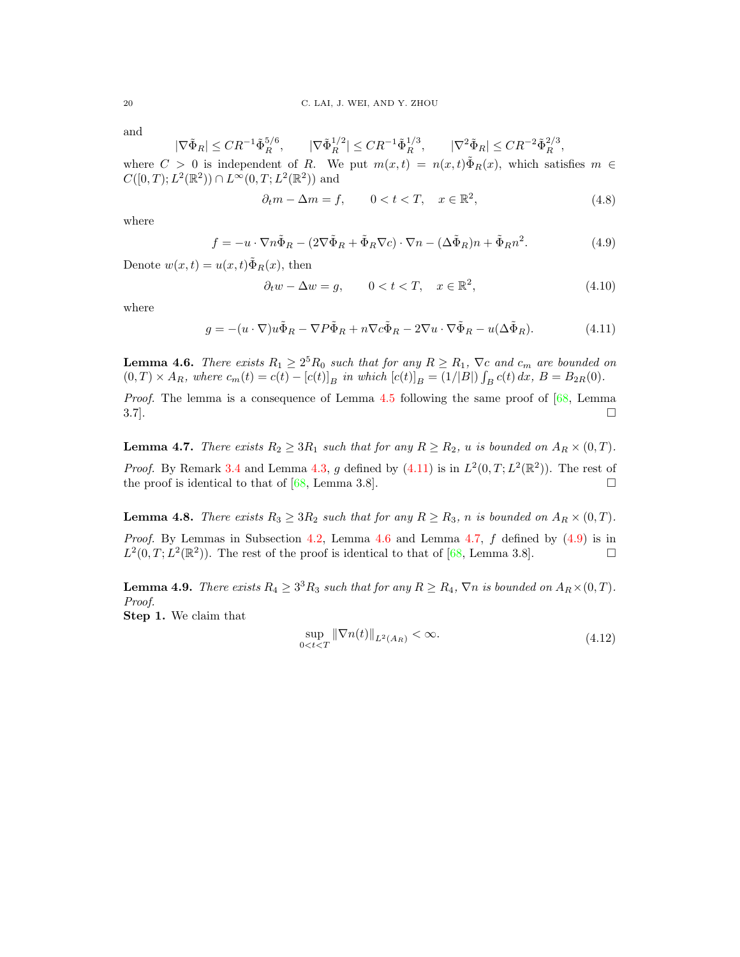and

$$
|\nabla \tilde{\Phi}_R| \leq CR^{-1}\tilde{\Phi}_R^{5/6}, \qquad |\nabla \tilde{\Phi}_R^{1/2}| \leq CR^{-1}\tilde{\Phi}_R^{1/3}, \qquad |\nabla^2 \tilde{\Phi}_R| \leq CR^{-2}\tilde{\Phi}_R^{2/3},
$$

where  $C > 0$  is independent of R. We put  $m(x,t) = n(x,t)\tilde{\Phi}_R(x)$ , which satisfies  $m \in$  $C([0,T); L^2(\mathbb{R}^2)) \cap L^{\infty}(0,T; L^2(\mathbb{R}^2))$  and

$$
\partial_t m - \Delta m = f, \qquad 0 < t < T, \quad x \in \mathbb{R}^2,\tag{4.8}
$$

<span id="page-19-3"></span>where

$$
f = -u \cdot \nabla n \tilde{\Phi}_R - (2\nabla \tilde{\Phi}_R + \tilde{\Phi}_R \nabla c) \cdot \nabla n - (\Delta \tilde{\Phi}_R)n + \tilde{\Phi}_R n^2.
$$
 (4.9)

Denote  $w(x,t) = u(x,t)\tilde{\Phi}_R(x)$ , then

$$
\partial_t w - \Delta w = g, \qquad 0 < t < T, \quad x \in \mathbb{R}^2,\tag{4.10}
$$

<span id="page-19-0"></span>where

$$
g = -(u \cdot \nabla)u\tilde{\Phi}_R - \nabla P\tilde{\Phi}_R + n\nabla c\tilde{\Phi}_R - 2\nabla u \cdot \nabla \tilde{\Phi}_R - u(\Delta \tilde{\Phi}_R). \tag{4.11}
$$

<span id="page-19-1"></span>**Lemma 4.6.** There exists  $R_1 \geq 2^5 R_0$  such that for any  $R \geq R_1$ ,  $\nabla c$  and  $c_m$  are bounded on  $(0,T) \times A_R$ , where  $c_m(t) = c(t) - [c(t)]_B$  in which  $[c(t)]_B = (1/|B|) \int_B c(t) dx$ ,  $B = B_{2R}(0)$ .

*Proof.* The lemma is a consequence of Lemma  $4.5$  $4.5$  following the same proof of  $[68, \text{ Lemma} 1.5]$  $[68, \text{ Lemma} 1.5]$  $3.7$ ].

<span id="page-19-2"></span>**Lemma 4.7.** There exists  $R_2 \geq 3R_1$  such that for any  $R \geq R_2$ , u is bounded on  $A_R \times (0,T)$ . *Proof.* By Remark [3](#page-12-2).4 and Lemma 4.[3,](#page-16-1) g defined by  $(4.11)$  is in  $L^2(0,T; L^2(\mathbb{R}^2))$ . The rest of the proof is identical to that of  $[68, \text{ Lemma } 3.8]$  $[68, \text{ Lemma } 3.8]$ .

<span id="page-19-5"></span>**Lemma 4.8.** There exists  $R_3 \geq 3R_2$  such that for any  $R \geq R_3$ , n is bounded on  $A_R \times (0,T)$ . *Proof.* By Lemmas in Subsection [4.2,](#page-15-3) Lemma [4](#page-19-1).6 and Lemma 4.[7,](#page-19-2)  $f$  defined by  $(4.9)$  is in  $L^2(0,T;L^2(\mathbb{R}^2))$ . The rest of the proof is identical to that of [\[68,](#page-31-13) Lemma 3.8].

<span id="page-19-6"></span>**Lemma 4.9.** There exists  $R_4 \geq 3^3 R_3$  such that for any  $R \geq R_4$ ,  $\nabla n$  is bounded on  $A_R \times (0,T)$ . Proof.

<span id="page-19-4"></span>Step 1. We claim that

$$
\sup_{0 < t < T} \|\nabla n(t)\|_{L^2(A_R)} < \infty. \tag{4.12}
$$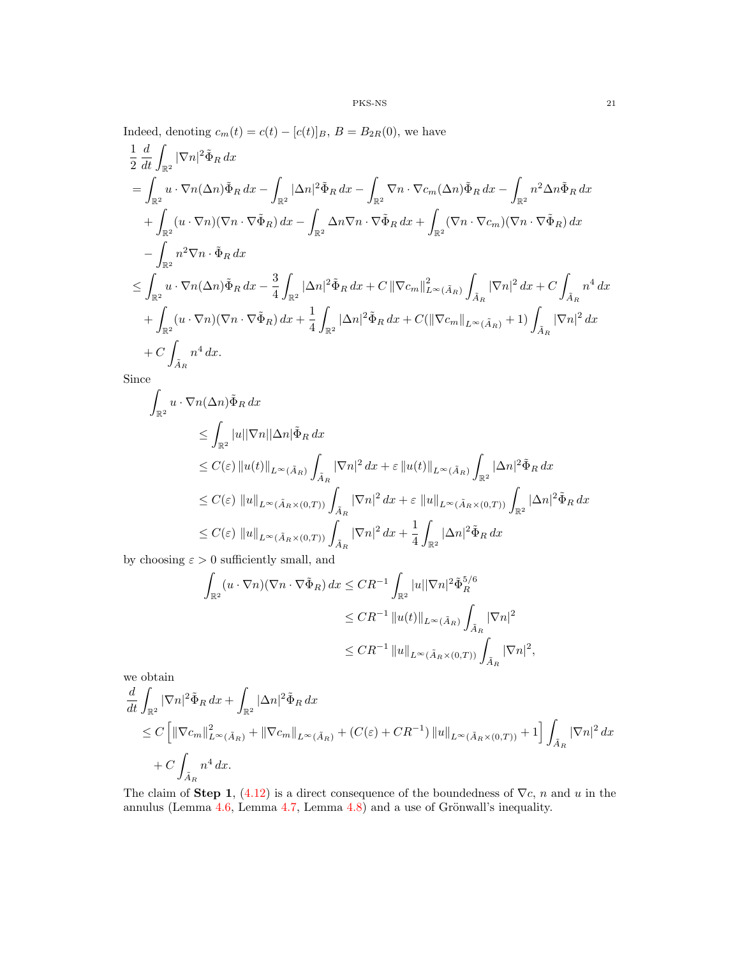Indeed, denoting  $c_m(t) = c(t) - [c(t)]_B$ ,  $B = B_{2R}(0)$ , we have

$$
\frac{1}{2} \frac{d}{dt} \int_{\mathbb{R}^2} |\nabla n|^2 \tilde{\Phi}_R dx
$$
\n
$$
= \int_{\mathbb{R}^2} u \cdot \nabla n (\Delta n) \tilde{\Phi}_R dx - \int_{\mathbb{R}^2} |\Delta n|^2 \tilde{\Phi}_R dx - \int_{\mathbb{R}^2} \nabla n \cdot \nabla c_m (\Delta n) \tilde{\Phi}_R dx - \int_{\mathbb{R}^2} n^2 \Delta n \tilde{\Phi}_R dx
$$
\n
$$
+ \int_{\mathbb{R}^2} (u \cdot \nabla n) (\nabla n \cdot \nabla \tilde{\Phi}_R) dx - \int_{\mathbb{R}^2} \Delta n \nabla n \cdot \nabla \tilde{\Phi}_R dx + \int_{\mathbb{R}^2} (\nabla n \cdot \nabla c_m) (\nabla n \cdot \nabla \tilde{\Phi}_R) dx
$$
\n
$$
- \int_{\mathbb{R}^2} n^2 \nabla n \cdot \tilde{\Phi}_R dx
$$
\n
$$
\leq \int_{\mathbb{R}^2} u \cdot \nabla n (\Delta n) \tilde{\Phi}_R dx - \frac{3}{4} \int_{\mathbb{R}^2} |\Delta n|^2 \tilde{\Phi}_R dx + C ||\nabla c_m||_{L^\infty(\tilde{A}_R)}^2 \int_{\tilde{A}_R} |\nabla n|^2 dx + C \int_{\tilde{A}_R} n^4 dx
$$
\n
$$
+ \int_{\mathbb{R}^2} (u \cdot \nabla n) (\nabla n \cdot \nabla \tilde{\Phi}_R) dx + \frac{1}{4} \int_{\mathbb{R}^2} |\Delta n|^2 \tilde{\Phi}_R dx + C (||\nabla c_m||_{L^\infty(\tilde{A}_R)} + 1) \int_{\tilde{A}_R} |\nabla n|^2 dx
$$
\n
$$
+ C \int_{\tilde{A}_R} n^4 dx.
$$

Since

$$
\int_{\mathbb{R}^2} u \cdot \nabla n(\Delta n) \tilde{\Phi}_R dx
$$
\n
$$
\leq \int_{\mathbb{R}^2} |u||\nabla n||\Delta n| \tilde{\Phi}_R dx
$$
\n
$$
\leq C(\varepsilon) ||u(t)||_{L^{\infty}(\tilde{A}_R)} \int_{\tilde{A}_R} |\nabla n|^2 dx + \varepsilon ||u(t)||_{L^{\infty}(\tilde{A}_R)} \int_{\mathbb{R}^2} |\Delta n|^2 \tilde{\Phi}_R dx
$$
\n
$$
\leq C(\varepsilon) ||u||_{L^{\infty}(\tilde{A}_R \times (0,T))} \int_{\tilde{A}_R} |\nabla n|^2 dx + \varepsilon ||u||_{L^{\infty}(\tilde{A}_R \times (0,T))} \int_{\mathbb{R}^2} |\Delta n|^2 \tilde{\Phi}_R dx
$$
\n
$$
\leq C(\varepsilon) ||u||_{L^{\infty}(\tilde{A}_R \times (0,T))} \int_{\tilde{A}_R} |\nabla n|^2 dx + \frac{1}{4} \int_{\mathbb{R}^2} |\Delta n|^2 \tilde{\Phi}_R dx
$$

by choosing  $\varepsilon > 0$  sufficiently small, and

$$
\int_{\mathbb{R}^2} (u \cdot \nabla n)(\nabla n \cdot \nabla \tilde{\Phi}_R) dx \leq CR^{-1} \int_{\mathbb{R}^2} |u||\nabla n|^2 \tilde{\Phi}_R^{5/6}
$$
  

$$
\leq CR^{-1} ||u(t)||_{L^{\infty}(\tilde{A}_R)} \int_{\tilde{A}_R} |\nabla n|^2
$$
  

$$
\leq CR^{-1} ||u||_{L^{\infty}(\tilde{A}_R \times (0,T))} \int_{\tilde{A}_R} |\nabla n|^2,
$$

we obtain

$$
\begin{split} & \frac{d}{dt} \int_{\mathbb{R}^2} |\nabla n|^2 \tilde{\Phi}_R \, dx + \int_{\mathbb{R}^2} |\Delta n|^2 \tilde{\Phi}_R \, dx \\ & \leq C \left[ \| \nabla c_m \|_{L^\infty(\tilde{A}_R)}^2 + \| \nabla c_m \|_{L^\infty(\tilde{A}_R)} + (C(\varepsilon) + CR^{-1}) \, \| u \|_{L^\infty(\tilde{A}_R \times (0,T))} + 1 \right] \int_{\tilde{A}_R} |\nabla n|^2 \, dx \\ & \quad + C \int_{\tilde{A}_R} n^4 \, dx. \end{split}
$$

The claim of **Step 1**, [\(4.12\)](#page-19-4) is a direct consequence of the boundedness of  $\nabla c$ , n and u in the annulus (Lemma  $4.6$ , Lemma  $4.7$ , Lemma  $4.8$ ) and a use of Grönwall's inequality.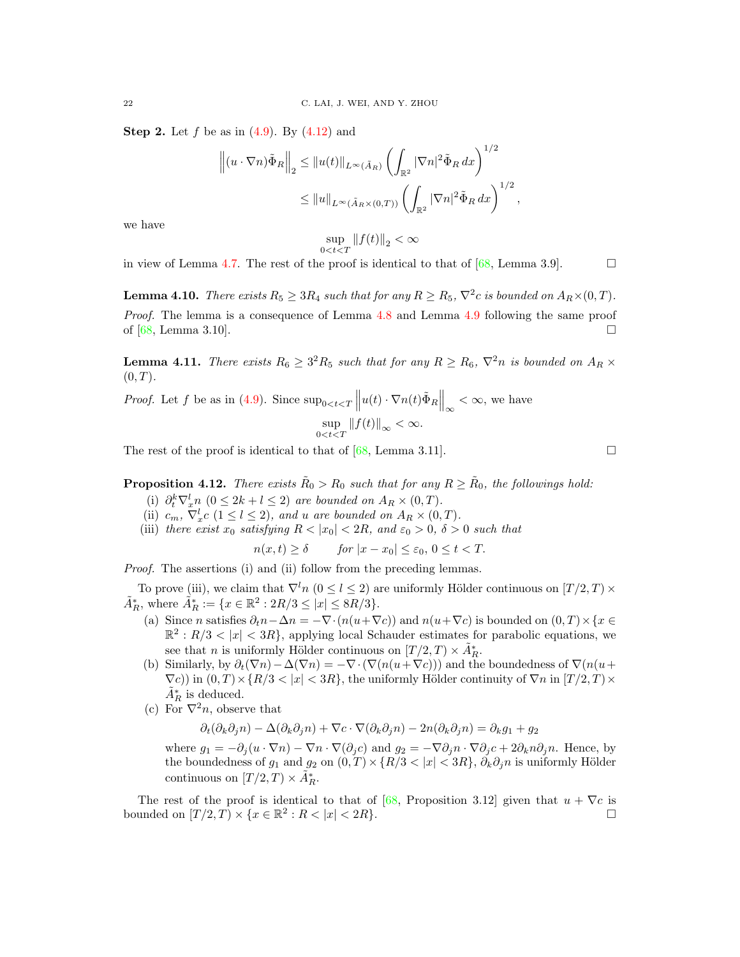**Step 2.** Let f be as in  $(4.9)$ . By  $(4.12)$  and

$$
\left\| (u \cdot \nabla n) \tilde{\Phi}_R \right\|_2 \leq \|u(t)\|_{L^\infty(\tilde{A}_R)} \left( \int_{\mathbb{R}^2} |\nabla n|^2 \tilde{\Phi}_R dx \right)^{1/2}
$$
  

$$
\leq \|u\|_{L^\infty(\tilde{A}_R \times (0,T))} \left( \int_{\mathbb{R}^2} |\nabla n|^2 \tilde{\Phi}_R dx \right)^{1/2},
$$

we have

$$
\sup_{0 < t < T} \left\| f(t) \right\|_2 < \infty
$$

in view of Lemma 4.[7.](#page-19-2) The rest of the proof is identical to that of  $[68,$  Lemma 3.9].

**Lemma 4.10.** There exists  $R_5 \geq 3R_4$  such that for any  $R \geq R_5$ ,  $\nabla^2 c$  is bounded on  $A_R \times (0,T)$ . Proof. The lemma is a consequence of Lemma [4](#page-19-6).8 and Lemma 4.9 following the same proof of [\[68,](#page-31-13) Lemma 3.10].

**Lemma 4.11.** There exists  $R_6 \geq 3^2 R_5$  such that for any  $R \geq R_6$ ,  $\nabla^2 n$  is bounded on  $A_R \times$  $(0, T)$ .

*Proof.* Let f be as in [\(4.9\)](#page-19-3). Since  $\sup_{0 \le t \le T} ||u(t) \cdot \nabla n(t) \tilde{\Phi}_R||_{\infty} < \infty$ , we have  $\sup_{0 < t < T} ||f(t)||_{\infty} < \infty.$ 

The rest of the proof is identical to that of  $[68, \text{Lemma } 3.11]$  $[68, \text{Lemma } 3.11]$ .

<span id="page-21-0"></span>**Proposition 4.12.** There exists  $\tilde{R}_0 > R_0$  such that for any  $R \geq \tilde{R}_0$ , the followings hold:

- (i)  $\partial_t^k \nabla_x^l n \ (0 \leq 2k + l \leq 2)$  are bounded on  $A_R \times (0, T)$ .
- (ii)  $c_m$ ,  $\nabla_x^l c$   $(1 \leq l \leq 2)$ , and u are bounded on  $A_R \times (0,T)$ .
- (iii) there exist  $x_0$  satisfying  $R < |x_0| < 2R$ , and  $\varepsilon_0 > 0$ ,  $\delta > 0$  such that

 $n(x, t) \geq \delta$  for  $|x - x_0| \leq \varepsilon_0, 0 \leq t < T$ .

Proof. The assertions (i) and (ii) follow from the preceding lemmas.

To prove (iii), we claim that  $\nabla^l n$  ( $0 \le l \le 2$ ) are uniformly Hölder continuous on  $[T/2, T] \times$  $\tilde{A}_R^*$ , where  $\tilde{A}_R^* := \{x \in \mathbb{R}^2 : 2R/3 \leq |x| \leq 8R/3\}.$ 

- (a) Since n satisfies  $\partial_t n \Delta n = -\nabla \cdot (n(u+\nabla c))$  and  $n(u+\nabla c)$  is bounded on  $(0,T) \times \{x \in$  $\mathbb{R}^2$ :  $R/3 < |x| < 3R$ , applying local Schauder estimates for parabolic equations, we see that *n* is uniformly Hölder continuous on  $[T/2, T) \times \tilde{A}_R^*$ .
- (b) Similarly, by  $\partial_t(\nabla n) \Delta(\nabla n) = -\nabla \cdot (\nabla(n(u+\nabla c)))$  and the boundedness of  $\nabla(n(u+\nabla c))$  $(\nabla c)$ ) in  $(0, T) \times \{R/3 < |x| < 3R\}$ , the uniformly Hölder continuity of  $\nabla n$  in  $[T/2, T) \times$  $\tilde{A}_R^*$  is deduced.
- (c) For  $\nabla^2 n$ , observe that

 $\partial_t(\partial_k\partial_j n) - \Delta(\partial_k\partial_j n) + \nabla c \cdot \nabla(\partial_k\partial_j n) - 2n(\partial_k\partial_j n) = \partial_k g_1 + g_2$ 

where  $g_1 = -\partial_j (u \cdot \nabla n) - \nabla n \cdot \nabla (\partial_j c)$  and  $g_2 = -\nabla \partial_j n \cdot \nabla \partial_j c + 2\partial_k n \partial_j n$ . Hence, by the boundedness of  $g_1$  and  $g_2$  on  $(0, T) \times \{R/3 < |x| < 3R\}$ ,  $\partial_R \partial_j n$  is uniformly Hölder continuous on  $[T/2, T] \times \tilde{A}_R^*$ .

The rest of the proof is identical to that of [\[68,](#page-31-13) Proposition 3.12] given that  $u + \nabla c$  is bounded on  $[T/2, T] \times \{x \in \mathbb{R}^2 : R < |x| < 2R\}$ .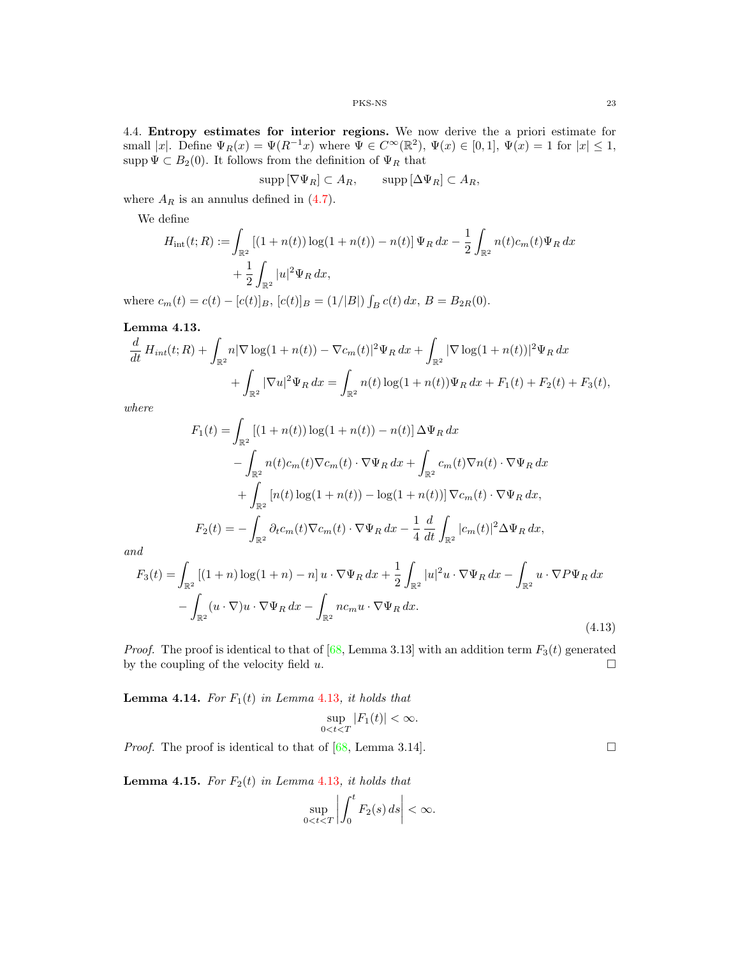4.4. Entropy estimates for interior regions. We now derive the a priori estimate for small |x|. Define  $\Psi_R(x) = \Psi(R^{-1}x)$  where  $\Psi \in C^\infty(\mathbb{R}^2)$ ,  $\Psi(x) \in [0,1]$ ,  $\Psi(x) = 1$  for  $|x| \leq 1$ , supp  $\Psi \subset B_2(0)$ . It follows from the definition of  $\Psi_R$  that

$$
\operatorname{supp} \left[ \nabla \Psi_R \right] \subset A_R, \qquad \operatorname{supp} \left[ \Delta \Psi_R \right] \subset A_R,
$$

where  $A_R$  is an annulus defined in  $(4.7)$ .

We define

$$
H_{\rm int}(t;R) := \int_{\mathbb{R}^2} \left[ (1+n(t)) \log(1+n(t)) - n(t) \right] \Psi_R \, dx - \frac{1}{2} \int_{\mathbb{R}^2} n(t) c_m(t) \Psi_R \, dx
$$

$$
+ \frac{1}{2} \int_{\mathbb{R}^2} |u|^2 \Psi_R \, dx,
$$

where  $c_m(t) = c(t) - [c(t)]_B$ ,  $[c(t)]_B = (1/|B|) \int_B c(t) dx$ ,  $B = B_{2R}(0)$ .

<span id="page-22-0"></span>Lemma 4.13.

$$
\frac{d}{dt} H_{int}(t;R) + \int_{\mathbb{R}^2} n|\nabla \log(1+n(t)) - \nabla c_m(t)|^2 \Psi_R dx + \int_{\mathbb{R}^2} |\nabla \log(1+n(t))|^2 \Psi_R dx \n+ \int_{\mathbb{R}^2} |\nabla u|^2 \Psi_R dx = \int_{\mathbb{R}^2} n(t) \log(1+n(t)) \Psi_R dx + F_1(t) + F_2(t) + F_3(t),
$$

where

$$
F_1(t) = \int_{\mathbb{R}^2} \left[ (1 + n(t)) \log(1 + n(t)) - n(t) \right] \Delta \Psi_R \, dx
$$
  

$$
- \int_{\mathbb{R}^2} n(t) c_m(t) \nabla c_m(t) \cdot \nabla \Psi_R \, dx + \int_{\mathbb{R}^2} c_m(t) \nabla n(t) \cdot \nabla \Psi_R \, dx
$$
  

$$
+ \int_{\mathbb{R}^2} \left[ n(t) \log(1 + n(t)) - \log(1 + n(t)) \right] \nabla c_m(t) \cdot \nabla \Psi_R \, dx,
$$
  

$$
F_2(t) = - \int_{\mathbb{R}^2} \partial_t c_m(t) \nabla c_m(t) \cdot \nabla \Psi_R \, dx - \frac{1}{4} \frac{d}{dt} \int_{\mathbb{R}^2} |c_m(t)|^2 \Delta \Psi_R \, dx,
$$

and

<span id="page-22-2"></span>
$$
F_3(t) = \int_{\mathbb{R}^2} \left[ (1+n) \log(1+n) - n \right] u \cdot \nabla \Psi_R \, dx + \frac{1}{2} \int_{\mathbb{R}^2} |u|^2 u \cdot \nabla \Psi_R \, dx - \int_{\mathbb{R}^2} u \cdot \nabla P \Psi_R \, dx - \int_{\mathbb{R}^2} (u \cdot \nabla) u \cdot \nabla \Psi_R \, dx - \int_{\mathbb{R}^2} n c_m u \cdot \nabla \Psi_R \, dx.
$$
\n(4.13)

*Proof.* The proof is identical to that of [\[68,](#page-31-13) Lemma 3.13] with an addition term  $F_3(t)$  generated by the coupling of the velocity field u. by the coupling of the velocity field  $u$ .

<span id="page-22-3"></span>**Lemma 4.14.** For  $F_1(t)$  in Lemma 4.[13](#page-22-0), it holds that

$$
\sup_{0
$$

*Proof.* The proof is identical to that of [\[68,](#page-31-13) Lemma 3.14].

<span id="page-22-1"></span>**Lemma 4.15.** For  $F_2(t)$  in Lemma 4.[13](#page-22-0), it holds that

$$
\sup_{0 < t < T} \left| \int_0^t F_2(s) \, ds \right| < \infty.
$$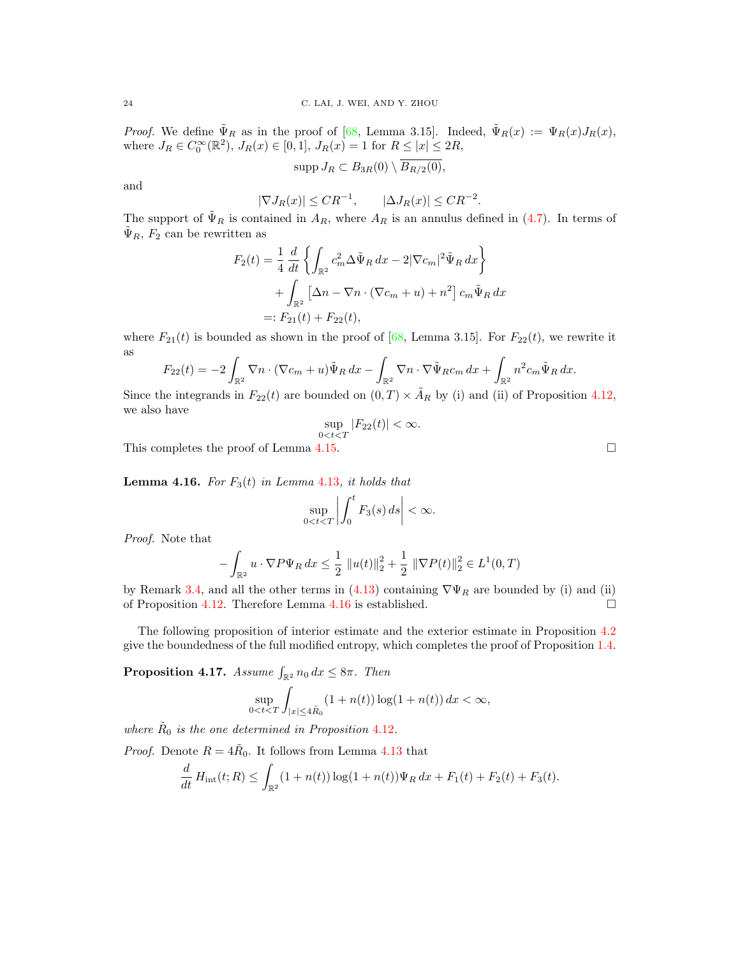*Proof.* We define  $\tilde{\Psi}_R$  as in the proof of [\[68,](#page-31-13) Lemma 3.15]. Indeed,  $\tilde{\Psi}_R(x) := \Psi_R(x) J_R(x)$ , where  $J_R \in C_0^{\infty}(\mathbb{R}^2)$ ,  $J_R(x) \in [0,1]$ ,  $J_R(x) = 1$  for  $R \leq |x| \leq 2R$ ,

$$
\mathrm{supp} J_R \subset B_{3R}(0) \setminus \overline{B_{R/2}(0)},
$$

and

$$
|\nabla J_R(x)| \leq CR^{-1}, \qquad |\Delta J_R(x)| \leq CR^{-2}.
$$

The support of  $\tilde{\Psi}_R$  is contained in  $A_R$ , where  $A_R$  is an annulus defined in [\(4.7\)](#page-18-0). In terms of  $\tilde{\Psi}_R$ ,  $F_2$  can be rewritten as

$$
F_2(t) = \frac{1}{4} \frac{d}{dt} \left\{ \int_{\mathbb{R}^2} c_m^2 \Delta \tilde{\Psi}_R dx - 2|\nabla c_m|^2 \tilde{\Psi}_R dx \right\}
$$

$$
+ \int_{\mathbb{R}^2} \left[ \Delta n - \nabla n \cdot (\nabla c_m + u) + n^2 \right] c_m \tilde{\Psi}_R dx
$$

$$
=: F_{21}(t) + F_{22}(t),
$$

where  $F_{21}(t)$  is bounded as shown in the proof of [\[68,](#page-31-13) Lemma 3.15]. For  $F_{22}(t)$ , we rewrite it as

$$
F_{22}(t) = -2 \int_{\mathbb{R}^2} \nabla n \cdot (\nabla c_m + u) \tilde{\Psi}_R \, dx - \int_{\mathbb{R}^2} \nabla n \cdot \nabla \tilde{\Psi}_R c_m \, dx + \int_{\mathbb{R}^2} n^2 c_m \tilde{\Psi}_R \, dx.
$$

Since the integrands in  $F_{22}(t)$  are bounded on  $(0, T) \times A_R$  by (i) and (ii) of Proposition 4.[12,](#page-21-0) we also have

$$
\sup_{0
$$

This completes the proof of Lemma 4.[15.](#page-22-1)

<span id="page-23-0"></span>**Lemma 4.16.** For  $F_3(t)$  in Lemma 4.[13](#page-22-0), it holds that

$$
\sup_{0 < t < T} \left| \int_0^t F_3(s) \, ds \right| < \infty.
$$

Proof. Note that

$$
-\int_{\mathbb{R}^2} u \cdot \nabla P \Psi_R \, dx \le \frac{1}{2} \|u(t)\|_2^2 + \frac{1}{2} \|\nabla P(t)\|_2^2 \in L^1(0, T)
$$

by Remark 3.[4,](#page-12-2) and all the other terms in [\(4.13\)](#page-22-2) containing  $\nabla\Psi_R$  are bounded by (i) and (ii) of Proposition 4.[12.](#page-21-0) Therefore Lemma 4.[16](#page-23-0) is established.  $\square$ 

The following proposition of interior estimate and the exterior estimate in Proposition [4](#page-13-2).2 give the boundedness of the full modified entropy, which completes the proof of Proposition 1.[4.](#page-3-2)

<span id="page-23-1"></span>**Proposition 4.17.** Assume  $\int_{\mathbb{R}^2} n_0 dx \leq 8\pi$ . Then

$$
\sup_{0
$$

where  $\tilde{R}_0$  is the one determined in Proposition 4.[12](#page-21-0).

*Proof.* Denote  $R = 4R_0$ . It follows from Lemma 4.[13](#page-22-0) that

$$
\frac{d}{dt} H_{\rm int}(t;R) \le \int_{\mathbb{R}^2} (1+n(t)) \log(1+n(t)) \Psi_R dx + F_1(t) + F_2(t) + F_3(t).
$$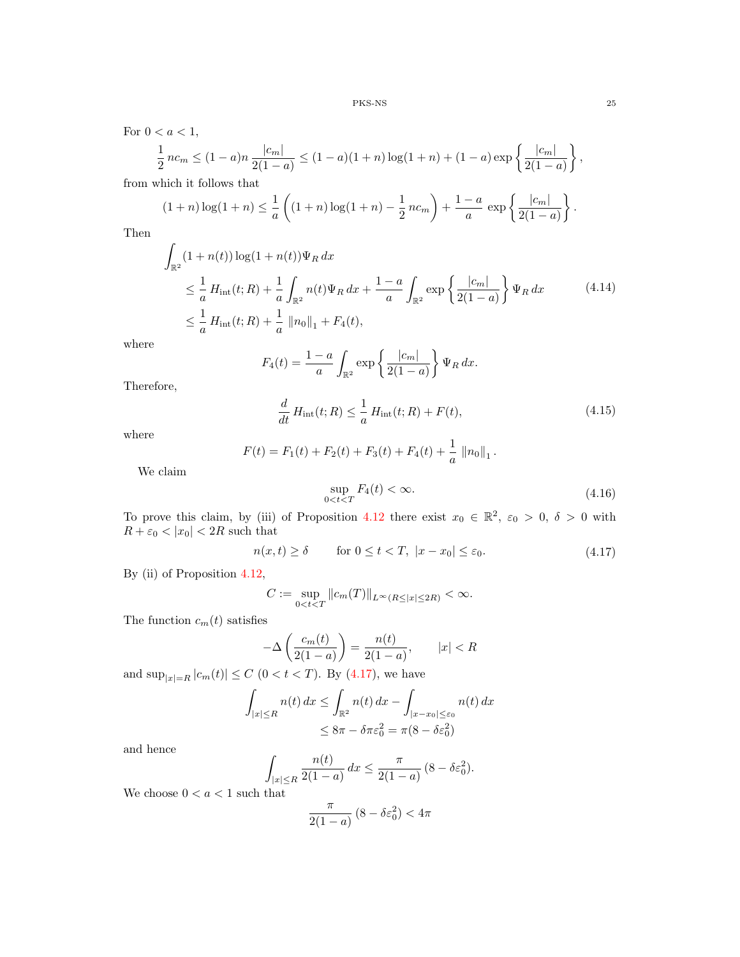For  $0 < a < 1$ ,

$$
\frac{1}{2}nc_m \le (1-a)n \frac{|c_m|}{2(1-a)} \le (1-a)(1+n)\log(1+n) + (1-a)\exp\left\{\frac{|c_m|}{2(1-a)}\right\},\,
$$

from which it follows that

$$
(1+n)\log(1+n) \le \frac{1}{a}\left((1+n)\log(1+n) - \frac{1}{2}nc_m\right) + \frac{1-a}{a}\exp\left{\frac{|c_m|}{2(1-a)}\right}.
$$

<span id="page-24-3"></span>Then

$$
\int_{\mathbb{R}^2} (1 + n(t)) \log(1 + n(t)) \Psi_R \, dx
$$
\n
$$
\leq \frac{1}{a} H_{int}(t; R) + \frac{1}{a} \int_{\mathbb{R}^2} n(t) \Psi_R \, dx + \frac{1 - a}{a} \int_{\mathbb{R}^2} \exp \left\{ \frac{|c_m|}{2(1 - a)} \right\} \Psi_R \, dx \tag{4.14}
$$
\n
$$
\leq \frac{1}{a} H_{int}(t; R) + \frac{1}{a} ||n_0||_1 + F_4(t),
$$

where

$$
F_4(t) = \frac{1-a}{a} \int_{\mathbb{R}^2} \exp\left\{\frac{|c_m|}{2(1-a)}\right\} \Psi_R \, dx.
$$

<span id="page-24-2"></span>Therefore,

$$
\frac{d}{dt}H_{\rm int}(t;R) \le \frac{1}{a}H_{\rm int}(t;R) + F(t),\tag{4.15}
$$

where

$$
F(t) = F_1(t) + F_2(t) + F_3(t) + F_4(t) + \frac{1}{a} ||n_0||_1.
$$

<span id="page-24-1"></span>We claim

$$
\sup_{0
$$

To prove this claim, by (iii) of Proposition 4.[12](#page-21-0) there exist  $x_0 \in \mathbb{R}^2$ ,  $\varepsilon_0 > 0$ ,  $\delta > 0$  with  $R + \varepsilon_0 < |x_0| < 2R$  such that

$$
n(x,t) \ge \delta \qquad \text{for } 0 \le t < T, \ |x - x_0| \le \varepsilon_0. \tag{4.17}
$$

<span id="page-24-0"></span>By (ii) of Proposition 4.[12,](#page-21-0)

$$
C:=\sup_{0
$$

The function  $c_m(t)$  satisfies

$$
-\Delta\left(\frac{c_m(t)}{2(1-a)}\right) = \frac{n(t)}{2(1-a)}, \qquad |x| < R
$$

and  $\sup_{|x|=R} |c_m(t)| \le C (0 < t < T)$ . By [\(4.17\)](#page-24-0), we have

$$
\int_{|x| \le R} n(t) dx \le \int_{\mathbb{R}^2} n(t) dx - \int_{|x - x_0| \le \varepsilon_0} n(t) dx
$$
  

$$
\le 8\pi - \delta \pi \varepsilon_0^2 = \pi (8 - \delta \varepsilon_0^2)
$$

and hence

$$
\int_{|x| \le R} \frac{n(t)}{2(1-a)} dx \le \frac{\pi}{2(1-a)} (8 - \delta \varepsilon_0^2).
$$

We choose  $0 < a < 1$  such that

$$
\frac{\pi}{2(1-a)}\left(8-\delta\varepsilon_0^2\right) < 4\pi
$$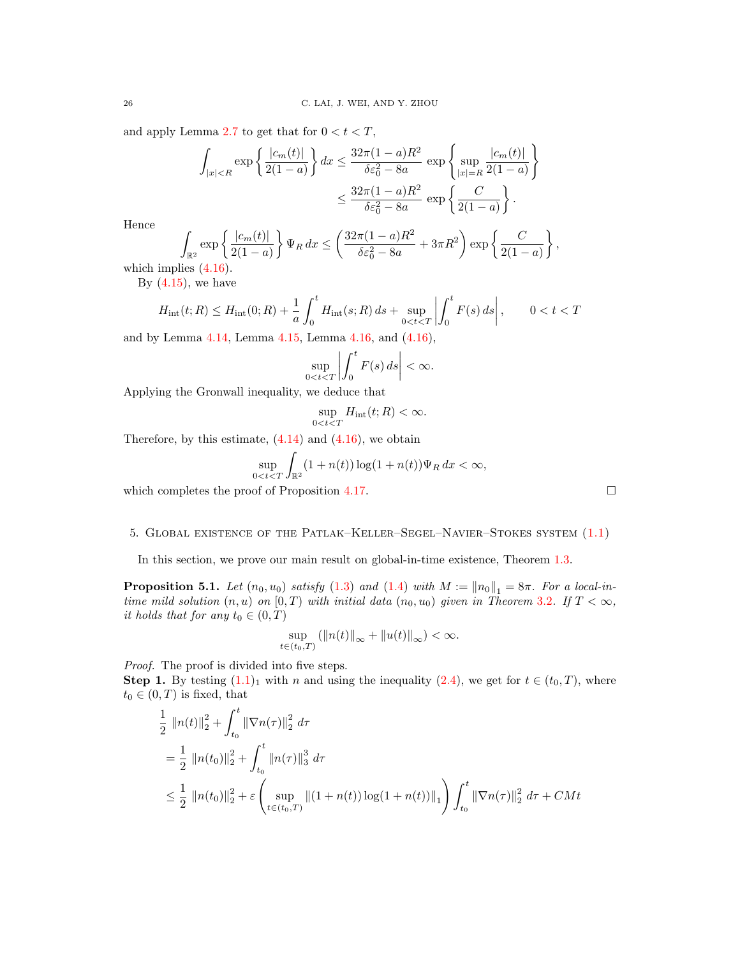and apply Lemma [2](#page-6-0).7 to get that for  $0 < t < T$ ,

$$
\int_{|x| < R} \exp\left\{\frac{|c_m(t)|}{2(1-a)}\right\} dx \le \frac{32\pi (1-a)R^2}{\delta \varepsilon_0^2 - 8a} \exp\left\{\sup_{|x|=R} \frac{|c_m(t)|}{2(1-a)}\right\}
$$
\n
$$
\le \frac{32\pi (1-a)R^2}{\delta \varepsilon_0^2 - 8a} \exp\left\{\frac{C}{2(1-a)}\right\}.
$$

Hence

$$
\int_{\mathbb{R}^2} \exp \left\{ \frac{|c_m(t)|}{2(1-a)} \right\} \Psi_R \, dx \le \left( \frac{32\pi (1-a)R^2}{\delta \varepsilon_0^2 - 8a} + 3\pi R^2 \right) \exp \left\{ \frac{C}{2(1-a)} \right\},
$$

which implies [\(4.16\)](#page-24-1).

By  $(4.15)$ , we have

$$
H_{\rm int}(t;R) \le H_{\rm int}(0;R) + \frac{1}{a} \int_0^t H_{\rm int}(s;R) \, ds + \sup_{0 < t < T} \left| \int_0^t F(s) \, ds \right|, \qquad 0 < t < T
$$

and by Lemma 4.[14,](#page-22-3) Lemma 4.[15,](#page-22-1) Lemma 4.[16,](#page-23-0) and [\(4.16\)](#page-24-1),

$$
\sup_{0
$$

Applying the Gronwall inequality, we deduce that

$$
\sup_{0
$$

Therefore, by this estimate,  $(4.14)$  and  $(4.16)$ , we obtain

$$
\sup_{0
$$

which completes the proof of Proposition 4.[17.](#page-23-1)  $\Box$ 

# <span id="page-25-0"></span>5. Global existence of the Patlak–Keller–Segel–Navier–Stokes system [\(1.1\)](#page-0-0)

In this section, we prove our main result on global-in-time existence, Theorem 1.[3.](#page-3-1)

<span id="page-25-1"></span>**Proposition 5.1.** Let  $(n_0, u_0)$  satisfy [\(1.3\)](#page-2-0) and [\(1.4\)](#page-2-1) with  $M := ||n_0||_1 = 8\pi$ . For a local-intime mild solution  $(n, u)$  on  $(0, T)$  with initial data  $(n_0, u_0)$  given in Theorem [3](#page-8-0).2. If  $T < \infty$ , it holds that for any  $t_0 \in (0, T)$ 

$$
\sup_{t\in(t_0,T)}\left(\|n(t)\|_\infty+\|u(t)\|_\infty\right)<\infty.
$$

Proof. The proof is divided into five steps.

**Step 1.** By testing  $(1.1)_1$  $(1.1)_1$  with n and using the inequality  $(2.4)$ , we get for  $t \in (t_0, T)$ , where  $t_0 \in (0, T)$  is fixed, that

$$
\frac{1}{2} ||n(t)||_2^2 + \int_{t_0}^t ||\nabla n(\tau)||_2^2 d\tau
$$
\n  
\n
$$
= \frac{1}{2} ||n(t_0)||_2^2 + \int_{t_0}^t ||n(\tau)||_3^2 d\tau
$$
\n  
\n
$$
\leq \frac{1}{2} ||n(t_0)||_2^2 + \varepsilon \left( \sup_{t \in (t_0, T)} ||(1 + n(t)) \log(1 + n(t))||_1 \right) \int_{t_0}^t ||\nabla n(\tau)||_2^2 d\tau + CMt
$$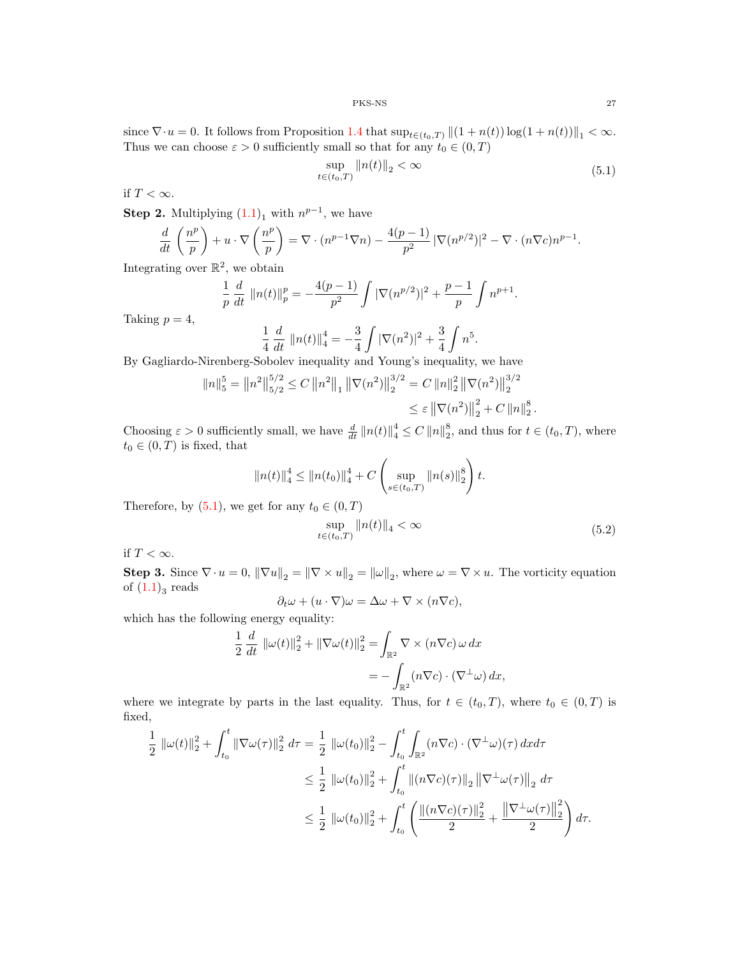since  $\nabla \cdot u = 0$ . It follows from Proposition [1](#page-3-2).4 that  $\sup_{t \in (t_0,T)} ||(1 + n(t)) \log(1 + n(t))||_1 < \infty$ . Thus we can choose  $\varepsilon > 0$  sufficiently small so that for any  $t_0 \in (0, T)$ 

$$
\sup_{t \in (t_0, T)} \|n(t)\|_2 < \infty \tag{5.1}
$$

<span id="page-26-0"></span>if  $T < \infty$ .

**Step 2.** Multiplying  $(1.1)<sub>1</sub>$  $(1.1)<sub>1</sub>$  with  $n^{p-1}$ , we have

$$
\frac{d}{dt}\left(\frac{n^p}{p}\right) + u \cdot \nabla\left(\frac{n^p}{p}\right) = \nabla \cdot (n^{p-1}\nabla n) - \frac{4(p-1)}{p^2} |\nabla(n^{p/2})|^2 - \nabla \cdot (n\nabla c)n^{p-1}.
$$

Integrating over  $\mathbb{R}^2$ , we obtain

$$
\frac{1}{p}\frac{d}{dt}\left\|n(t)\right\|_{p}^{p}=-\frac{4(p-1)}{p^{2}}\int|\nabla(n^{p/2})|^{2}+\frac{p-1}{p}\int n^{p+1}.
$$

Taking  $p = 4$ ,

$$
\frac{1}{4} \frac{d}{dt} ||n(t)||_4^4 = -\frac{3}{4} \int |\nabla(n^2)|^2 + \frac{3}{4} \int n^5.
$$

By Gagliardo-Nirenberg-Sobolev inequality and Young's inequality, we have

$$
||n||_5^5 = ||n^2||_{5/2}^{5/2} \le C ||n^2||_1 ||\nabla(n^2)||_2^{3/2} = C ||n||_2^2 ||\nabla(n^2)||_2^{3/2}
$$
  

$$
\le \varepsilon ||\nabla(n^2)||_2^2 + C ||n||_2^8
$$

Choosing  $\varepsilon > 0$  sufficiently small, we have  $\frac{d}{dt} ||n(t)||_4^4 \leq C ||n||_2^8$ , and thus for  $t \in (t_0, T)$ , where  $t_0 \in (0,T)$  is fixed, that

$$
||n(t)||_4^4 \le ||n(t_0)||_4^4 + C \left(\sup_{s \in (t_0,T)} ||n(s)||_2^8\right)t.
$$

<span id="page-26-1"></span>Therefore, by [\(5.1\)](#page-26-0), we get for any  $t_0 \in (0, T)$ 

$$
\sup_{t \in (t_0, T)} \|n(t)\|_4 < \infty \tag{5.2}
$$

.

if  $T < \infty$ .

**Step 3.** Since  $\nabla \cdot u = 0$ ,  $\|\nabla u\|_2 = \|\nabla \times u\|_2 = \|\omega\|_2$ , where  $\omega = \nabla \times u$ . The vorticity equation of  $(1.1)_{3}$  $(1.1)_{3}$  reads

$$
\partial_t \omega + (u \cdot \nabla)\omega = \Delta \omega + \nabla \times (n \nabla c),
$$

which has the following energy equality:

$$
\frac{1}{2} \frac{d}{dt} ||\omega(t)||_2^2 + ||\nabla \omega(t)||_2^2 = \int_{\mathbb{R}^2} \nabla \times (n\nabla c) \omega dx
$$

$$
= - \int_{\mathbb{R}^2} (n\nabla c) \cdot (\nabla^{\perp} \omega) dx,
$$

where we integrate by parts in the last equality. Thus, for  $t \in (t_0, T)$ , where  $t_0 \in (0, T)$  is fixed,

$$
\frac{1}{2} ||\omega(t)||_2^2 + \int_{t_0}^t ||\nabla \omega(\tau)||_2^2 d\tau = \frac{1}{2} ||\omega(t_0)||_2^2 - \int_{t_0}^t \int_{\mathbb{R}^2} (n \nabla c) \cdot (\nabla^{\perp} \omega)(\tau) dxd\tau
$$
  
\n
$$
\leq \frac{1}{2} ||\omega(t_0)||_2^2 + \int_{t_0}^t ||(n \nabla c)(\tau)||_2 ||\nabla^{\perp} \omega(\tau)||_2 d\tau
$$
  
\n
$$
\leq \frac{1}{2} ||\omega(t_0)||_2^2 + \int_{t_0}^t \left( \frac{||(n \nabla c)(\tau)||_2^2}{2} + \frac{||\nabla^{\perp} \omega(\tau)||_2^2}{2} \right) d\tau.
$$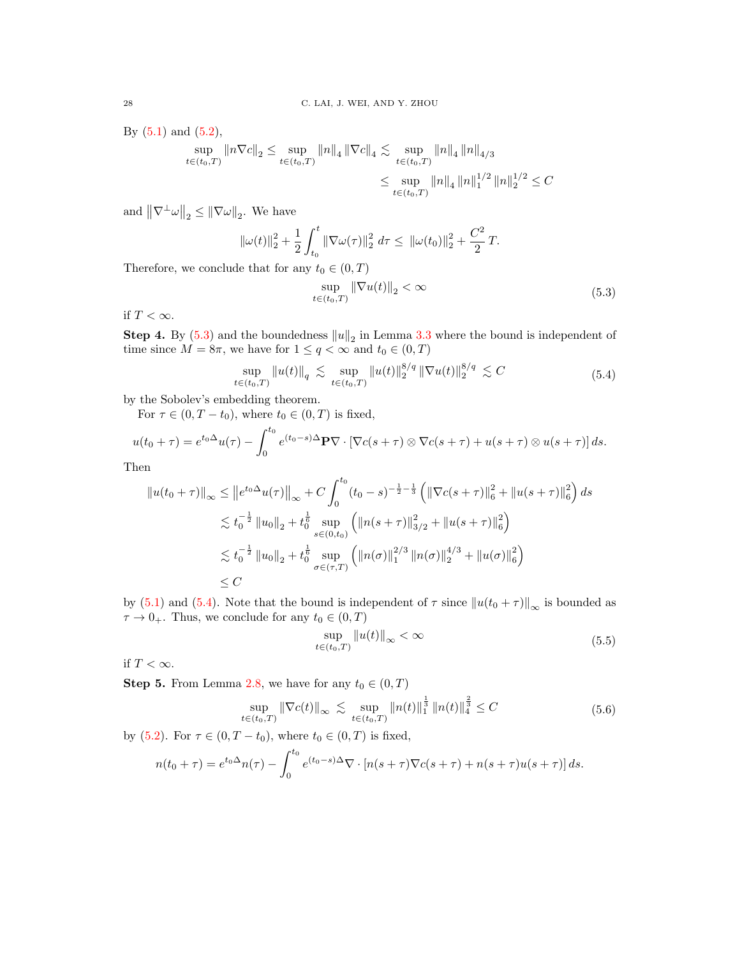By  $(5.1)$  and  $(5.2)$ ,

$$
\sup_{t \in (t_0, T)} \|n\nabla c\|_2 \le \sup_{t \in (t_0, T)} \|n\|_4 \|\nabla c\|_4 \lesssim \sup_{t \in (t_0, T)} \|n\|_4 \|n\|_{4/3}
$$
  

$$
\le \sup_{t \in (t_0, T)} \|n\|_4 \|n\|_1^{1/2} \|n\|_2^{1/2} \le C
$$

and  $\|\nabla^{\perp}\omega\|_2 \leq \|\nabla\omega\|_2$ . We have

$$
\|\omega(t)\|_2^2 + \frac{1}{2} \int_{t_0}^t \|\nabla \omega(\tau)\|_2^2 d\tau \leq \|\omega(t_0)\|_2^2 + \frac{C^2}{2}T.
$$

<span id="page-27-0"></span>Therefore, we conclude that for any  $t_0 \in (0, T)$ 

$$
\sup_{t \in (t_0, T)} \|\nabla u(t)\|_2 < \infty \tag{5.3}
$$

if  $T < \infty$ .

**Step 4.** By [\(5.3\)](#page-27-0) and the boundedness  $||u||_2$  in Lemma [3](#page-11-0).3 where the bound is independent of time since  $M = 8\pi$ , we have for  $1 \le q < \infty$  and  $t_0 \in (0, T)$ 

$$
\sup_{t \in (t_0, T)} \|u(t)\|_q \lesssim \sup_{t \in (t_0, T)} \|u(t)\|_2^{8/q} \|\nabla u(t)\|_2^{8/q} \lesssim C \tag{5.4}
$$

<span id="page-27-1"></span>by the Sobolev's embedding theorem.

For  $\tau \in (0, T - t_0)$ , where  $t_0 \in (0, T)$  is fixed,

$$
u(t_0 + \tau) = e^{t_0 \Delta} u(\tau) - \int_0^{t_0} e^{(t_0 - s)\Delta} \mathbf{P} \nabla \cdot \left[ \nabla c(s + \tau) \otimes \nabla c(s + \tau) + u(s + \tau) \otimes u(s + \tau) \right] ds.
$$
  
Then

Then

$$
||u(t_0 + \tau)||_{\infty} \le ||e^{t_0 \Delta} u(\tau)||_{\infty} + C \int_0^{t_0} (t_0 - s)^{-\frac{1}{2} - \frac{1}{3}} \left( ||\nabla c(s + \tau)||_6^2 + ||u(s + \tau)||_6^2 \right) ds
$$
  

$$
\lesssim t_0^{-\frac{1}{2}} ||u_0||_2 + t_0^{\frac{1}{6}} \sup_{s \in (0, t_0)} \left( ||n(s + \tau)||_{3/2}^2 + ||u(s + \tau)||_6^2 \right)
$$
  

$$
\lesssim t_0^{-\frac{1}{2}} ||u_0||_2 + t_0^{\frac{1}{6}} \sup_{\sigma \in (\tau, T)} \left( ||n(\sigma)||_1^{2/3} ||n(\sigma)||_2^{4/3} + ||u(\sigma)||_6^2 \right)
$$
  

$$
\le C
$$

by [\(5.1\)](#page-26-0) and [\(5.4\)](#page-27-1). Note that the bound is independent of  $\tau$  since  $||u(t_0 + \tau)||_{\infty}$  is bounded as  $\tau \to 0_+$ . Thus, we conclude for any  $t_0 \in (0, T)$ 

$$
\sup_{t \in (t_0, T)} \|u(t)\|_{\infty} < \infty \tag{5.5}
$$

<span id="page-27-3"></span>if  $T<\infty.$ 

<span id="page-27-2"></span>**Step 5.** From Lemma 2.[8,](#page-7-5) we have for any  $t_0 \in (0, T)$ 

$$
\sup_{t \in (t_0, T)} \|\nabla c(t)\|_{\infty} \lesssim \sup_{t \in (t_0, T)} \|n(t)\|_1^{\frac{1}{3}} \|n(t)\|_4^{\frac{2}{3}} \le C \tag{5.6}
$$

by [\(5.2\)](#page-26-1). For  $\tau \in (0, T - t_0)$ , where  $t_0 \in (0, T)$  is fixed,

$$
n(t_0 + \tau) = e^{t_0 \Delta} n(\tau) - \int_0^{t_0} e^{(t_0 - s)\Delta} \nabla \cdot [n(s + \tau) \nabla c(s + \tau) + n(s + \tau) u(s + \tau)] ds.
$$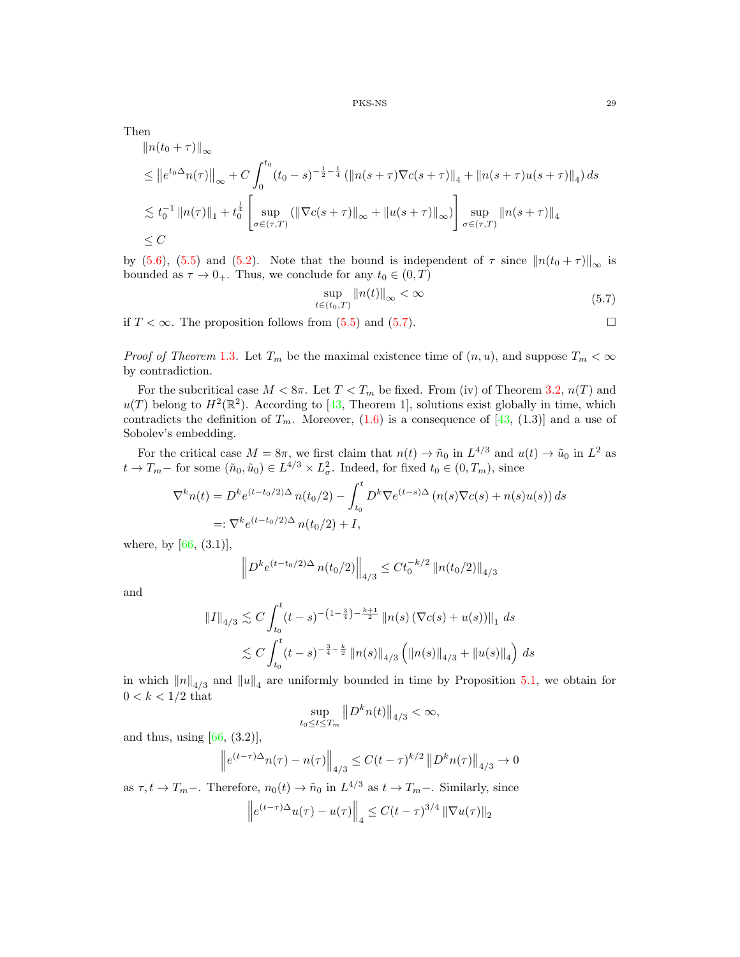Then

$$
\|n(t_0 + \tau)\|_{\infty}
$$
  
\n
$$
\leq \|e^{t_0 \Delta} n(\tau)\|_{\infty} + C \int_0^{t_0} (t_0 - s)^{-\frac{1}{2} - \frac{1}{4}} (\|n(s + \tau)\nabla c(s + \tau)\|_{4} + \|n(s + \tau)u(s + \tau)\|_{4}) ds
$$
  
\n
$$
\lesssim t_0^{-1} \|n(\tau)\|_{1} + t_0^{\frac{1}{4}} \left[ \sup_{\sigma \in (\tau, T)} (\|\nabla c(s + \tau)\|_{\infty} + \|u(s + \tau)\|_{\infty}) \right] \sup_{\sigma \in (\tau, T)} \|n(s + \tau)\|_{4}
$$
  
\n
$$
\leq C
$$

by [\(5.6\)](#page-27-2), [\(5.5\)](#page-27-3) and [\(5.2\)](#page-26-1). Note that the bound is independent of  $\tau$  since  $||n(t_0 + \tau)||_{\infty}$  is bounded as  $\tau \to 0_+$ . Thus, we conclude for any  $t_0 \in (0, T)$ 

$$
\sup_{t \in (t_0, T)} \|n(t)\|_{\infty} < \infty \tag{5.7}
$$

<span id="page-28-0"></span>if  $T < \infty$ . The proposition follows from [\(5.5\)](#page-27-3) and [\(5.7\)](#page-28-0).

*Proof of Theorem* [1](#page-3-1).3. Let  $T_m$  be the maximal existence time of  $(n, u)$ , and suppose  $T_m < \infty$ by contradiction.

For the subcritical case  $M < 8\pi$ . Let  $T < T_m$  be fixed. From (iv) of Theorem 3.[2,](#page-8-0)  $n(T)$  and  $u(T)$  belong to  $H^2(\mathbb{R}^2)$ . According to [\[43,](#page-30-0) Theorem 1], solutions exist globally in time, which contradicts the definition of  $T_m$ . Moreover,  $(1.6)$  is a consequence of  $[43, (1.3)]$  $[43, (1.3)]$  and a use of Sobolev's embedding.

For the critical case  $M = 8\pi$ , we first claim that  $n(t) \to \tilde{n}_0$  in  $L^{4/3}$  and  $u(t) \to \tilde{u}_0$  in  $L^2$  as  $t \to T_m$  for some  $(\tilde{n}_0, \tilde{u}_0) \in L^{4/3} \times L^2_{\sigma}$ . Indeed, for fixed  $t_0 \in (0, T_m)$ , since

$$
\nabla^k n(t) = D^k e^{(t-t_0/2)\Delta} n(t_0/2) - \int_{t_0}^t D^k \nabla e^{(t-s)\Delta} (n(s) \nabla c(s) + n(s) u(s)) ds
$$
  
=:  $\nabla^k e^{(t-t_0/2)\Delta} n(t_0/2) + I$ ,

where, by  $[66, (3.1)],$  $[66, (3.1)],$ 

$$
\left\| D^k e^{(t-t_0/2)\Delta} n(t_0/2) \right\|_{4/3} \leq C t_0^{-k/2} \left\| n(t_0/2) \right\|_{4/3}
$$

and

$$
||I||_{4/3} \lesssim C \int_{t_0}^t (t-s)^{-\left(1-\frac{3}{4}\right)-\frac{k+1}{2}} \, ||n(s) \left(\nabla c(s) + u(s)\right)||_1 \, ds
$$
  
\$\lesssim C \int\_{t\_0}^t (t-s)^{-\frac{3}{4}-\frac{k}{2}} \, ||n(s)||\_{4/3} \left(\|n(s)\|\_{4/3} + \|u(s)\|\_4\right) \, ds\$

in which  $||n||_{4/3}$  and  $||u||_4$  are uniformly bounded in time by Proposition 5.[1,](#page-25-1) we obtain for  $0 < k < 1/2$  that

$$
\sup_{t_0\leq t\leq T_m} ||D^kn(t)||_{4/3} <\infty,
$$

and thus, using  $[66, (3.2)],$  $[66, (3.2)],$ 

$$
\left\| e^{(t-\tau)\Delta} n(\tau) - n(\tau) \right\|_{4/3} \le C(t-\tau)^{k/2} \left\| D^k n(\tau) \right\|_{4/3} \to 0
$$

as  $\tau, t \to T_m-$ . Therefore,  $n_0(t) \to \tilde{n}_0$  in  $L^{4/3}$  as  $t \to T_m-$ . Similarly, since

$$
\left\| e^{(t-\tau)\Delta} u(\tau) - u(\tau) \right\|_4 \le C(t-\tau)^{3/4} \left\| \nabla u(\tau) \right\|_2
$$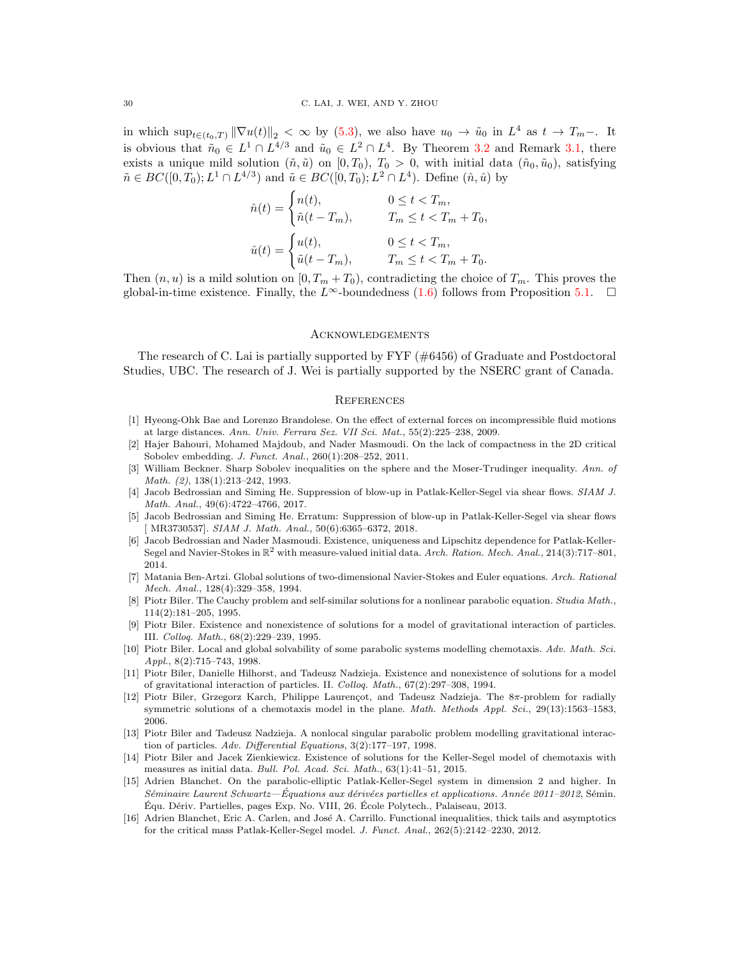in which  $\sup_{t\in(t_0,T)} \|\nabla u(t)\|_2 < \infty$  by [\(5.3\)](#page-27-0), we also have  $u_0 \to \tilde{u}_0$  in  $L^4$  as  $t \to T_m-$ . It is obvious that  $\tilde{n}_0 \in L^1 \cap L^{4/3}$  $\tilde{n}_0 \in L^1 \cap L^{4/3}$  $\tilde{n}_0 \in L^1 \cap L^{4/3}$  and  $\tilde{u}_0 \in L^2 \cap L^4$ . By Theorem 3.2 and Remark 3.[1,](#page-10-1) there exists a unique mild solution  $(\tilde{n}, \tilde{u})$  on  $[0, T_0)$ ,  $T_0 > 0$ , with initial data  $(\tilde{n}_0, \tilde{u}_0)$ , satisfying  $\tilde{n} \in BC([0, T_0); L^1 \cap L^{4/3})$  and  $\tilde{u} \in BC([0, T_0); L^2 \cap L^4)$ . Define  $(\hat{n}, \hat{u})$  by

$$
\hat{n}(t) = \begin{cases}\nn(t), & 0 \le t < T_m, \\
\tilde{n}(t - T_m), & T_m \le t < T_m + T_0, \\
u(t) = \begin{cases}\nu(t), & 0 \le t < T_m, \\
\tilde{u}(t - T_m), & T_m \le t < T_m + T_0.\n\end{cases}
$$

Then  $(n, u)$  is a mild solution on  $[0, T_m + T_0)$ , contradicting the choice of  $T_m$ . This proves the global-in-time existence. Finally, the  $L^{\infty}$ -boundedness [\(1.6\)](#page-3-4) follows from Proposition 5.[1.](#page-25-1)  $\square$ 

## Acknowledgements

The research of C. Lai is partially supported by  $\text{FYF } (\#6456)$  of Graduate and Postdoctoral Studies, UBC. The research of J. Wei is partially supported by the NSERC grant of Canada.

## **REFERENCES**

- <span id="page-29-12"></span>[1] Hyeong-Ohk Bae and Lorenzo Brandolese. On the effect of external forces on incompressible fluid motions at large distances. Ann. Univ. Ferrara Sez. VII Sci. Mat., 55(2):225–238, 2009.
- <span id="page-29-14"></span>[2] Hajer Bahouri, Mohamed Majdoub, and Nader Masmoudi. On the lack of compactness in the 2D critical Sobolev embedding. J. Funct. Anal., 260(1):208–252, 2011.
- <span id="page-29-15"></span>[3] William Beckner. Sharp Sobolev inequalities on the sphere and the Moser-Trudinger inequality. Ann. of Math. (2), 138(1):213–242, 1993.
- <span id="page-29-0"></span>[4] Jacob Bedrossian and Siming He. Suppression of blow-up in Patlak-Keller-Segel via shear flows. SIAM J. Math. Anal., 49(6):4722–4766, 2017.
- <span id="page-29-1"></span>[5] Jacob Bedrossian and Siming He. Erratum: Suppression of blow-up in Patlak-Keller-Segel via shear flows [ MR3730537]. SIAM J. Math. Anal., 50(6):6365–6372, 2018.
- <span id="page-29-7"></span>[6] Jacob Bedrossian and Nader Masmoudi. Existence, uniqueness and Lipschitz dependence for Patlak-Keller-Segel and Navier-Stokes in  $\mathbb{R}^2$  with measure-valued initial data. Arch. Ration. Mech. Anal., 214(3):717–801, 2014.
- <span id="page-29-13"></span>[7] Matania Ben-Artzi. Global solutions of two-dimensional Navier-Stokes and Euler equations. Arch. Rational Mech. Anal., 128(4):329–358, 1994.
- <span id="page-29-2"></span>[8] Piotr Biler. The Cauchy problem and self-similar solutions for a nonlinear parabolic equation. Studia Math., 114(2):181–205, 1995.
- <span id="page-29-4"></span>[9] Piotr Biler. Existence and nonexistence of solutions for a model of gravitational interaction of particles. III. Colloq. Math., 68(2):229–239, 1995.
- <span id="page-29-3"></span>[10] Piotr Biler. Local and global solvability of some parabolic systems modelling chemotaxis. Adv. Math. Sci. Appl., 8(2):715–743, 1998.
- <span id="page-29-5"></span>[11] Piotr Biler, Danielle Hilhorst, and Tadeusz Nadzieja. Existence and nonexistence of solutions for a model of gravitational interaction of particles. II. Colloq. Math., 67(2):297–308, 1994.
- <span id="page-29-9"></span>[12] Piotr Biler, Grzegorz Karch, Philippe Laurençot, and Tadeusz Nadzieja. The 8π-problem for radially symmetric solutions of a chemotaxis model in the plane. Math. Methods Appl. Sci., 29(13):1563-1583, 2006.
- <span id="page-29-6"></span>[13] Piotr Biler and Tadeusz Nadzieja. A nonlocal singular parabolic problem modelling gravitational interaction of particles. Adv. Differential Equations, 3(2):177-197, 1998.
- <span id="page-29-8"></span>[14] Piotr Biler and Jacek Zienkiewicz. Existence of solutions for the Keller-Segel model of chemotaxis with measures as initial data. Bull. Pol. Acad. Sci. Math., 63(1):41–51, 2015.
- <span id="page-29-10"></span>[15] Adrien Blanchet. On the parabolic-elliptic Patlak-Keller-Segel system in dimension 2 and higher. In  $Séminaire Laurent Schwartz—Equations aux dérivées partielles et applications. Année 2011–2012, Sémin.$ Équ. Dériv. Partielles, pages Exp. No. VIII, 26. École Polytech., Palaiseau, 2013.
- <span id="page-29-11"></span>[16] Adrien Blanchet, Eric A. Carlen, and José A. Carrillo. Functional inequalities, thick tails and asymptotics for the critical mass Patlak-Keller-Segel model. J. Funct. Anal., 262(5):2142–2230, 2012.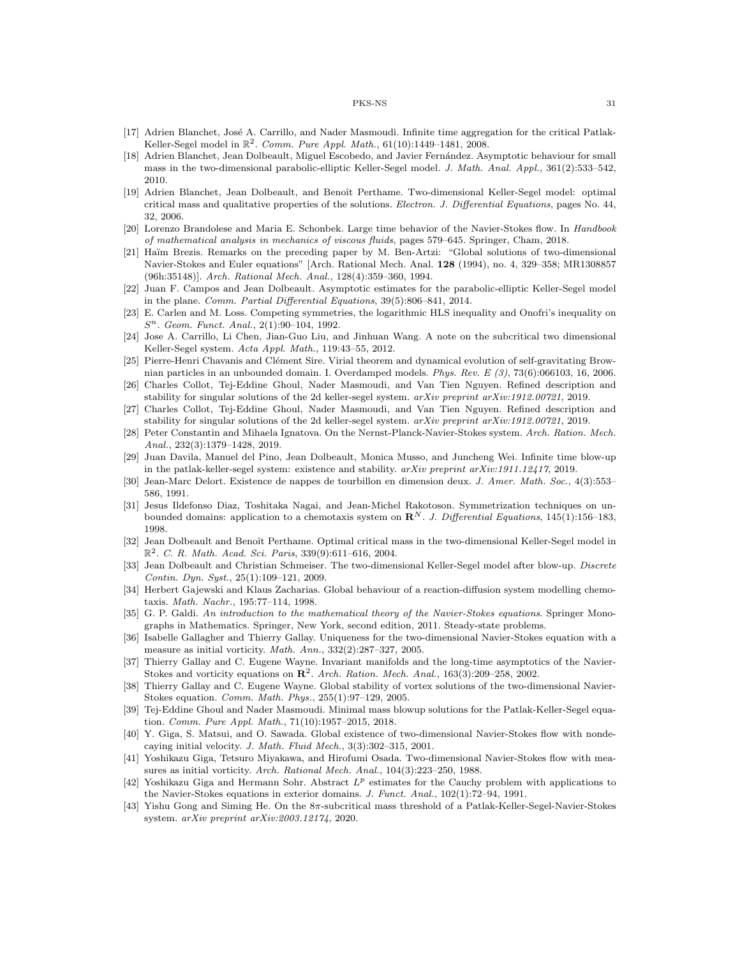- <span id="page-30-11"></span>[17] Adrien Blanchet, José A. Carrillo, and Nader Masmoudi. Infinite time aggregation for the critical Patlak-Keller-Segel model in  $\mathbb{R}^2$ . Comm. Pure Appl. Math., 61(10):1449-1481, 2008.
- <span id="page-30-7"></span>[18] Adrien Blanchet, Jean Dolbeault, Miguel Escobedo, and Javier Fernández. Asymptotic behaviour for small mass in the two-dimensional parabolic-elliptic Keller-Segel model. J. Math. Anal. Appl., 361(2):533–542, 2010.
- <span id="page-30-2"></span>[19] Adrien Blanchet, Jean Dolbeault, and Benoît Perthame. Two-dimensional Keller-Segel model: optimal critical mass and qualitative properties of the solutions. Electron. J. Differential Equations, pages No. 44, 32, 2006.
- <span id="page-30-16"></span>[20] Lorenzo Brandolese and Maria E. Schonbek. Large time behavior of the Navier-Stokes flow. In Handbook of mathematical analysis in mechanics of viscous fluids, pages 579–645. Springer, Cham, 2018.
- <span id="page-30-18"></span>[21] Haïm Brezis. Remarks on the preceding paper by M. Ben-Artzi: "Global solutions of two-dimensional Navier-Stokes and Euler equations" [Arch. Rational Mech. Anal. 128 (1994), no. 4, 329–358; MR1308857 (96h:35148)]. Arch. Rational Mech. Anal., 128(4):359–360, 1994.
- <span id="page-30-8"></span>[22] Juan F. Campos and Jean Dolbeault. Asymptotic estimates for the parabolic-elliptic Keller-Segel model in the plane. Comm. Partial Differential Equations, 39(5):806–841, 2014.
- <span id="page-30-24"></span>[23] E. Carlen and M. Loss. Competing symmetries, the logarithmic HLS inequality and Onofri's inequality on S <sup>n</sup>. Geom. Funct. Anal., 2(1):90–104, 1992.
- <span id="page-30-5"></span>[24] Jose A. Carrillo, Li Chen, Jian-Guo Liu, and Jinhuan Wang. A note on the subcritical two dimensional Keller-Segel system. Acta Appl. Math., 119:43–55, 2012.
- <span id="page-30-13"></span>[25] Pierre-Henri Chavanis and Clément Sire. Virial theorem and dynamical evolution of self-gravitating Brownian particles in an unbounded domain. I. Overdamped models. Phys. Rev. E (3), 73(6):066103, 16, 2006.
- <span id="page-30-9"></span>[26] Charles Collot, Tej-Eddine Ghoul, Nader Masmoudi, and Van Tien Nguyen. Refined description and stability for singular solutions of the 2d keller-segel system. arXiv preprint arXiv:1912.00721, 2019.
- <span id="page-30-23"></span>[27] Charles Collot, Tej-Eddine Ghoul, Nader Masmoudi, and Van Tien Nguyen. Refined description and stability for singular solutions of the 2d keller-segel system. arXiv preprint arXiv:1912.00721, 2019.
- <span id="page-30-1"></span>[28] Peter Constantin and Mihaela Ignatova. On the Nernst-Planck-Navier-Stokes system. Arch. Ration. Mech. Anal., 232(3):1379–1428, 2019.
- <span id="page-30-15"></span>[29] Juan Davila, Manuel del Pino, Jean Dolbeault, Monica Musso, and Juncheng Wei. Infinite time blow-up in the patlak-keller-segel system: existence and stability.  $a r X i v$  preprint  $a r X i v$ :1911.12417, 2019.
- <span id="page-30-6"></span>[30] Jean-Marc Delort. Existence de nappes de tourbillon en dimension deux. J. Amer. Math. Soc., 4(3):553– 586, 1991.
- <span id="page-30-12"></span>[31] Jesus Ildefonso Diaz, Toshitaka Nagai, and Jean-Michel Rakotoson. Symmetrization techniques on unbounded domains: application to a chemotaxis system on  $\mathbb{R}^{N}$ . J. Differential Equations, 145(1):156–183, 1998.
- <span id="page-30-3"></span>[32] Jean Dolbeault and Benoît Perthame. Optimal critical mass in the two-dimensional Keller-Segel model in  $\mathbb{R}^2$ . C. R. Math. Acad. Sci. Paris, 339(9):611-616, 2004.
- <span id="page-30-10"></span>[33] Jean Dolbeault and Christian Schmeiser. The two-dimensional Keller-Segel model after blow-up. Discrete Contin. Dyn. Syst., 25(1):109–121, 2009.
- <span id="page-30-4"></span>[34] Herbert Gajewski and Klaus Zacharias. Global behaviour of a reaction-diffusion system modelling chemotaxis. Math. Nachr., 195:77–114, 1998.
- <span id="page-30-17"></span>[35] G. P. Galdi. An introduction to the mathematical theory of the Navier-Stokes equations. Springer Monographs in Mathematics. Springer, New York, second edition, 2011. Steady-state problems.
- <span id="page-30-19"></span>[36] Isabelle Gallagher and Thierry Gallay. Uniqueness for the two-dimensional Navier-Stokes equation with a measure as initial vorticity. Math. Ann., 332(2):287–327, 2005.
- [37] Thierry Gallay and C. Eugene Wayne. Invariant manifolds and the long-time asymptotics of the Navier-Stokes and vorticity equations on  $\mathbb{R}^2$ . Arch. Ration. Mech. Anal., 163(3):209–258, 2002.
- <span id="page-30-20"></span>[38] Thierry Gallay and C. Eugene Wayne. Global stability of vortex solutions of the two-dimensional Navier-Stokes equation. Comm. Math. Phys., 255(1):97–129, 2005.
- <span id="page-30-14"></span>[39] Tej-Eddine Ghoul and Nader Masmoudi. Minimal mass blowup solutions for the Patlak-Keller-Segel equation. Comm. Pure Appl. Math., 71(10):1957–2015, 2018.
- <span id="page-30-21"></span>[40] Y. Giga, S. Matsui, and O. Sawada. Global existence of two-dimensional Navier-Stokes flow with nondecaying initial velocity. J. Math. Fluid Mech., 3(3):302–315, 2001.
- [41] Yoshikazu Giga, Tetsuro Miyakawa, and Hirofumi Osada. Two-dimensional Navier-Stokes flow with measures as initial vorticity. Arch. Rational Mech. Anal., 104(3):223–250, 1988.
- <span id="page-30-22"></span>[42] Yoshikazu Giga and Hermann Sohr. Abstract  $L^p$  estimates for the Cauchy problem with applications to the Navier-Stokes equations in exterior domains. J. Funct. Anal., 102(1):72–94, 1991.
- <span id="page-30-0"></span>[43] Yishu Gong and Siming He. On the 8π-subcritical mass threshold of a Patlak-Keller-Segel-Navier-Stokes system. arXiv preprint arXiv:2003.12174, 2020.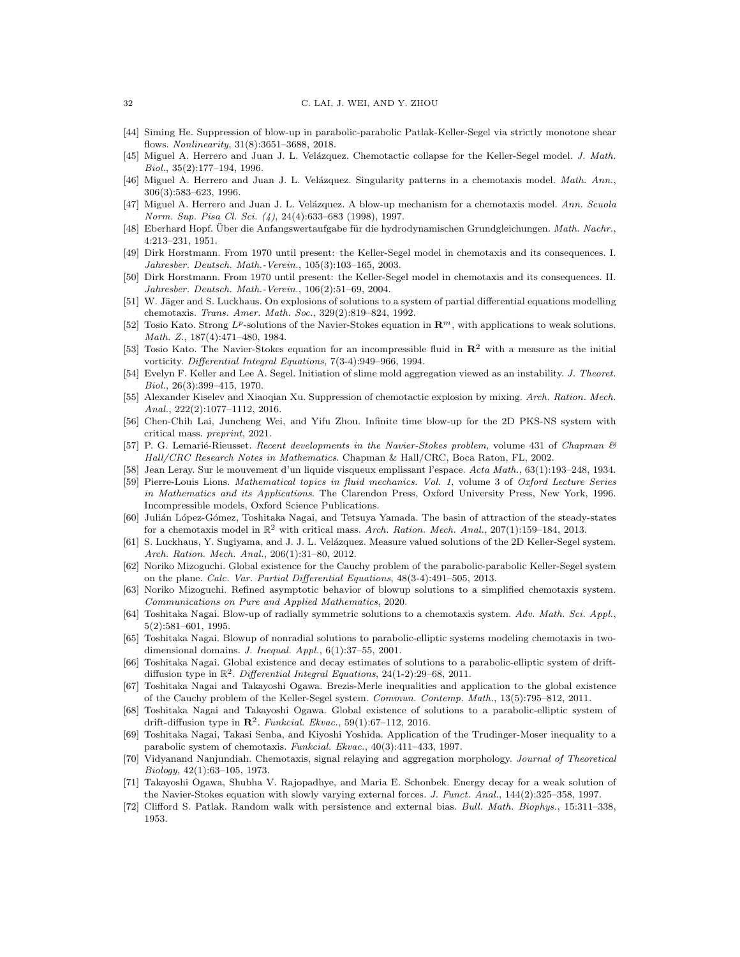- <span id="page-31-0"></span>[44] Siming He. Suppression of blow-up in parabolic-parabolic Patlak-Keller-Segel via strictly monotone shear flows. Nonlinearity, 31(8):3651–3688, 2018.
- <span id="page-31-8"></span>[45] Miguel A. Herrero and Juan J. L. Velázquez. Chemotactic collapse for the Keller-Segel model. J. Math. Biol., 35(2):177–194, 1996.
- [46] Miguel A. Herrero and Juan J. L. Velázquez. Singularity patterns in a chemotaxis model. Math. Ann., 306(3):583–623, 1996.
- <span id="page-31-9"></span>[47] Miguel A. Herrero and Juan J. L. Velázquez. A blow-up mechanism for a chemotaxis model. Ann. Scuola Norm. Sup. Pisa Cl. Sci. (4), 24(4):633–683 (1998), 1997.
- <span id="page-31-16"></span>[48] Eberhard Hopf. Über die Anfangswertaufgabe für die hydrodynamischen Grundgleichungen. Math. Nachr., 4:213–231, 1951.
- <span id="page-31-4"></span>[49] Dirk Horstmann. From 1970 until present: the Keller-Segel model in chemotaxis and its consequences. I. Jahresber. Deutsch. Math.-Verein., 105(3):103–165, 2003.
- <span id="page-31-5"></span>[50] Dirk Horstmann. From 1970 until present: the Keller-Segel model in chemotaxis and its consequences. II. Jahresber. Deutsch. Math.-Verein., 106(2):51–69, 2004.
- <span id="page-31-6"></span>[51] W. Jäger and S. Luckhaus. On explosions of solutions to a system of partial differential equations modelling chemotaxis. Trans. Amer. Math. Soc., 329(2):819–824, 1992.
- <span id="page-31-19"></span>[52] Tosio Kato. Strong  $L^p$ -solutions of the Navier-Stokes equation in  $\mathbb{R}^m$ , with applications to weak solutions. Math. Z., 187(4):471–480, 1984.
- <span id="page-31-20"></span>[53] Tosio Kato. The Navier-Stokes equation for an incompressible fluid in  $\mathbb{R}^2$  with a measure as the initial vorticity. Differential Integral Equations, 7(3-4):949–966, 1994.
- <span id="page-31-2"></span>[54] Evelyn F. Keller and Lee A. Segel. Initiation of slime mold aggregation viewed as an instability. J. Theoret. Biol., 26(3):399–415, 1970.
- <span id="page-31-22"></span>[55] Alexander Kiselev and Xiaoqian Xu. Suppression of chemotactic explosion by mixing. Arch. Ration. Mech. Anal., 222(2):1077–1112, 2016.
- <span id="page-31-23"></span>[56] Chen-Chih Lai, Juncheng Wei, and Yifu Zhou. Infinite time blow-up for the 2D PKS-NS system with critical mass. preprint, 2021.
- <span id="page-31-17"></span>[57] P. G. Lemarié-Rieusset. Recent developments in the Navier-Stokes problem, volume 431 of Chapman & Hall/CRC Research Notes in Mathematics. Chapman & Hall/CRC, Boca Raton, FL, 2002.
- <span id="page-31-15"></span>[58] Jean Leray. Sur le mouvement d'un liquide visqueux emplissant l'espace. Acta Math., 63(1):193–248, 1934.
- <span id="page-31-18"></span>[59] Pierre-Louis Lions. Mathematical topics in fluid mechanics. Vol. 1, volume 3 of Oxford Lecture Series in Mathematics and its Applications. The Clarendon Press, Oxford University Press, New York, 1996. Incompressible models, Oxford Science Publications.
- <span id="page-31-14"></span>[60] Julián López-Gómez, Toshitaka Nagai, and Tetsuya Yamada. The basin of attraction of the steady-states for a chemotaxis model in  $\mathbb{R}^2$  with critical mass. Arch. Ration. Mech. Anal., 207(1):159–184, 2013.
- <span id="page-31-12"></span>[61] S. Luckhaus, Y. Sugiyama, and J. J. L. Velázquez. Measure valued solutions of the 2D Keller-Segel system. Arch. Ration. Mech. Anal., 206(1):31–80, 2012.
- <span id="page-31-26"></span>[62] Noriko Mizoguchi. Global existence for the Cauchy problem of the parabolic-parabolic Keller-Segel system on the plane. Calc. Var. Partial Differential Equations, 48(3-4):491–505, 2013.
- <span id="page-31-24"></span>[63] Noriko Mizoguchi. Refined asymptotic behavior of blowup solutions to a simplified chemotaxis system. Communications on Pure and Applied Mathematics, 2020.
- <span id="page-31-10"></span>[64] Toshitaka Nagai. Blow-up of radially symmetric solutions to a chemotaxis system. Adv. Math. Sci. Appl., 5(2):581–601, 1995.
- <span id="page-31-11"></span>[65] Toshitaka Nagai. Blowup of nonradial solutions to parabolic-elliptic systems modeling chemotaxis in twodimensional domains. J. Inequal. Appl., 6(1):37–55, 2001.
- <span id="page-31-27"></span>[66] Toshitaka Nagai. Global existence and decay estimates of solutions to a parabolic-elliptic system of driftdiffusion type in  $\mathbb{R}^2$ . Differential Integral Equations, 24(1-2):29-68, 2011.
- <span id="page-31-25"></span>[67] Toshitaka Nagai and Takayoshi Ogawa. Brezis-Merle inequalities and application to the global existence of the Cauchy problem of the Keller-Segel system. Commun. Contemp. Math., 13(5):795–812, 2011.
- <span id="page-31-13"></span>[68] Toshitaka Nagai and Takayoshi Ogawa. Global existence of solutions to a parabolic-elliptic system of drift-diffusion type in  $\mathbb{R}^2$ . Funkcial. Ekvac., 59(1):67-112, 2016.
- <span id="page-31-7"></span>[69] Toshitaka Nagai, Takasi Senba, and Kiyoshi Yoshida. Application of the Trudinger-Moser inequality to a parabolic system of chemotaxis. Funkcial. Ekvac., 40(3):411–433, 1997.
- <span id="page-31-3"></span>Vidyanand Nanjundiah. Chemotaxis, signal relaying and aggregation morphology. Journal of Theoretical Biology, 42(1):63–105, 1973.
- <span id="page-31-21"></span>[71] Takayoshi Ogawa, Shubha V. Rajopadhye, and Maria E. Schonbek. Energy decay for a weak solution of the Navier-Stokes equation with slowly varying external forces. J. Funct. Anal., 144(2):325–358, 1997.
- <span id="page-31-1"></span>[72] Clifford S. Patlak. Random walk with persistence and external bias. Bull. Math. Biophys., 15:311–338, 1953.